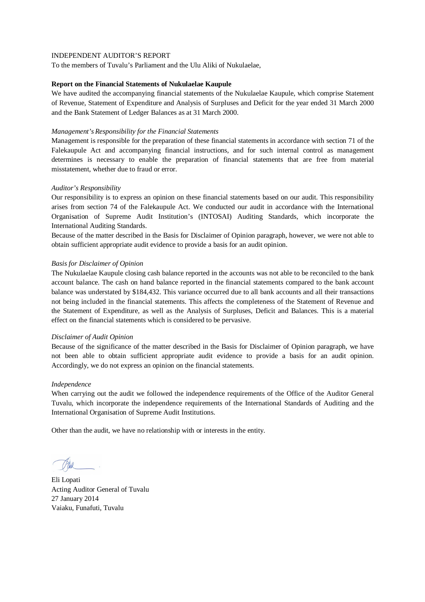To the members of Tuvalu's Parliament and the Ulu Aliki of Nukulaelae,

### **Report on the Financial Statements of Nukulaelae Kaupule**

We have audited the accompanying financial statements of the Nukulaelae Kaupule, which comprise Statement of Revenue, Statement of Expenditure and Analysis of Surpluses and Deficit for the year ended 31 March 2000 and the Bank Statement of Ledger Balances as at 31 March 2000.

## *Management's Responsibility for the Financial Statements*

Management is responsible for the preparation of these financial statements in accordance with section 71 of the Falekaupule Act and accompanying financial instructions, and for such internal control as management determines is necessary to enable the preparation of financial statements that are free from material misstatement, whether due to fraud or error.

# *Auditor's Responsibility*

Our responsibility is to express an opinion on these financial statements based on our audit. This responsibility arises from section 74 of the Falekaupule Act. We conducted our audit in accordance with the International Organisation of Supreme Audit Institution's (INTOSAI) Auditing Standards, which incorporate the International Auditing Standards.

Because of the matter described in the Basis for Disclaimer of Opinion paragraph, however, we were not able to obtain sufficient appropriate audit evidence to provide a basis for an audit opinion.

### *Basis for Disclaimer of Opinion*

The Nukulaelae Kaupule closing cash balance reported in the accounts was not able to be reconciled to the bank account balance. The cash on hand balance reported in the financial statements compared to the bank account balance was understated by \$184,432. This variance occurred due to all bank accounts and all their transactions not being included in the financial statements. This affects the completeness of the Statement of Revenue and the Statement of Expenditure, as well as the Analysis of Surpluses, Deficit and Balances. This is a material effect on the financial statements which is considered to be pervasive.

### *Disclaimer of Audit Opinion*

Because of the significance of the matter described in the Basis for Disclaimer of Opinion paragraph, we have not been able to obtain sufficient appropriate audit evidence to provide a basis for an audit opinion. Accordingly, we do not express an opinion on the financial statements.

### *Independence*

When carrying out the audit we followed the independence requirements of the Office of the Auditor General Tuvalu, which incorporate the independence requirements of the International Standards of Auditing and the International Organisation of Supreme Audit Institutions.

Eli Lopati Acting Auditor General of Tuvalu 27 January 2014 Vaiaku, Funafuti, Tuvalu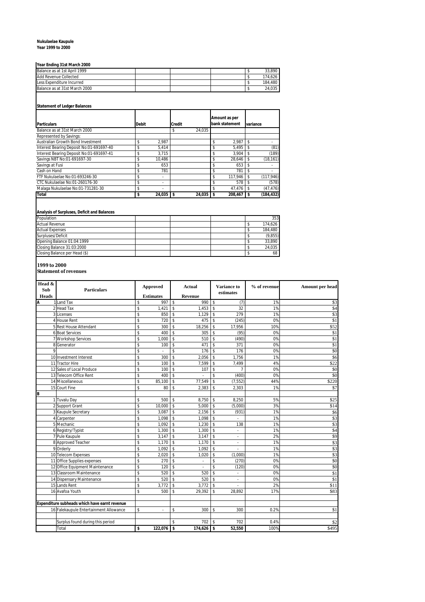### **Nukulaelae Kaupule**

### **Year 1999 to 2000**

### **Year Ending 31st March 2000**

| Balance as at 1st April 1999  |  |  | 33.890  |
|-------------------------------|--|--|---------|
| Add Revenue Collected         |  |  | 174.626 |
| Less Expenditure Incurred     |  |  | 184.480 |
| Balance as at 31st March 2000 |  |  | 24.035  |
|                               |  |  |         |

### **Statement of Ledger Balances**

| <b>Particulars</b>                       | <b>Debit</b> |        | <b>Credit</b> |        |     | Amount as per<br>bank statement |   | variance   |
|------------------------------------------|--------------|--------|---------------|--------|-----|---------------------------------|---|------------|
| Balance as at 31st March 2000            |              |        | \$            | 24.035 |     |                                 |   |            |
| Represented by Savings:                  |              |        |               |        |     |                                 |   |            |
| Australian Growth Bond Investment        | \$           | 2.987  |               |        | S   | 2.987                           |   |            |
| Interest Bearing Deposit No:01-691697-40 | \$           | 5,414  |               |        | \$  | 5.495                           | S | (81)       |
| Interest Bearing Deposit No:01-691697-41 | \$           | 3.715  |               |        | S   | 3.904                           |   | (189)      |
| Savings NBT No:01-691697-30              | \$           | 10.486 |               |        | S   | 28,646                          |   | (18, 161)  |
| Savings at Fusi                          | \$           | 653    |               |        | S   | 653                             |   |            |
| Cash on Hand                             | \$           | 781    |               |        | \$  | 781                             |   |            |
| FTF Nukulaelae No:01-693246-30           | \$           | $\sim$ |               |        | \$  | 117.946                         |   | (117, 946) |
| CTC Nukulaelae No:01-260176-30           | \$           |        |               |        | \$  | 578                             |   | (578)      |
| Malaga Nukulaelae No:01-731281-30        | \$           |        |               |        | \$. | 47.476                          |   | (47, 476)  |
| <b>Total</b>                             |              | 24.035 |               | 24,035 |     | 208.467                         |   | (184, 432) |

# **Analysis of Surpluses, Deficit and Balances**

| Population                    |  |  | 353     |
|-------------------------------|--|--|---------|
| <b>Actual Revenue</b>         |  |  | 174.626 |
| <b>Actual Expenses</b>        |  |  | 184.480 |
| Surpluses/Deficit             |  |  | (9,855) |
| Opening Balance 01:04:1999    |  |  | 33.890  |
| Closing Balance 31:03:2000    |  |  | 24.035  |
| Closing Balance per Head (\$) |  |  | 68      |

### **1999 to 2000**

**Statement of revenues**

| Head &       |                                               |                    |                  |                          |               |                         |                          |              |                          |
|--------------|-----------------------------------------------|--------------------|------------------|--------------------------|---------------|-------------------------|--------------------------|--------------|--------------------------|
| Sub          | <b>Particulars</b>                            |                    | Approved         |                          | <b>Actual</b> |                         | <b>Variance to</b>       | % of revenue | Amount per head          |
| <b>Heads</b> |                                               |                    | <b>Estimates</b> |                          | Revenue       |                         | estimates                |              |                          |
| A            | 1 Land Tax                                    | \$                 | 997              | $\overline{\mathbf{s}}$  | 990           | \$                      | (7)                      | 1%           | \$3                      |
|              | 2 Head Tax                                    | \$                 | 1,421            | $$\mathbb{S}$$           | 1,453         | $\mathbb S$             | 32                       | 1%           | $\sqrt{34}$              |
|              | 3 Licenses                                    | \$                 | 850              | \$                       | 1,129         | \$                      | 279                      | 1%           | $\overline{\$3}$         |
|              | 4 House Rent                                  | \$                 | 720              | \$                       | 475           | \$                      | (245)                    | 0%           | \$1                      |
|              | 5 Rest House Attendant                        | \$                 | 300              | $\mathbb S$              | 18,256        | \$                      | 17,956                   | 10%          | \$52                     |
|              | <b>6 Boat Services</b>                        | $\mathsf{\$}$      | 400              | $\mathsf{s}$             | 305           | $\mathbf{\hat{S}}$      | (95)                     | 0%           | \$1                      |
|              | 7 Workshop Services                           | \$                 | 1,000            | $\overline{\mathsf{s}}$  | 510           | $\overline{\mathbf{s}}$ | (490)                    | 0%           | $\overline{$1}$          |
|              | 8 Generator                                   | \$                 | 100              | $\mathbb S$              | 471           | $\mathbf{\hat{S}}$      | 371                      | 0%           | \$1                      |
| 9            |                                               | \$                 |                  | \$                       | 176           | \$                      | 176                      | 0%           | \$0                      |
|              | 10 Investment Interest                        | \$                 | 300              | \$                       | 2,056         | \$                      | 1,756                    | 1%           | \$6                      |
|              | 11 Tractor Hire                               | \$                 | 100              | $\overline{\mathcal{S}}$ | 7,599         | \$                      | 7,499                    | 4%           | \$22                     |
|              | 12 Sales of Local Produce                     | \$                 | 100              | $\mathbb S$              | 107           | \$                      | $\overline{7}$           | 0%           | \$0                      |
|              | 13 Telecom Office Rent                        | $\mathbf{\hat{S}}$ | 400              | $\mathbf{\hat{s}}$       | t,            | \$                      | (400)                    | 0%           | \$0                      |
|              | 14 Miscellaneous                              | \$                 | 85,100           | $\mathbb S$              | 77,549        | \$                      | (7, 552)                 | 44%          | \$220                    |
|              | 15 Court Fine                                 | \$                 | 80               | \$                       | 2,383         | \$                      | 2,303                    | 1%           | $\overline{\mathbb{S}7}$ |
| B            |                                               |                    |                  |                          |               |                         |                          |              |                          |
|              | 1 Tuvalu Day                                  | \$                 | 500              | \$                       | 8,750         | \$                      | 8,250                    | 5%           | \$25                     |
|              | 2 Support Grant                               | \$                 | 10,000           | $\mathsf{s}$             | 5.000         | $\mathbb S$             | (5,000)                  | 3%           | \$14                     |
|              | 3 Kaupule Secretary                           | \$                 | 3.087            | $\mathbb S$              | 2,156         | \$                      | (931)                    | 1%           | \$6                      |
|              | 4 Carpenter                                   | \$                 | 1,098            | $\mathsf{\$}$            | 1,098         | \$                      |                          | 1%           | \$3                      |
|              | 5 Mechanic                                    | \$                 | 1,092            | $\overline{\mathsf{s}}$  | 1,230         | \$                      | 138                      | 1%           | \$3                      |
|              | 6 Registry/Typist                             | \$                 | 1,300            | $\mathsf{\$}$            | 1,300         | $\mathbf{\hat{S}}$      |                          | 1%           | \$4                      |
|              | 7 Pule Kaupule                                | $\mathsf{\$}$      | 3,147            | $\overline{\mathbf{s}}$  | 3,147         | \$                      | ÷.                       | 2%           | \$9                      |
|              | 8 Approved Teacher                            | \$                 | 1,170            | \$                       | 1,170         | \$                      | $\overline{\phantom{a}}$ | 1%           | \$3                      |
|              | 9 Orderly                                     | \$                 | 1,092            | $\mathbb S$              | 1,092         | \$                      |                          | 1%           | \$3                      |
|              | 10 Telecom Expenses                           | \$                 | 2,020            | $\mathbb S$              | 1,020         | \$                      | (1,000)                  | 1%           | \$3                      |
|              | 11 Office Supplies expenses                   | \$                 | 270              | $\mathsf{\$}$            |               | \$                      | (270)                    | 0%           | \$0                      |
|              | 12 Office Equipment Maintenance               | $\mathsf{\$}$      | 120              | $\mathsf{\$}$            | ä,            | $\mathbf{\hat{S}}$      | (120)                    | 0%           | \$0                      |
|              | 13 Classroom Maintenance                      | \$                 | 520              | $\mathbb S$              | 520           | \$                      | ÷.                       | 0%           | \$1                      |
|              | 14 Dispensary Maintenance                     | \$                 | 520              | $\mathsf{\$}$            | 520           | \$                      | ä,                       | 0%           | \$1                      |
|              | 15 Lands Rent                                 | \$                 | 3,772            | \$                       | 3,772         | \$                      |                          | 2%           | \$11                     |
|              | 16 Avafoa Youth                               | \$                 | 500              | $\mathbb S$              | 29.392        | \$                      | 28.892                   | 17%          | \$83                     |
|              |                                               |                    |                  |                          |               |                         |                          |              |                          |
|              | Expenditure subheads which have earnt revenue |                    |                  |                          |               |                         |                          |              |                          |
|              | 16 Falekaupule Entertainment Allowance        | \$                 | $\sim$           | \$                       | 300           | \$                      | 300                      | 0.2%         | \$1                      |
|              |                                               |                    |                  |                          |               |                         |                          |              |                          |
|              | Surplus found during this period              |                    |                  | \$                       | 702           | \$                      | 702                      | 0.4%         | \$2                      |
|              | Total                                         | \$                 | $122,076$ \$     |                          | $174,626$ \$  |                         | 52,550                   | 100%         | \$495                    |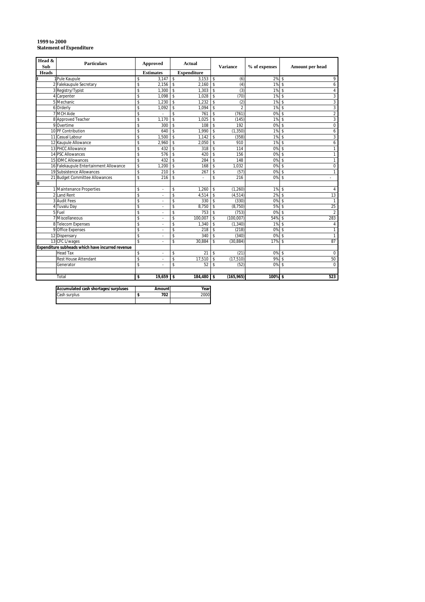| Head &<br><b>Particulars</b><br><b>Sub</b> |                                                  |                    | <b>Approved</b>  |                         | <b>Actual</b>      | <b>Variance</b>    |                | % of expenses |                         | Amount per head  |
|--------------------------------------------|--------------------------------------------------|--------------------|------------------|-------------------------|--------------------|--------------------|----------------|---------------|-------------------------|------------------|
| Heads                                      |                                                  |                    | <b>Estimates</b> |                         | <b>Expenditure</b> |                    |                |               |                         |                  |
|                                            | 1 Pule Kaupule                                   | \$                 | 3.147            | $\overline{\mathbf{s}}$ | $3.153$ \$         |                    | (6)            | 2%5           |                         | 9                |
|                                            | 2 Falekaupule Secretary                          | \$                 | 2.156            | \$                      | 2.160              | $\mathbb{S}$       | (4)            | $1\%$ \$      |                         | 6                |
|                                            | 3 Registry/Typist                                | \$                 | 1,300            | $\mathbf{\hat{S}}$      | 1,303              | \$                 | (3)            | 1%            | $\mathbf{\hat{s}}$      | $\overline{4}$   |
|                                            | 4 Carpenter                                      | \$                 | 1,098            | \$                      | 1.028              | \$                 | (70)           | $1\%$ \$      |                         | 3                |
|                                            | 5 Mechanic                                       | \$                 | 1.230            | \$                      | 1.232              | \$                 | (2)            | 1%            | $\mathbf{\hat{s}}$      | $\sqrt{3}$       |
|                                            | 6 Orderly                                        | \$                 | 1,092            | \$                      | 1,094              | \$                 | $\overline{2}$ | 1%            | $\mathsf{\$}$           | 3                |
|                                            | 7 MCH Aide                                       | \$                 |                  | \$                      | 761                | \$                 | (761)          | 0%            | $\mathsf{\$}$           | $\overline{2}$   |
|                                            | 8 Approved Teacher                               | \$                 | 1.170            | \$                      | 1.025              | \$                 | (145)          | 1%            | $\mathsf{\$}$           | 3                |
|                                            | 9 Overtime                                       | \$                 | 300              | $\mathbf{\hat{S}}$      | 108                | $\mathbf{\hat{S}}$ | 192            | 0%            | $\mathbf{\hat{s}}$      | $\mathbf 0$      |
|                                            | 10 PF Contribution                               | \$                 | 640              | \$                      | 1.990              | \$                 | (1, 350)       | 1%            | $\mathsf{\$}$           | 6                |
|                                            | 11 Casual Labour                                 | \$                 | 1.500            | s                       | 1.142              | s                  | (358)          | 1%            | $\overline{\mathbf{s}}$ | 3                |
|                                            | 12 Kaupule Allowance                             | \$                 | 2,960            | \$                      | 2,050              | \$                 | 910            | 1%            | $\mathsf{\$}$           | 6                |
|                                            | 13 PHCC Allowance                                | \$                 | 432              | \$                      | 318                | \$                 | 114            | 0%            | $\mathbf{\hat{s}}$      | $\mathbf{1}$     |
|                                            | 14 PSC Allowances                                | \$                 | 576              | \$                      | 420                | $\mathsf{s}$       | 156            | 0%            | $\mathsf{\$}$           | $\mathbf{1}$     |
|                                            | 15 IDMC Allowances                               | \$                 | 432              | $\mathbf{\hat{S}}$      | 284                | \$                 | 148            | 0%            | $\mathbf{\hat{s}}$      | $\mathbf{1}$     |
|                                            | 16 Falekaupule Entertainment Allowance           | \$                 | 1.200            | \$                      | 168                | \$                 | 1.032          | 0%            | $\mathsf{\$}$           | $\mathbf 0$      |
|                                            | 19 Subsistence Allowances                        | \$                 | 210              | \$                      | 267                | \$                 | (57)           | 0%            | -\$                     | $\mathbf{1}$     |
|                                            | 21 Budget Committee Allowances                   | \$                 | 216              | \$                      |                    | \$                 | 216            | 0%            | $\mathsf{\$}$           | ×.               |
| II                                         |                                                  |                    |                  |                         |                    |                    |                |               |                         |                  |
|                                            | 1 Maintenance Properties                         | \$                 | ä,               | \$                      | 1.260              | \$                 | (1,260)        | 1%            | $\mathsf{\$}$           | $\overline{4}$   |
|                                            | 2 Land Rent                                      | \$                 | ä,               | \$                      | 4,514              | \$                 | (4, 514)       | 2%            | $\mathsf{\$}$           | 13               |
|                                            | 3 Audit Fees                                     | \$                 | l,               | \$                      | 330                | \$                 | (330)          | 0%            | $\mathsf{\$}$           | $\overline{1}$   |
|                                            | 4 Tuvalu Day                                     | \$                 | ÷.               | \$                      | 8,750              | \$                 | (8,750)        | 5%            | $\mathbf{\hat{s}}$      | 25               |
|                                            | 5 Fuel                                           | \$                 | ä,               | \$                      | 753                | \$                 | (753)          | $0\%$ \$      |                         | $\overline{2}$   |
|                                            | 7 Miscellaneous                                  | \$                 | ä,               | \$                      | 100,007            | \$                 | (100,007)      | 54% \$        |                         | 283              |
|                                            | 8 Telecom Expenses                               | \$                 |                  | \$                      | 1.340              | \$                 | (1, 340)       | 1%            | -\$                     | 4                |
|                                            | 9 Office Expenses                                | \$                 | ä,               | \$                      | 218                | \$                 | (218)          | 0%            | $\mathbf{\hat{s}}$      | $\mathbf{1}$     |
|                                            | 12 Dispensary                                    | \$                 |                  | \$                      | 340                | \$                 | (340)          | 0%            | $\mathsf{\$}$           | $\overline{1}$   |
|                                            | 13 CFC L/wages                                   | $\mathbf{\hat{S}}$ |                  | \$                      | 30.884             | \$                 | (30.884)       | 17%           | $\mathbf{\hat{s}}$      | 87               |
|                                            | Expenditure subheads which have incurred revenue |                    |                  |                         |                    |                    |                |               |                         |                  |
|                                            | <b>Head Tax</b>                                  | \$                 |                  | \$                      | 21                 | \$                 | (21)           | 0%            | $\mathsf{\$}$           | $\boldsymbol{0}$ |
|                                            | <b>Rest House Attendant</b>                      | \$                 | l,               | \$                      | 17,510             | \$                 | (17, 510)      | 9%            | $\mathsf{\$}$           | 50               |
|                                            | Generator                                        | \$                 | ä,               | \$                      | 52                 | $\mathsf{s}$       | (52)           | 0%            | $\mathbf{\hat{s}}$      | $\Omega$         |
|                                            |                                                  |                    |                  |                         |                    |                    |                |               |                         |                  |
|                                            | Total                                            | \$                 | 19.659           | \$                      | 184,480 \$         |                    | (165, 965)     | 100%          | Ŝ.                      | 523              |

| 1999 to 2000                    |
|---------------------------------|
| <b>Statement of Expenditure</b> |
|                                 |

| Accumulated cash shortages/surpluses | Amount | Year |
|--------------------------------------|--------|------|
| Cash surplus                         | 702    | ეტე  |
|                                      |        |      |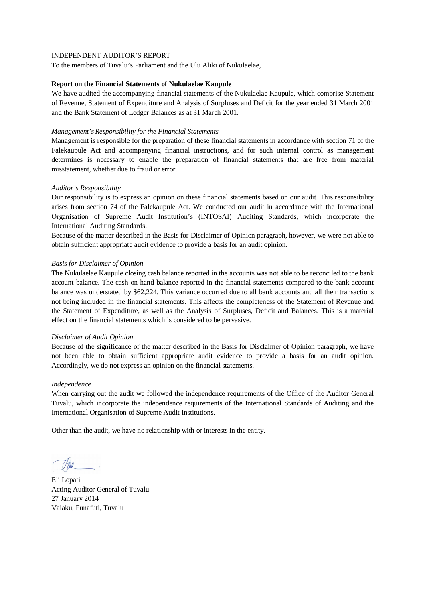To the members of Tuvalu's Parliament and the Ulu Aliki of Nukulaelae,

### **Report on the Financial Statements of Nukulaelae Kaupule**

We have audited the accompanying financial statements of the Nukulaelae Kaupule, which comprise Statement of Revenue, Statement of Expenditure and Analysis of Surpluses and Deficit for the year ended 31 March 2001 and the Bank Statement of Ledger Balances as at 31 March 2001.

## *Management's Responsibility for the Financial Statements*

Management is responsible for the preparation of these financial statements in accordance with section 71 of the Falekaupule Act and accompanying financial instructions, and for such internal control as management determines is necessary to enable the preparation of financial statements that are free from material misstatement, whether due to fraud or error.

# *Auditor's Responsibility*

Our responsibility is to express an opinion on these financial statements based on our audit. This responsibility arises from section 74 of the Falekaupule Act. We conducted our audit in accordance with the International Organisation of Supreme Audit Institution's (INTOSAI) Auditing Standards, which incorporate the International Auditing Standards.

Because of the matter described in the Basis for Disclaimer of Opinion paragraph, however, we were not able to obtain sufficient appropriate audit evidence to provide a basis for an audit opinion.

### *Basis for Disclaimer of Opinion*

The Nukulaelae Kaupule closing cash balance reported in the accounts was not able to be reconciled to the bank account balance. The cash on hand balance reported in the financial statements compared to the bank account balance was understated by \$62,224. This variance occurred due to all bank accounts and all their transactions not being included in the financial statements. This affects the completeness of the Statement of Revenue and the Statement of Expenditure, as well as the Analysis of Surpluses, Deficit and Balances. This is a material effect on the financial statements which is considered to be pervasive.

### *Disclaimer of Audit Opinion*

Because of the significance of the matter described in the Basis for Disclaimer of Opinion paragraph, we have not been able to obtain sufficient appropriate audit evidence to provide a basis for an audit opinion. Accordingly, we do not express an opinion on the financial statements.

### *Independence*

When carrying out the audit we followed the independence requirements of the Office of the Auditor General Tuvalu, which incorporate the independence requirements of the International Standards of Auditing and the International Organisation of Supreme Audit Institutions.

Eli Lopati Acting Auditor General of Tuvalu 27 January 2014 Vaiaku, Funafuti, Tuvalu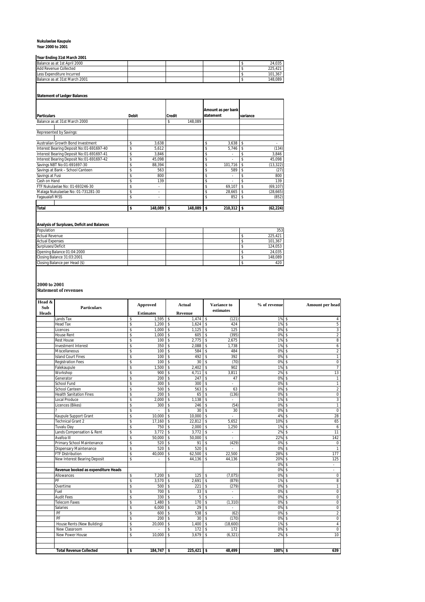# **Nukulaelae Kaupule Year 2000 to 2001**

# **Year Ending 31st March 2001**

| II GAI EN GINN GI JI SU NGA GILEO VI |  |  |  |  |         |  |  |  |  |  |
|--------------------------------------|--|--|--|--|---------|--|--|--|--|--|
| Balance as at 1st April 2000         |  |  |  |  | 24.035  |  |  |  |  |  |
| Add Revenue Collected                |  |  |  |  | 225.421 |  |  |  |  |  |
| Less Expenditure Incurred            |  |  |  |  | 101.367 |  |  |  |  |  |
| Balance as at 31st March 2001        |  |  |  |  | 148.089 |  |  |  |  |  |

# **Statement of Ledger Balances**

|                                          |              |         |               |         |           | Amount as per bank |          |           |
|------------------------------------------|--------------|---------|---------------|---------|-----------|--------------------|----------|-----------|
| <b>Particulars</b>                       | <b>Debit</b> |         | <b>Credit</b> |         | statement |                    | variance |           |
| Balance as at 31st March 2000            |              |         | \$            | 148.089 |           |                    |          |           |
|                                          |              |         |               |         |           |                    |          |           |
| Represented by Savings:                  |              |         |               |         |           |                    |          |           |
|                                          |              |         |               |         |           |                    |          |           |
| Australian Growth Bond Investment        | Ś            | 3,638   |               |         | \$        | 3,638              | \$       |           |
| Interest Bearing Deposit No:01-691697-40 | \$           | 5.612   |               |         | \$        | 5.746              | \$       | (134)     |
| Interest Bearing Deposit No:01-691697-41 | \$           | 3,846   |               |         | \$        |                    | \$       | 3,846     |
| Interest Bearing Deposit No:01-691697-42 | \$           | 45,098  |               |         | \$        | ٠                  | \$       | 45,098    |
| Savings NBT No:01-691697-30              | \$           | 88,394  |               |         | \$        | 101,716            | \$       | (13, 322) |
| Savings at Bank - School Canteen         | \$           | 563     |               |         | \$        | 589                | \$       | (27)      |
| Savings at Fusi                          | \$           | 800     |               |         | \$        | ٠                  | Ś        | 800       |
| Cash on Hand                             | \$           | 139     |               |         | \$        |                    | Ś        | 139       |
| FTF Nukulaelae No: 01-693246-30          | \$           | ٠       |               |         | \$        | 69.107             | \$       | (69, 107) |
| Malaga Nukulaelae No: 01-731281-30       | \$           | ٠       |               |         | \$        | 28,665             | \$       | (28, 665) |
| Faqaualafi MSS                           | \$           | ٠       |               |         | \$        | 852                | \$       | (852)     |
|                                          |              |         |               |         |           |                    |          |           |
| <b>Total</b>                             | \$           | 148.089 | \$            | 148.089 | \$        | 210.312            | \$       | (62, 224) |

# **Analysis of Surpluses, Deficit and Balances**

| Population                    |  |  | 353     |
|-------------------------------|--|--|---------|
| <b>Actual Revenue</b>         |  |  | 225.421 |
| <b>Actual Expenses</b>        |  |  | 101.367 |
| Surpluses/Deficit             |  |  | 124.053 |
| Opening Balance 01:04:2000    |  |  | 24.035  |
| Closing Balance 31:03:2001    |  |  | 148.089 |
| Closing Balance per Head (\$) |  |  | 420     |

**2000 to 2001 Statement of revenues**

| Head &       |                                     |                    | Approved                  |               | Actual           | Variance to |                | % of revenue | <b>Amount per head</b>             |
|--------------|-------------------------------------|--------------------|---------------------------|---------------|------------------|-------------|----------------|--------------|------------------------------------|
| Sub          | <b>Particulars</b>                  |                    |                           |               |                  |             | estimates      |              |                                    |
| <b>Heads</b> | Lands Tax                           | \$                 | <b>Estimates</b><br>1,595 | \$            | Revenue<br>1,474 | $\sim$      | (121)          | 1%           | $\overline{\mathbf{s}}$<br>4       |
|              | Head Tax                            | \$                 | 1,200                     | \$            | 1,624            | \$          | 424            | 1%           | 5<br>\$                            |
|              | Licences                            | \$                 | 1,000                     | \$            | 1,125            | \$          | 125            | 0%           | 3<br>\$                            |
|              | <b>House Rent</b>                   | \$                 | 1,000                     | \$            | 605              | \$          | (395)          | 0%           | \$<br>$\overline{2}$               |
|              | <b>Rest House</b>                   | \$                 | 100                       | $\mathsf{\$}$ | 2,775            | \$          | 2,675          | 1%           | 8<br>$\mathbf{\hat{S}}$            |
|              | <b>Investment Interest</b>          | \$                 | 350                       | \$            | 2,088            | \$          | 1,738          | 1%           | 6<br>$\mathbf{\hat{S}}$            |
|              | Miscellaneous                       | \$                 | 100                       | \$            | 584              | \$          | 484            | 0%           | \$<br>$\overline{2}$               |
|              | <b>Island Court Fines</b>           | \$                 | 100                       | \$            | 492              | \$          | 392            | 0%           | $\mathbf{1}$<br>\$                 |
|              | <b>Registration Fees</b>            | $\mathbf{\hat{S}}$ | 100                       | \$            | 30               | \$          | (70)           | 0%           | \$<br>0                            |
|              | Falekaupule                         | \$                 | 1,500                     | $\mathsf{\$}$ | 2,402            | \$          | 902            | 1%           | $\overline{7}$<br>$\mathsf{s}$     |
|              | Workshop                            | \$                 | 900                       | \$            | 4,711            | \$          | 3,811          | 2%           | 13<br>\$                           |
|              | Generator                           | \$                 | 200                       | \$            | 247              | \$          | 47             | 0%           | \$<br>1                            |
|              | School Fund                         | \$                 | 300                       | \$            | 300              | \$          | ä,             | 0%           | $\mathbf{\hat{S}}$<br>$\mathbf{1}$ |
|              | School Canteen                      | \$                 | 500                       | \$            | 563              | \$          | 63             | 0%           | $\overline{2}$<br>\$               |
|              | <b>Health Sanitation Fines</b>      | \$                 | 200                       | $\mathsf{\$}$ | 65               | \$          | (136)          | 0%           | 0<br>\$                            |
|              | Local Produce                       | \$                 | 2.000                     | \$            | 1.138            | \$          | L.             | 1%           | 3<br>\$                            |
|              | Licences (Bikes)                    | \$                 | 300                       | \$            | 246              | \$          | (54)           | 0%           | $\mathbf{1}$<br>\$                 |
|              |                                     | \$                 |                           | \$            | 30               | Ś           | 30             | 0%           | 0<br>\$                            |
|              | Kaupule Support Grant               | \$                 | 10,000                    | \$            | 10,000           | \$          | ä,             | 4%           | 28<br>\$                           |
|              | <b>Technical Grant 2</b>            | \$                 | 17,160                    | s.            | 22.812           | \$          | 5.652          | 10%          | 65<br>\$                           |
|              | <b>Tuvalu Day</b>                   | $\mathbf{\hat{S}}$ | 750                       | \$            | 2.000            | \$          | 1,250          | 1%           | \$<br>6                            |
|              | Lands Compensation & Rent           | \$                 | 3,772                     | $\mathsf{\$}$ | 3,772            | \$          | ä,             | 2%           | 11<br>\$                           |
|              | Avafoa III                          | s                  | 50,000                    | $\mathsf{\$}$ | 50,000           | \$          | ÷,             | 22%          | 142<br>\$                          |
|              | Primary School Maintenance          | \$                 | 520                       | \$            | 91               | \$          | (429)          | 0%           | \$<br>$\mathbf 0$                  |
|              | <b>Dispensary Maintenance</b>       | \$                 | 520                       | \$            | 520              | \$          | ٠              | 0%           | $\mathbf{1}$<br>\$                 |
|              | <b>FTF Distribution</b>             | \$                 | 40,000                    | \$            | 62,500           | \$          | 22,500         | 28%          | \$<br>177                          |
|              | New Interest Bearing Deposit        | \$                 |                           | \$            | 44,136           | \$          | 44,136         | 20%          | 125<br>\$                          |
|              |                                     |                    |                           |               |                  |             |                | 0%           | \$<br>$\mathcal{L}_{\mathcal{A}}$  |
|              | Revenue booked as expenditure Heads |                    |                           |               |                  |             |                | 0%           | \$<br>٠                            |
|              | Allowances                          | \$                 | 7,200                     | $\mathsf{\$}$ | 125              | \$          | (7,075)        | 0%           | \$<br>0                            |
|              | PF                                  | \$                 | 3,570                     | \$            | 2,691            | \$          | (879)          | 1%           | \$<br>8                            |
|              | Overtime                            | \$                 | 500                       | $\mathsf{\$}$ | 221              | \$          | (279)          | 0%           | $\mathbf{1}$<br>\$                 |
|              | Fuel                                | $\mathbf{\hat{S}}$ | 700                       | $\mathbf{s}$  | 33               | \$          | $\overline{a}$ | 0%           | 0<br>$\mathbf{\hat{S}}$            |
|              | <b>Audit Fees</b>                   | \$                 | 330                       | s.            | 5                | \$          | Ĭ.             | 0%           | 0<br>$\mathbf{\hat{S}}$            |
|              | <b>Telecom Faxes</b>                | \$                 | 1,480                     | \$            | 170              | \$          | (1, 310)       | 0%           | 0<br>$\mathbf{\hat{S}}$            |
|              | Salaries                            | \$                 | 6,000                     | \$            | 29               | \$          | Ĭ.             | 0%           | 0<br>\$                            |
|              | PF                                  | \$                 | 600                       | \$            | 538              | \$          | (62)           | 0%           | $\overline{2}$<br>\$               |
|              | PF                                  | \$                 | 200                       | \$            | 30               | \$          | (170)          | 0%           | $\mathbf{\hat{S}}$<br>0            |
|              | House Rents (New Building)          | \$                 | 20,000                    | \$            | 1,400            | \$          | (18,600)       | 1%           | \$<br>4                            |
|              | New Classroom                       | \$                 |                           | \$            | 172              | \$          | 172            | 0%           | 0<br>\$                            |
|              | New Power House                     | \$                 | 10.000                    | \$            | 3.679            | \$          | (6, 321)       | 2%           | 10<br>\$                           |
|              |                                     |                    |                           |               |                  |             |                |              |                                    |
|              |                                     |                    |                           |               |                  |             |                |              |                                    |
|              | <b>Total Revenue Collected</b>      | \$                 | $184,747$ \$              |               | $225,421$ \$     |             | 48,499         | 100% \$      | 639                                |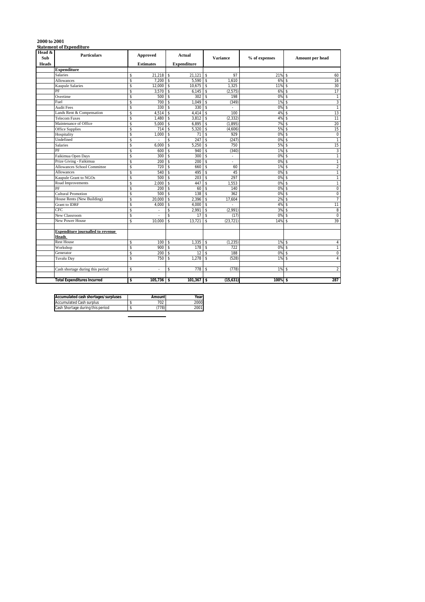| Head $\&$<br>Sub | Statement or Experientin e<br><b>Particulars</b> | Approved          |                    | <b>Actual</b>      | <b>Variance</b>                   | % of expenses | Amount per head                      |
|------------------|--------------------------------------------------|-------------------|--------------------|--------------------|-----------------------------------|---------------|--------------------------------------|
| <b>Heads</b>     |                                                  | <b>Estimates</b>  |                    | <b>Expenditure</b> |                                   |               |                                      |
|                  | <b>Expenditure</b>                               |                   |                    |                    |                                   |               |                                      |
|                  | Salaries                                         | 21,218<br>\$      | s.                 | 21,121             | \$<br>97                          | 21%           | 60<br>-\$                            |
|                  | <b>Allowances</b>                                | 7.200<br>\$       | \$                 | 5.590              | \$<br>1.610                       | 6%            | 16<br>$\mathbf{\hat{s}}$             |
|                  | Kaupule Salaries                                 | $12,000$ \$<br>\$ |                    | 10,675             | \$<br>1,325                       | 11%           | 30<br>\$                             |
|                  | PF                                               | \$<br>3,570       | \$                 | 6,145              | \$<br>(2, 575)                    | 6%            | 17<br>\$                             |
|                  | Overtime                                         | \$<br>500         | \$                 | 302                | \$<br>198                         | 0%            | $\mathbf{1}$<br>$\mathbf{\hat{S}}$   |
|                  | Fuel                                             | \$<br>700         | \$                 | 1,049              | \$<br>(349)                       | 1%            | 3<br>\$                              |
|                  | <b>Audit Fees</b>                                | 330<br>\$         | s.                 | 330                | \$<br>÷                           | 0%            | $\overline{1}$<br>-\$                |
|                  | Lands Rent & Compensation                        | \$<br>4,514       | \$                 | 4.414              | \$<br>100                         | 4%            | 13                                   |
|                  | <b>Telecom Faxes</b>                             | \$<br>1,480       |                    | \$<br>3,812        | \$<br>(2, 332)                    | 4%            | 11<br>$\mathbf{\hat{s}}$             |
|                  | Maintenance of Office                            | \$<br>5,000       | \$                 | 6,895              | \$<br>(1, 895)                    | 7%            | 20<br>-\$                            |
|                  | Office Supplies                                  | \$<br>714         | \$                 | 5,320              | \$<br>(4,606)                     | 5%            | 15                                   |
|                  | Hospitality                                      | \$<br>1,000       | \$                 | 71                 | \$<br>929                         | 0%            | $\mathbf 0$<br>$\mathbf{\hat{S}}$    |
|                  | Undefined                                        | \$                | \$                 | 247                | \$<br>(247)                       | 0%            | $\overline{1}$<br>$\mathbf{\hat{s}}$ |
|                  | Salaries                                         | \$<br>6,000       | \$                 | 5,250              | \$<br>750                         | 5%            | 15<br>$\mathbf{\hat{s}}$             |
|                  | PF                                               | \$<br>600         | $\mathbf{\hat{S}}$ | 940                | \$<br>(340)                       | 1%            | $\overline{3}$                       |
|                  | Faikimua Open Days                               | \$<br>300         | \$                 | 300                | \$<br>$\mathcal{L}_{\mathcal{A}}$ | 0%            | $\mathbf{1}$<br>-\$                  |
|                  | Prize Giving - Faikimua                          | 200<br>\$         | \$                 | 200                | \$<br>٠                           | 0%            | $\mathbf{1}$<br>-\$                  |
|                  | <b>Allowances School Committee</b>               | 720<br>\$         | \$                 | 660                | \$<br>60                          | 1%            | $\overline{2}$                       |
|                  | <b>Allowances</b>                                | \$<br>540         | $\mathbf{\hat{S}}$ | 495                | \$<br>45                          | 0%            | $\mathbf{1}$                         |
|                  | Kaupule Grant to NGOs                            | 500<br>\$         | \$                 | 203                | \$<br>297                         | 0%            | 1<br>\$                              |
|                  | Road Improvements                                | 2.000<br>\$       | \$                 | 447                | \$<br>1.553                       | 0%            | $\overline{1}$<br>-\$                |
|                  | PF                                               | \$<br>200         | \$                 | 60                 | \$<br>140                         | 0%            | $\overline{0}$<br>\$                 |
|                  | <b>Cultural Promotion</b>                        | \$<br>500         | \$                 | 138                | \$<br>362                         | 0%            | $\mathbf 0$<br>$\mathbf{\hat{s}}$    |
|                  | House Rents (New Building)                       | \$<br>20,000      | \$                 | 2,396              | \$<br>17,604                      | 2%            | $\overline{7}$<br>$\mathbf{\hat{s}}$ |
|                  | Grant to IDRF                                    | \$<br>4,000       | \$                 | 4,000              | \$                                | 4%            | 11                                   |
|                  | CFC                                              | \$<br>÷.          |                    | \$<br>2.991        | \$<br>(2,991)                     | 3%            | 8<br>\$                              |
|                  | New Classroom                                    | \$<br>٠           | \$                 | 17                 | \$<br>(17)                        | 0%            | $\mathbf 0$<br>\$                    |
|                  | New Power House                                  | \$<br>10,000      | \$                 | 13,721             | \$<br>(23, 721)                   | 14%           | 39<br>\$                             |
|                  | <b>Expenditure journalled to revenue</b>         |                   |                    |                    |                                   |               |                                      |
|                  | <b>Heads</b>                                     |                   |                    |                    |                                   |               |                                      |
|                  | <b>Rest House</b>                                | \$                | $100$ \$           | 1,335              | \$<br>(1, 235)                    | $1\%$ \$      | 4                                    |
|                  | Workshop                                         | \$<br>900         | \$                 | 178                | \$<br>722                         | 0%            | $\mathbf{\hat{S}}$<br>$\mathbf{1}$   |
|                  | Generator                                        | \$<br>200         | \$                 | 12                 | \$<br>188                         | 0%            | $\mathbf 0$<br>\$                    |
|                  | Tuvalu Day                                       | 750<br>\$         | \$                 | 1.278              | \$<br>(528)                       | 1%            | $\overline{4}$<br>$\mathbf{\hat{s}}$ |
|                  | Cash shortage during this period                 | \$<br>٠           | \$                 | 778                | \$<br>(778)                       | $1\%$ \$      | $\overline{2}$                       |
|                  | <b>Total Expenditures Incurred</b>               | \$<br>105,736     | \$                 | $101,367$ \$       | (15, 631)                         | 100% \$       | 287                                  |
|                  |                                                  |                   |                    |                    |                                   |               |                                      |

| Accumulated cash shortages/surpluses | Amount | Year |
|--------------------------------------|--------|------|
| <b>Accumulated Cash surplus</b>      | 702    | 2000 |
| Cash Shortage during this period     | 778    | 2001 |

# **2000 to 2001 Statement of Expenditure**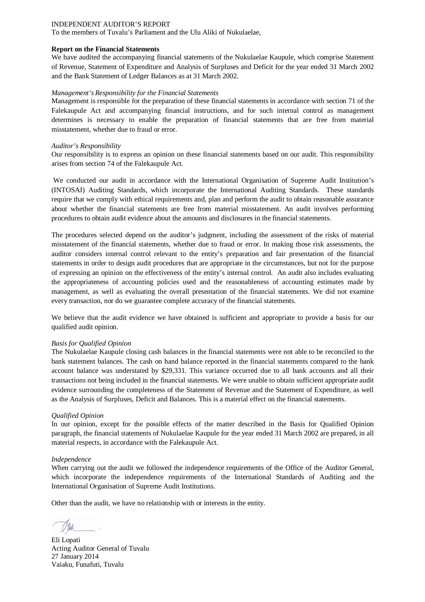To the members of Tuvalu's Parliament and the Ulu Aliki of Nukulaelae,

### **Report on the Financial Statements**

We have audited the accompanying financial statements of the Nukulaelae Kaupule, which comprise Statement of Revenue, Statement of Expenditure and Analysis of Surpluses and Deficit for the year ended 31 March 2002 and the Bank Statement of Ledger Balances as at 31 March 2002.

### *Management's Responsibility for the Financial Statements*

Management is responsible for the preparation of these financial statements in accordance with section 71 of the Falekaupule Act and accompanying financial instructions, and for such internal control as management determines is necessary to enable the preparation of financial statements that are free from material misstatement, whether due to fraud or error.

### *Auditor's Responsibility*

Our responsibility is to express an opinion on these financial statements based on our audit. This responsibility arises from section 74 of the Falekaupule Act.

We conducted our audit in accordance with the International Organisation of Supreme Audit Institution's (INTOSAI) Auditing Standards, which incorporate the International Auditing Standards. These standards require that we comply with ethical requirements and, plan and perform the audit to obtain reasonable assurance about whether the financial statements are free from material misstatement. An audit involves performing procedures to obtain audit evidence about the amounts and disclosures in the financial statements.

The procedures selected depend on the auditor's judgment, including the assessment of the risks of material misstatement of the financial statements, whether due to fraud or error. In making those risk assessments, the auditor considers internal control relevant to the entity's preparation and fair presentation of the financial statements in order to design audit procedures that are appropriate in the circumstances, but not for the purpose of expressing an opinion on the effectiveness of the entity's internal control. An audit also includes evaluating the appropriateness of accounting policies used and the reasonableness of accounting estimates made by management, as well as evaluating the overall presentation of the financial statements. We did not examine every transaction, nor do we guarantee complete accuracy of the financial statements.

We believe that the audit evidence we have obtained is sufficient and appropriate to provide a basis for our qualified audit opinion.

### *Basis for Qualified Opinion*

The Nukulaelae Kaupule closing cash balances in the financial statements were not able to be reconciled to the bank statement balances. The cash on hand balance reported in the financial statements compared to the bank account balance was understated by \$29,331. This variance occurred due to all bank accounts and all their transactions not being included in the financial statements. We were unable to obtain sufficient appropriate audit evidence surrounding the completeness of the Statement of Revenue and the Statement of Expenditure, as well as the Analysis of Surpluses, Deficit and Balances. This is a material effect on the financial statements.

### *Qualified Opinion*

In our opinion, except for the possible effects of the matter described in the Basis for Qualified Opinion paragraph, the financial statements of Nukulaelae Kaupule for the year ended 31 March 2002 are prepared, in all material respects, in accordance with the Falekaupule Act.

### *Independence*

When carrying out the audit we followed the independence requirements of the Office of the Auditor General, which incorporate the independence requirements of the International Standards of Auditing and the International Organisation of Supreme Audit Institutions.

Eli Lopati Acting Auditor General of Tuvalu 27 January 2014 Vaiaku, Funafuti, Tuvalu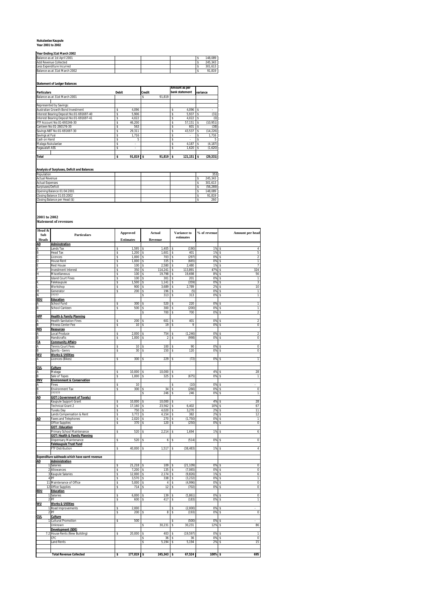### **Nukulaelae Kaupule Year 2001 to 2002**

### **Year Ending 31st March 2002**

| Balance as at 1st April 2001  |  |  | 148.089 |
|-------------------------------|--|--|---------|
| Add Revenue Collected         |  |  | 245.343 |
| Less Expenditure Incurred     |  |  | 301.613 |
| Balance as at 31st March 2002 |  |  | 91.819  |

### **Statement of Ledger Balances**

| <b>Particulars</b>                       | Debit |            | <b>Credit</b> |            |    | Amount as per<br>bank statement | variance |           |  |
|------------------------------------------|-------|------------|---------------|------------|----|---------------------------------|----------|-----------|--|
| Balance as at 31st March 2001            |       |            | \$            | 91.819     |    |                                 |          |           |  |
| Represented by Savings:                  |       |            |               |            |    |                                 |          |           |  |
| Australian Growth Bond Investment        |       | 4.096      |               |            | s  | 4.096                           | s        |           |  |
| Interest Bearing Deposit No:01-691697-40 |       | 5.906      |               |            | \$ | 5.937                           | s        | (31)      |  |
| Interest Bearing Deposit No:01-691697-41 |       | 4.022      |               |            | s  | 4.022                           |          | (0)       |  |
| FTF Account No:01-693246-30              |       | 46.200     |               |            | \$ | 57.151                          |          | (10.951)  |  |
| Canteen No:01-260176-30                  |       | 563        |               |            | s  | 601                             |          | (38)      |  |
| Savings NBT No:01-691697-30              |       | 29.311     |               |            | \$ | 43.537                          |          | (14, 226) |  |
| Savings at Fusi                          |       | 1.716      |               |            | \$ |                                 |          | 1.716     |  |
| Cash on Hand                             |       | 5          |               |            | s  | ٠                               |          | 5         |  |
| Malaga Nukulaelae                        |       | ٠          |               |            | s  | 4.187                           |          | (4, 187)  |  |
| Faqaualafi ASS                           |       | ٠          |               |            | s  | 1.620                           |          | (1,620)   |  |
| <b>Total</b>                             | \$    | $91.819$ S |               | $91.819$ S |    | $121.151$ \$                    |          | (29.331)  |  |

### **Analysis of Surpluses, Deficit and Balances**

| Population                    |  |  | 353      |
|-------------------------------|--|--|----------|
| <b>Actual Revenue</b>         |  |  | 245.343  |
| <b>Actual Expenses</b>        |  |  | 301.613  |
| Surpluses/Deficit             |  |  | (56.269) |
| Opening Balance 01:04:2001    |  |  | 148.089  |
| Closing Balance 31:03:2002    |  |  | 91.819   |
| Closing Balance per Head (\$) |  |  | 260      |
|                               |  |  |          |

**2001 to 2002 Statement of revenues**

| Head &                  |                                                             |          | <b>Approved</b>  | Actual                    | Variance to                | % of revenue | Amount per head                             |
|-------------------------|-------------------------------------------------------------|----------|------------------|---------------------------|----------------------------|--------------|---------------------------------------------|
| Sub<br><b>Heads</b>     | Particulars                                                 |          | <b>Estimates</b> | Revenue                   | estimates                  |              |                                             |
| AD                      | Adminstration                                               |          |                  |                           |                            |              |                                             |
| В                       | Lands Tax<br>Head Tax                                       | s<br>\$  | 1,595<br>1,200   | 1,405<br>s<br>\$<br>1,601 | (190)<br>s<br>401<br>s     | 1%<br>1%     | s<br>4<br>5<br>\$                           |
|                         | Licences                                                    | s        | 1,000            | 703<br>\$                 | (297)<br>s                 | 0%           | $\overline{2}$<br>s                         |
|                         | <b>House Rent</b>                                           | Š        | 1.000            | \$<br>335                 | (665)<br>s                 | 0%           | $\overline{1}$<br>Š                         |
|                         | <b>Rest House</b>                                           | s        | 100              | \$<br>2,580               | 2,480<br>s                 | 1%           | 7<br>s                                      |
|                         | <b>Investment Interest</b><br>Miscellaneous                 | \$       | 350<br>100       | 114,241<br>\$<br>19,798   | 113,891<br>\$<br>19,698    | 47%<br>8%    | 324<br>\$<br>56                             |
|                         | <b>Island Court Fines</b>                                   | \$<br>\$ | 100              | \$<br>301<br>s            | \$<br>201<br>s             | 0%           | \$<br>$\mathbf{1}$<br>s                     |
|                         | Falekaupule                                                 | \$       | 1,500            | \$<br>1,141               | (359)<br>\$                | 0%           | 3<br>s                                      |
|                         | Workshop                                                    | s        | 900              | 3,689<br>\$               | 2,789<br>\$                | 2%           | 10<br>\$                                    |
| M                       | Generator                                                   | \$       | 200              | \$<br>196                 | \$<br>(5)                  | 0%           | \$<br>1                                     |
| N<br>EDU                | 7777?<br><b>Education</b>                                   |          |                  | \$<br>313                 | Ś<br>313                   | 0%           | \$<br>$\mathbf{1}$                          |
| Α                       | School Fund                                                 | s        | 300              | 520<br>s                  | 220<br>Ś                   | 0%           | $\mathbf{1}$<br>s                           |
| B                       | School Canteen                                              | \$       | 500              | s<br>300                  | \$<br>(200)                | 0%           | \$<br>$\mathbf{1}$                          |
|                         |                                                             |          |                  | 700<br>\$                 | 700<br>\$                  | 0%           | \$<br>2                                     |
| <b>HFP</b>              | <b>Health &amp; Family Planning</b>                         |          |                  |                           |                            |              |                                             |
| Α<br>R                  | <b>Health Sanitation Fines</b><br><b>Fitness Center Fee</b> | s<br>\$  | 200<br>10        | 601<br>s<br>\$<br>19      | 401<br>s<br>Ś<br>9         | 0%<br>0%     | $\overline{2}$<br>s<br>$\overline{0}$<br>\$ |
| RE                      | Resources                                                   |          |                  |                           |                            |              |                                             |
| Α                       | Local Produce                                               | s        | 2,000            | 754<br>s                  | (1, 246)<br>s              | 0%           | $\overline{\mathbf{c}}$<br>s                |
| <b>B</b>                | Handicrafts                                                 | \$       | 1,000            | \$<br>$\mathfrak{p}$      | (998)<br>\$                | 0%           | $\overline{0}$<br>s                         |
| CA                      | <b>Community Affairs</b>                                    |          |                  |                           |                            |              |                                             |
| Α<br>R                  | Tennis Court Fees                                           | s<br>s   | 10<br>30         | 100<br>s<br>150<br>Ś      | 90<br>s<br>120<br>s        | 0%<br>0%     | $\overline{0}$<br>s<br>$\Omega$<br>s        |
| wl                      | Sports - Genrs<br><b>Works &amp; Utilities</b>              |          |                  |                           |                            |              |                                             |
| А                       | Licences (Bikes)                                            | Ś        | 300              | 229<br>Ś                  | (72)<br>Ś                  | 0%           | Ś<br>$\mathbf{1}$                           |
|                         |                                                             |          |                  |                           |                            |              |                                             |
| <b>CUL</b>              | Culture                                                     |          |                  |                           |                            |              |                                             |
| А<br>R                  | Malaga                                                      | s<br>\$  | 10,000<br>1,000  | 10,000<br>\$<br>\$<br>325 | s<br>(675)<br>s            | 4%<br>0%     | 28<br>s<br>$\mathbf{1}$<br>\$               |
| ENV                     | Sale of Tapes<br><b>Environment &amp; Conservation</b>      |          |                  |                           |                            |              |                                             |
|                         | Fines                                                       | Š        | 10               |                           | (10)<br>Ś                  | 0%           | s                                           |
| R                       | Environment Tax                                             | \$       | 300              | 34<br>Ś                   | (266)<br>Ś                 | 0%           | $\bf 0$<br>s                                |
|                         | mm                                                          |          |                  | 246<br>s                  | 246<br>s                   | 0%           | \$<br>$\mathbf{1}$                          |
| AD                      | <b>GOT (Government of Tuvalu)</b><br>Kaupule Support Grant  | s        | 10,000           | 10,000<br>\$              | Ś                          | 4%           | 28<br>s                                     |
|                         | Technical Grant 2                                           | s        | 17,160           | 23,562<br>s               | 6,402<br>s                 | 10%          | 67<br>s                                     |
|                         | Tuvalu Day                                                  | \$       | 750              | 4,020<br>\$               | 3,270<br>s                 | 2%           | 11<br>\$                                    |
|                         | Lands Compensation & Rent                                   | \$       | 3,772            | s<br>4,154                | 382<br>Ś                   | 2%           | \$<br>12                                    |
| <b>AD</b>               | <b>Faxes and Telephones</b>                                 | \$       | 2,020            | \$<br>270                 | (1,750)<br>Š               | 0%           | \$<br>1                                     |
|                         | <b>Office Supplies</b><br><b>GOT: Education</b>             | \$       | 370              | s<br>120                  | (250)<br>Š                 | 0%           | $\overline{0}$<br>s                         |
|                         | Primary School Maintenance                                  | \$       | 520              | 2,214<br>s                | 1,694<br>s                 | 1%           | 6<br>s                                      |
|                         | <b>GOT: Health &amp; Family Planning</b>                    |          |                  |                           |                            |              |                                             |
|                         | Dispensary Maintenance                                      | Ś        | 520              | 6<br>s                    | (514)<br>Ś                 | 0%           | $\overline{0}$<br>Ś                         |
|                         | <b>Falekaupule Trust Fund</b>                               |          |                  |                           |                            |              |                                             |
|                         | <b>FTF Distribution</b>                                     | \$       | 40,000           | \$<br>1,517               | (38, 483)                  | 1%           | 4<br>\$                                     |
|                         | Expenditure subheads which have earnt revenue               |          |                  |                           |                            |              |                                             |
| AD                      | Administration                                              |          |                  |                           |                            |              |                                             |
| 1                       | Salaries                                                    | s        | 21,218           | 109<br>\$                 | (21, 109)<br>s             | 0%           | $\Omega$<br>s                               |
| $\overline{2}$<br>3     | Allowances                                                  | Ś        | 7.200<br>12,000  | \$<br>135                 | (7.065)<br>Ś<br>Ś          | 0%<br>1%     | $\overline{0}$<br>Ś                         |
|                         | Kaupule Salaries<br>4 PF                                    | \$<br>\$ | 3,570            | \$<br>2,174<br>\$<br>338  | (9,826)<br>(3, 232)<br>Ś   | 0%           | \$<br>6<br>Ś<br>1                           |
|                         | 11 Maintenance of Office                                    | s        | 5,000            | 4<br>s                    | (4,996)<br>s               | 0%           | 0<br>s                                      |
|                         | 12 Office Supplies                                          | \$       | 714              | s<br>12                   | \$<br>(702)                | 0%           | \$<br>$\,0\,$                               |
| EDU                     | Education                                                   |          |                  |                           |                            |              |                                             |
| 1<br>$\overline{2}$     | Salaries                                                    | s<br>\$  | 6,000<br>600     | 139<br>s<br>417<br>s      | (5,861)<br>s<br>(183)<br>s | 0%<br>0%     | $\overline{0}$<br>s<br>1<br>\$              |
| <b>WU</b>               | <b>Works &amp; Utilities</b>                                |          |                  |                           |                            |              |                                             |
|                         | Road Improvements                                           | \$       | 2,000            |                           | (2,000)<br>Ś               | 0%           | Ś                                           |
| $\overline{\mathbf{2}}$ | PF                                                          | s        | 200              | 8<br>s                    | (193)<br>s                 | 0%           | $\bf 0$<br>s                                |
| <b>CUL</b>              | Culture                                                     |          |                  |                           |                            |              |                                             |
|                         | Cultural Promotion                                          | \$       | 500              | s                         | (500)<br>s<br>Š            | 0%<br>12%    | s<br>86<br>s                                |
|                         | Unknown<br>Development (SDE)                                |          |                  | 30,231                    | 30,231                     |              |                                             |
| 72                      | House Rents (New Building)                                  | \$       | 20,000           | Ś<br>403                  | Š<br>(19, 597)             | 0%           | Š<br>$\mathbf{1}$                           |
|                         | CFC                                                         |          |                  | Ś<br>36                   | Ś<br>36                    | 0%           | $\overline{0}$<br>Ś                         |
|                         | Land Rents                                                  |          |                  | \$<br>5,194               | s<br>5,194                 | 2%           | \$<br>15                                    |
|                         |                                                             |          |                  |                           |                            |              |                                             |
|                         | <b>Total Revenue Collected</b>                              | \$       | 177,819          | S<br>$245,343$ \$         | 67,524                     | 100%         | 695<br>s                                    |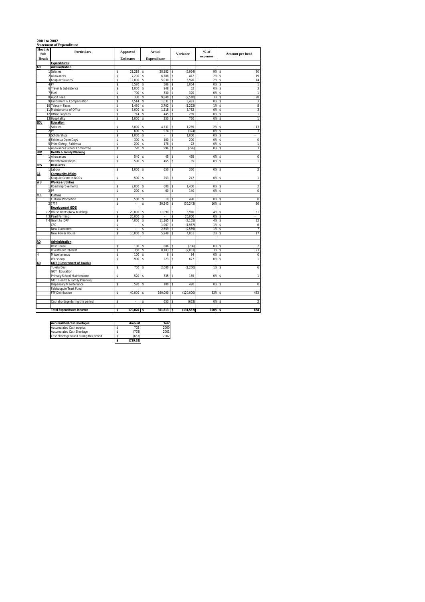# **2001 to 2002 Statement of Expenditure**

| Head &<br>Sub  | Particulars                                                 |          | Approved         |          | Actual             | Variance                      | $\%$ of  | Amount per head |                                  |
|----------------|-------------------------------------------------------------|----------|------------------|----------|--------------------|-------------------------------|----------|-----------------|----------------------------------|
| <b>Heads</b>   |                                                             |          | <b>Estimates</b> |          | <b>Expenditure</b> |                               | expenses |                 |                                  |
|                | <b>Expenditures:</b>                                        |          |                  |          |                    |                               |          |                 |                                  |
| AD             | <b>Administration</b>                                       |          |                  |          |                    |                               |          |                 |                                  |
|                | Salaries                                                    | s        | 21,218           | \$       | 28,182             | (6,964)<br>\$                 | 9%       | s               | 80                               |
| $\overline{a}$ | Allowances                                                  | \$       | 7,200            | \$       | 6,788              | 412<br>\$                     | 2%       | \$              | 19                               |
| 3              | Kaupule Salaries                                            | \$       | 12,000           | \$       | 5,030              | 6,970<br>\$                   | 2%       | \$              | 14                               |
|                | 4 PF                                                        | \$       | 3,570            | \$       | 506                | \$<br>3,064                   | 0%       | \$              | 1                                |
| 6              | Travel & Subsistence                                        | s        | 1,000            | \$       | 948                | 52<br>s                       | 0%       | s               | 3                                |
| 7              | Fuel                                                        | \$       | 700              | \$       | 330                | 370<br>Ś                      | 0%       | Ś               | 1                                |
|                | 8 Audit Fees                                                | s        | 330              | s        | 9,840              | (9, 510)<br>\$                | 3%       | s               | 28                               |
|                | 9 Lands Rent & Compensation<br>10 Telecom Faxes             | \$<br>\$ | 4,514<br>1,480   | \$<br>\$ | 1,031<br>2,702     | \$<br>3,483<br>\$<br>(1, 222) | 0%<br>1% | s<br>s          | 3<br>8                           |
|                | 11 Maintenance of Office                                    | \$       | 5,000            | s        | 1,218              | 3.782<br>\$                   | 0%       | s               | 3                                |
|                | 12 Office Supplies                                          | \$       | 714              | \$       | 445                | 269<br>\$                     | 0%       | Ś               | $\overline{1}$                   |
|                | 13 Hospitality                                              | s        | 1,000            | \$       | 250                | 750<br>\$                     | 0%       | s               | $\overline{1}$                   |
| EDU            | Education                                                   |          |                  |          |                    |                               |          |                 |                                  |
| 1              | Salaries                                                    | \$       | 6,000            | \$       | 4,731              | 1,269<br>s                    | 2%       | s               | 13                               |
|                | 2 PF                                                        | \$       | 600              | \$       | 974                | \$<br>(374)                   | 0%       | s               | 3                                |
|                | 3 Scholarships                                              | \$       | 1,000            | s        |                    | 1.000<br>s                    | 0%       | s               |                                  |
|                | 4 Faikimua Open Days                                        | s        | 300              | \$       | 100                | \$<br>200                     | 0%       | Ś               | $\overline{0}$                   |
|                | 5 Prize Giving - Faikimua                                   | s        | 200              | s        | 178                | 22<br>s                       | 0%       | s               | 1                                |
| 6              | Allowances School Committee                                 | \$       | 720              | \$       | 996                | (276)<br>Ś                    | 0%       | Ś               | 3                                |
| <b>HFP</b>     | <b>Health &amp; Family Planning</b>                         |          |                  |          |                    |                               |          |                 |                                  |
| 1              | Allowances                                                  | \$       | 540              | \$       | 45                 | 495<br>\$                     | 0%       | \$              | $\overline{0}$                   |
| 2              | <b>Health Workshops</b>                                     | s        | 500              | s        | 465                | 35<br>s                       | 0%       | s               | 1                                |
| <b>RES</b>     | Resources                                                   |          |                  |          |                    |                               |          |                 |                                  |
|                | Labour                                                      | s        | 1,000            | \$       | 650                | 350<br>Ś                      | 0%       | Ś               | $\overline{2}$                   |
| СA             | <b>Community Affairs</b>                                    |          |                  |          |                    |                               |          |                 |                                  |
|                | Kaupule Grant to NGOs                                       | \$       | 500              | \$       | 253                | 247<br>\$                     | 0%       | \$              | 1                                |
| WU             | <b>Works &amp; Utilities</b>                                |          |                  |          |                    |                               |          |                 |                                  |
|                | 1 Road Improvements<br>2 PF                                 | s<br>s   | 2,000<br>200     | s<br>s   | 600<br>60          | 1.400<br>s<br>140             | 0%<br>0% | s<br>s          | $\overline{2}$<br>$\overline{0}$ |
| CUL            | Culture                                                     |          |                  |          |                    | \$                            |          |                 |                                  |
| 1              | Cultural Promotion                                          | \$       | 500              | \$       | 10                 | 490<br>\$                     | 0%       | s               | $\overline{0}$                   |
|                | ????                                                        | \$       | ł.               | \$       | 30,243             | (30, 243)<br>\$               | 10%      | \$              | 86                               |
|                | <b>Development (SDE)</b>                                    |          |                  |          |                    |                               |          |                 |                                  |
|                | 7.2 House Rents (New Building)                              | s        | 20,000           | \$       | 11,090             | 8.910<br>\$                   | 4%       | Ś               | 31                               |
|                | 7.3 Pearl Farming                                           | \$       | 20,000           | \$       |                    | 20,000<br>\$                  | 0%       | s               |                                  |
|                | 7.4 Grant to IDRF                                           | \$       | 4,000            | \$       | 11,165             | \$<br>(7, 165)                | 4%       | s               | 32                               |
|                | CFC                                                         | \$       |                  | \$       | 1,967              | (1,967)<br>\$                 | 1%       | s               | 6                                |
|                | New Classroom                                               | \$       |                  | \$       | 2,559              | \$<br>(2, 559)                | 1%       | \$              |                                  |
|                | New Power House                                             | s        | 10,000           | s        | 5.949              | s<br>4,051                    | 2%       | s               | 17                               |
|                |                                                             |          |                  |          |                    |                               |          |                 |                                  |
| <b>AD</b>      | <b>Administration</b>                                       |          |                  |          |                    |                               |          |                 |                                  |
|                | <b>Rest House</b>                                           | \$       | 100              | \$       | 806                | (706)<br>\$                   | 0%       | s               | $\sqrt{2}$                       |
|                | Investment Interest                                         | \$       | 350              | \$       | 8,183              | \$<br>(7, 833)                | 3%       | \$              | 23                               |
| н              | Miscellaneous                                               | s        | 100              | s        | 6                  | 94<br>s                       | 0%       | s               | $\,0\,$                          |
|                | Workshop                                                    | s        | 900              | s        | 223                | 677<br>ŝ                      | 0%       | s               | ī                                |
| <b>AD</b>      | <b>GOT (Government of Tuvalu)</b>                           |          |                  |          |                    |                               |          |                 |                                  |
|                | Tuvalu Day                                                  | s        | 750              | \$       | 2,000              | (1, 250)<br>s                 | 1%       | s               | 6                                |
|                | <b>GOT: Education</b>                                       | \$       | 520              |          | 335                | 185<br>s                      | 0%       |                 | 1                                |
|                | Primary School Maintenance<br>GOT: Health & Family Planning |          |                  | \$       |                    |                               |          | \$              |                                  |
|                | Dispensary Maintenance                                      | s        | 520              | \$       | 100                | 420<br>Ś                      | 0%       | Ś               | $\overline{0}$                   |
|                | Falekaupule Trust Fund                                      |          |                  |          |                    |                               |          |                 |                                  |
|                | FTF Distribution                                            | s        | 40,000           | Ś        | 160,000            | (120,000)<br>\$               | 53%      | Ś               | 453                              |
|                |                                                             |          |                  |          |                    |                               |          |                 |                                  |
|                | Cash shortage during this period                            | \$       | ï                | Ś        | 653                | Ś<br>(653)                    | 0%       | Ś               | $\overline{2}$                   |
|                |                                                             |          |                  |          |                    |                               |          |                 |                                  |
|                | <b>Total Expenditures Incurred</b>                          | \$       | 170,026          | \$       | 301,613            | \$<br>(131, 587)              | 100%     | \$              | 854                              |
|                |                                                             |          |                  |          |                    |                               |          |                 |                                  |

| <b>Accumulated cash shortages</b>      | Amount   | Year |
|----------------------------------------|----------|------|
| <b>Accumulated Cash surplus</b>        | 702      | 2000 |
| Accumulated Cash Shortage              | (778)    | 2001 |
| Cash shortage found during this period | (653)    | 2002 |
|                                        | (729.62) |      |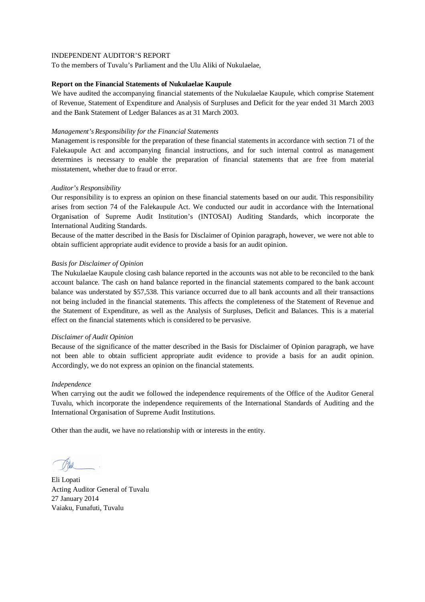To the members of Tuvalu's Parliament and the Ulu Aliki of Nukulaelae,

### **Report on the Financial Statements of Nukulaelae Kaupule**

We have audited the accompanying financial statements of the Nukulaelae Kaupule, which comprise Statement of Revenue, Statement of Expenditure and Analysis of Surpluses and Deficit for the year ended 31 March 2003 and the Bank Statement of Ledger Balances as at 31 March 2003.

## *Management's Responsibility for the Financial Statements*

Management is responsible for the preparation of these financial statements in accordance with section 71 of the Falekaupule Act and accompanying financial instructions, and for such internal control as management determines is necessary to enable the preparation of financial statements that are free from material misstatement, whether due to fraud or error.

# *Auditor's Responsibility*

Our responsibility is to express an opinion on these financial statements based on our audit. This responsibility arises from section 74 of the Falekaupule Act. We conducted our audit in accordance with the International Organisation of Supreme Audit Institution's (INTOSAI) Auditing Standards, which incorporate the International Auditing Standards.

Because of the matter described in the Basis for Disclaimer of Opinion paragraph, however, we were not able to obtain sufficient appropriate audit evidence to provide a basis for an audit opinion.

### *Basis for Disclaimer of Opinion*

The Nukulaelae Kaupule closing cash balance reported in the accounts was not able to be reconciled to the bank account balance. The cash on hand balance reported in the financial statements compared to the bank account balance was understated by \$57,538. This variance occurred due to all bank accounts and all their transactions not being included in the financial statements. This affects the completeness of the Statement of Revenue and the Statement of Expenditure, as well as the Analysis of Surpluses, Deficit and Balances. This is a material effect on the financial statements which is considered to be pervasive.

### *Disclaimer of Audit Opinion*

Because of the significance of the matter described in the Basis for Disclaimer of Opinion paragraph, we have not been able to obtain sufficient appropriate audit evidence to provide a basis for an audit opinion. Accordingly, we do not express an opinion on the financial statements.

### *Independence*

When carrying out the audit we followed the independence requirements of the Office of the Auditor General Tuvalu, which incorporate the independence requirements of the International Standards of Auditing and the International Organisation of Supreme Audit Institutions.

Eli Lopati Acting Auditor General of Tuvalu 27 January 2014 Vaiaku, Funafuti, Tuvalu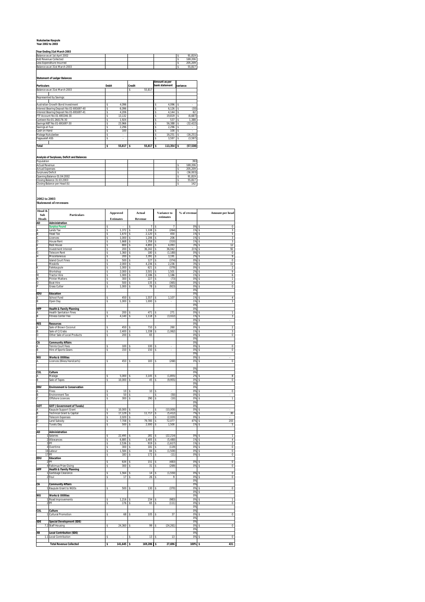### **Nukulaelae Kaupule Year 2002 to 2003**

### **Year Ending 31st March 2003**

| Tegi Liiging 3 ist march 2003 |  |  |         |
|-------------------------------|--|--|---------|
| Balance as at 1st April 2002  |  |  | 91.819  |
| Add Revenue Collected         |  |  | 169.206 |
| Less Expenditure Incurred     |  |  | 205,209 |
| Balance as at 31st March 2003 |  |  | 55.817  |

**Statement of Ledger Balances**

| <b>Particulars</b>                       | <b>Debit</b> |            | Credit |        |    | Amount as per<br>bank statement | variance |           |  |
|------------------------------------------|--------------|------------|--------|--------|----|---------------------------------|----------|-----------|--|
| Balance as at 31st March 2003            |              |            | \$     | 55.817 |    |                                 |          |           |  |
| Represented by Savings:                  |              |            |        |        |    |                                 |          |           |  |
| Australian Growth Bond Investment        | Ś            | 4.096      |        |        | s  | 4.096                           |          |           |  |
| Interest Bearing Deposit No:01-691697-40 | Ś            | 6.096      |        |        | s  | 6.126                           |          | (30)      |  |
| Interest Bearing Deposit No:01-691697-41 | Ś            | 4.206      |        |        | s  | 4.144                           |          | 62        |  |
| FTF Account No:01-693246-30              | Ś            | 13.132     |        |        | s  | 19.819                          |          | (6,687)   |  |
| Canteen No:01-260176-30                  | Ś            | 1.924      |        |        | s  | 537                             |          | 1.388     |  |
| Savings NBT No:01-691697-30              | Ś            | 23.966     |        |        | s  | 56.388                          |          | (32, 422) |  |
| Savings at Fusi                          | Ś            | 2.296      |        |        | s  | 2.296                           |          |           |  |
| Cash on Hand                             | s            | 100        |        |        | s  | 100                             |          |           |  |
| Malaga Nukulaelae                        | Ś            | ٠          |        |        | s  | 16.251                          | Ś        | (16, 251) |  |
| Faqaualafi ASS                           | s            | ٠          |        |        | s  | 3.597                           |          | (3.597)   |  |
| <b>Total</b>                             | s            | $55.817$ S |        | 55.817 | Ts | $113,354$ \$                    |          | (57, 538) |  |

**Analysis of Surpluses, Deficit and Balances**

| Population                    |  |  | 393      |
|-------------------------------|--|--|----------|
| Actual Revenue                |  |  | 169.206  |
| <b>Actual Expenses</b>        |  |  | 205.209  |
| Surpluses/Deficit             |  |  | (36.003) |
| Opening Balance 01:04:2002    |  |  | 91.819   |
| Closing Balance 31:03:2003    |  |  | 55.817   |
| Closing Balance per Head (\$) |  |  | 142      |

**2002 to 2003 Statement of revenues**

| Head &      |                                                                       |              | <b>Approved</b>  |                         | Actual         |                         | Variance to       | % of revenue          |                            |                              |
|-------------|-----------------------------------------------------------------------|--------------|------------------|-------------------------|----------------|-------------------------|-------------------|-----------------------|----------------------------|------------------------------|
| Sub         | Particulars                                                           |              |                  |                         |                |                         | estimates         |                       |                            | Amount per head              |
| Heads<br>AD | Administration                                                        |              | <b>Estimates</b> |                         | Revenue        |                         |                   |                       |                            |                              |
|             | <b>Surplus Found</b>                                                  |              |                  | s                       |                | s                       | 7                 | 0%                    | -5                         | $\overline{0}$               |
|             | Lands Tax                                                             | s            | 1,372            | \$                      | 1,108          | s                       | (264)             | 1%                    | s                          | 3                            |
|             | <b>Head Tax</b>                                                       | s            | 1,670            | s                       | 2,120          | s                       | 450               | 1%                    | ŝ                          | 5                            |
|             | Licences<br><b>House Rent</b>                                         | s<br>s       | 1,000<br>1,668   | s<br>s                  | 1,206<br>1.358 | s<br>s                  | 206<br>(310)      | 1%<br>1%              | -5<br>$\tilde{\mathbf{x}}$ | 3<br>3                       |
|             | <b>Rest House</b>                                                     | S            | 800              | s                       | 4,893          | S                       | 4,093             | 3%                    | \$                         | 12                           |
|             | <b>Investment Interest</b>                                            | Ś            | 200              | s                       | 36,242         | s                       | 36,042            | 21%                   | \$                         | 92                           |
|             | <b>Telecom Rent</b>                                                   | s            | 1.360            | $\mathbf{\hat{S}}$      | 180            | s                       | (1, 180)          | $0\%$                 | $\tilde{\mathbf{S}}$       | $\Omega$                     |
|             | Miscellaneous                                                         | S            | 200              | s                       | 3,391          | S                       | 3,191             | 2%                    | \$                         | 9                            |
|             | <b>Island Court Fines</b><br>Mealofa                                  | \$<br>s      | 500<br>2.000     | s<br>$\mathbf{\hat{S}}$ | 127<br>4.236   | s<br>s                  | (374)<br>2.236    | 0%<br>3%              | \$<br>$\tilde{\mathbf{S}}$ | O<br>11                      |
|             | Falekaupule                                                           | $\mathbf{s}$ | 1.000            | s                       | 621            | s                       | (379)             | 0%                    | s                          | $\overline{\mathbf{2}}$      |
|             | Workshop                                                              | \$           | 2,000            | \$                      | 3,501          | S                       | 1,501             | 2%                    | \$                         | 9                            |
|             | <b>Tractor Hire</b>                                                   | s            | 1.000            | s                       | 2,186          | s                       | 1.186             | 1%                    | s                          | $\overline{6}$               |
|             | <b>Printer Matters</b>                                                | $\mathbf{s}$ | 300              | s                       | 227            | $\mathbf{s}$            | (73)              | 0%                    | \$                         | 1                            |
|             | <b>Boat Hire</b>                                                      | Ś            | 500              | \$                      | 135            | s                       | (365)             | 0%                    | Ś                          | 0                            |
|             | <b>Grass Cutter</b>                                                   | s            | 1,000            | \$                      | 78             | $\overline{\mathbf{s}}$ | (923)             | 0%<br>0%              | $\overline{\mathbf{s}}$    | $\overline{0}$               |
| EDU         | Education                                                             |              |                  |                         |                |                         |                   | 0%                    |                            |                              |
|             | School Fund                                                           | Ś            | 450              | Ś                       | 1,557          | s                       | 1,107             | 1%                    |                            | 4                            |
|             | Open Day                                                              | Ś            | 1,000            | ś                       | 1,000          | s                       |                   | 1%                    | \$                         | 3                            |
|             |                                                                       |              |                  |                         |                |                         |                   | 0%                    |                            |                              |
| HFP         | <b>Health &amp; Family Planning</b><br><b>Health Sanitation Fines</b> |              | 200              |                         | 471            |                         | 271               | 0%<br>0%              |                            |                              |
|             | <b>Fitness Center Fee</b>                                             | s<br>s       | 4,140            | s<br>\$                 | 1,118          | s<br>s                  | (3,022)           | 1%                    | \$                         | 1<br>3                       |
|             |                                                                       |              |                  |                         |                |                         |                   | 0%                    | \$                         |                              |
| RES         | <b>Resources</b>                                                      |              |                  |                         |                |                         |                   | 0%                    |                            |                              |
|             | Sale of Brown Coconut                                                 | s            | 450              | s                       | 710            | s                       | 260               | 0%                    | s                          | $\overline{2}$               |
|             | Sale of C/Crabs                                                       | S            | 2,400            | \$                      | 1,338          | S                       | (1,062)           | 1%                    | s                          | 3                            |
|             | Other Sale of Local Products                                          | \$           | 200              | \$                      | 65             |                         |                   | 0%<br>0 <sup>92</sup> | \$                         | O                            |
| CA          | <b>Community Affairs</b>                                              |              |                  |                         |                |                         |                   | 0%                    |                            |                              |
|             | Tennis Court Fees                                                     | \$           | 100              | \$                      | 100            | s                       |                   | 0%                    |                            | O                            |
|             | Hire of Sports Gears                                                  | s            | 150              | s                       | 150            | s                       |                   | 0%                    | \$                         | $\overline{0}$               |
|             |                                                                       |              |                  |                         |                |                         |                   | 0%                    |                            |                              |
| WU          | <b>Works &amp; Utilities</b>                                          |              |                  |                         |                |                         |                   | 0%                    |                            |                              |
|             | Licences (Bikes/Handcarts)                                            | \$           | 450              | \$                      | 183            | Ś                       | (268)             | 0%                    | \$                         | O                            |
|             |                                                                       |              |                  |                         |                |                         |                   | 0%                    |                            |                              |
| CUL         | Culture                                                               |              |                  |                         |                |                         |                   | 0%                    |                            |                              |
|             | Malaga                                                                | s            | 5.000            | s                       | 3.145          | s                       | (1, 855)          | 2%                    |                            | 8                            |
|             | Sale of Tapes                                                         | s            | 10,000           | s                       | 45             | s                       | (9,955)           | 0%                    | Ś                          | 0                            |
|             |                                                                       |              |                  |                         |                |                         |                   | 0%                    |                            |                              |
| ENV         | <b>Environment &amp; Conservation</b><br>Fines                        | $\mathbf{s}$ | 10               | s                       | 10             | s                       |                   | 0%<br>0%              | \$                         | $\overline{0}$               |
|             | <b>Environment Tax</b>                                                | S            | 50               | s                       |                | \$                      | (50)              | 0%                    | s                          |                              |
|             | <b>Offshore Licences</b>                                              | Ś            | 300              | s                       | 290            | s                       | (10)              | 0%                    | s                          | 1                            |
|             |                                                                       |              |                  |                         |                |                         |                   | 0%                    |                            |                              |
| <b>GOT</b>  | <b>GOT (Government of Tuvalu)</b>                                     |              |                  |                         |                |                         |                   | 0%                    |                            |                              |
|             | Kaupule Support Grant                                                 | s            | 10,000           | \$                      |                | s                       | (10,000)          | 0%                    |                            |                              |
|             | Technical Grant & Capital                                             | s            | 17.129           | $\mathbf{\hat{S}}$      | 11.717         | s                       | (5, 412)          | 7%                    | \$                         | 30                           |
|             | <b>Telecom Expenses</b><br><b>Land Subsidy</b>                        | Ś<br>\$      | 2,020<br>7,708   | \$<br>s                 | 79,785         | s<br>S                  | (2,020)<br>72,077 | 0%<br>47%             | Ś<br>Ś                     | 203                          |
|             | Tuvalu Day                                                            | S            | 500              | \$                      | 2,000          | \$                      | 1,500             | 1%                    | \$                         | 5                            |
|             |                                                                       |              |                  |                         |                |                         |                   |                       |                            |                              |
| AD          | Administration                                                        |              |                  |                         |                |                         |                   |                       |                            |                              |
|             | 1 Salaries                                                            | \$           | 22,495           | \$                      | 281            | s                       | (22, 214)         | 0%                    | Ś                          | 1                            |
| 3           | 2 Allowances<br><b>PF</b>                                             | s<br>s       | 6,885            | $\mathbf{s}$            | 1405<br>919    | s<br>s                  | (5,480)           | 1%<br>1%              | $\tilde{\mathbf{x}}$<br>s  | $\overline{4}$               |
|             | 4 Overtime                                                            | ś            | 2,536<br>300     | \$<br>s                 | 181            | S                       | (1,617)<br>(119)  | 0%                    | $\overline{\mathbf{s}}$    | $\overline{\mathbf{c}}$<br>0 |
|             | 16 Labour                                                             | Ś            | 1,584            | s                       | 84             | s                       | (1,500)           | 0%                    | $\mathbf{s}$               | $\overline{0}$               |
|             | 17 PF                                                                 | s            | 183              | \$                      | 172            | s                       | (11)              | 0%                    | \$                         | 0                            |
| EDU         | <b>Education</b>                                                      |              |                  |                         |                |                         |                   |                       |                            |                              |
|             | $2$ PF                                                                | s            | 634              | s                       | 151            | s                       | (483)             | 0%                    | s                          | Ō                            |
| <b>HFP</b>  | 4 Faikimua Prize Giving                                               | s            | 300              | \$                      | 31             | S                       | (269)             | 0%                    | \$                         | 0                            |
|             | <b>Health &amp; Family Planning</b><br>1 Garbbage Clearance           | s            | 1.564            | s                       | 14             | s                       | (1.550)           | 0%                    |                            | O                            |
|             | 2 Feul                                                                | s            | 17               | \$                      | 26             | s                       | 9                 | 0%                    | \$                         | 0                            |
|             |                                                                       |              |                  |                         |                |                         |                   | 0%                    |                            |                              |
| CA          | <b>Community Affairs</b>                                              |              |                  |                         |                |                         |                   | 0%                    |                            |                              |
|             | 1 Kaupule Grant to NGOs                                               | Ś            | 500              | s                       | 130            | s                       | (370)             | 0%                    |                            | $\overline{\mathbf{0}}$      |
| WU          | <b>Works &amp; Utilities</b>                                          |              |                  |                         |                |                         |                   | 0%<br>0%              | <sub>\$</sub>              |                              |
|             | 1 Road Improvements                                                   | s            | 1,216            | $\mathbf{\hat{S}}$      | 234            | s                       | (983)             | 0%                    | \$                         | ī                            |
|             | $2$ PF                                                                | s            | 176              | s                       | 65             | s                       | (111)             | 0%                    | \$                         | $\overline{0}$               |
|             |                                                                       |              |                  |                         |                |                         |                   | 0%                    |                            |                              |
| <b>CUL</b>  | Culture                                                               |              |                  |                         |                |                         |                   | 0%                    |                            |                              |
|             | 1 Cultural Promotion                                                  | Ś            | 68               | $\mathbf{\hat{S}}$      | 105            | s                       | 37                | 0%                    | s                          | $\overline{0}$               |
| SDE         | <b>Special Development (SDE)</b>                                      |              |                  |                         |                |                         |                   | 0%<br>0%              |                            |                              |
| 7.2         | Staff Housing                                                         | s            | 24,360           | s                       | 99             | s                       | (24, 261)         | 0%                    |                            | $\overline{\mathbf{0}}$      |
|             |                                                                       |              |                  |                         |                |                         |                   | 0%                    |                            |                              |
| XB          | <b>Local Contribution (SDE)</b>                                       |              |                  |                         |                |                         |                   | 0%                    |                            |                              |
| 1.1         | Local Contribution                                                    | s            |                  | s                       | 13             | s                       | 13                | 0%                    |                            | $\overline{0}$               |
|             | <b>Total Revenue Collected</b>                                        | ٩            | 141.645          | \$                      | $169.206$ S    |                         | 27.696            | 100%                  |                            | 431                          |
|             |                                                                       |              |                  |                         |                |                         |                   |                       |                            |                              |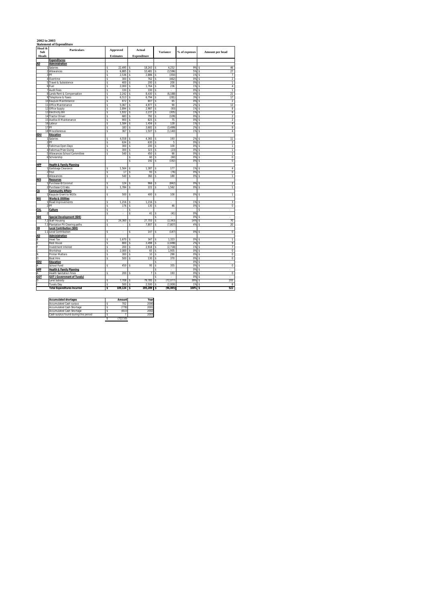### **2002 to 2003 Statement of Expenditure**

| Head &<br>Sub  | <b>Particulars</b>                                |         | <b>Approved</b>  |         | Actual             |         | <b>Variance</b> | % of expenses | Amount per head |                                |  |
|----------------|---------------------------------------------------|---------|------------------|---------|--------------------|---------|-----------------|---------------|-----------------|--------------------------------|--|
| Heads          |                                                   |         | <b>Estimates</b> |         | <b>Expenditure</b> |         |                 |               |                 |                                |  |
|                | <b>Expenditures:</b>                              |         |                  |         |                    |         |                 |               |                 |                                |  |
| <b>AD</b>      | Administration                                    |         |                  |         |                    |         |                 |               |                 |                                |  |
|                | 1 Salaries                                        | Ś       | 22.495           | s       | 18.243             | s       | 4.252           | 9%            | ś               | 46                             |  |
|                | 2 Allowances                                      | s       | 6,885            | \$      | 10,481             | \$      | (3,596)         | 5%            | Ś               | 27                             |  |
|                | 3 <sub>PF</sub>                                   | s       | 2.536            | \$      | 2.886              | \$      | (350)           | 1%            | Ś               |                                |  |
|                | 4 Overtime<br>5 Travel & Subsistence              | Ś       | 300<br>400       | \$<br>Ś | 762<br>200         | \$      | (462)<br>200    | 0%<br>0%      | \$<br>Ś         | $\overline{2}$                 |  |
|                | 6 Fuel                                            | \$<br>s | 2,000            | Ś       | 1,764              | \$<br>s | 236             | 1%            | ŝ               | $\mathbf{1}$<br>$\overline{4}$ |  |
|                | 7 Audit Fees                                      | \$      | 330              | Ś       | 330                | \$      | ×,              | 0%            | Ś               | 1                              |  |
|                | 8 Lands Rent & Compensation                       | \$      | 2.242            | Ś       | 8,430              | \$      | (6, 188)        | 4%            | \$              | 21                             |  |
|                | 9 Telephone & Faxes                               | Ś       | 6,513            | \$      | 6,794              | \$      | (281)           | 3%            | \$              | 17                             |  |
|                | 10 Kaupule Maintenance                            | s       | 872              | Ś       | 807                | s       | 65              | 0%            | Ś               | $\overline{\mathbf{2}}$        |  |
|                | 11 Office Maintenance                             | \$      | 5,067            | s       | 4,977              | Ś       | 90              | 2%            | Ś               | 13                             |  |
|                | 12 Office Supply                                  | \$      | 2,894            | Ś       | 2,987              | \$      | (93)            | 1%            | Ś               | 8                              |  |
|                | 13 Electricity Bill                               | \$      | 1,932            | \$      | 2,237              | \$      | (305)           | 1%            | Ś               | $\overline{6}$                 |  |
|                | 14 Tractor Driver                                 | s       | 683              | Ś       | 792                | s       | (109)           | 0%            | Ś               | $\overline{2}$                 |  |
|                | 15 Avafoa III Maintenance                         | s       | 900              | Ś       | 825                | s       | 75              | 0%            | Ś               | $\overline{2}$                 |  |
|                | 16 Labour                                         | Ś       | 1,584            | \$      | 1,456              | \$      | 128             | 1%            | \$              | $\overline{4}$                 |  |
|                | 17 PF                                             | s       | 183              | \$      | 3,682              | \$      | (3.499)         | 2%            | Ś               | 9                              |  |
|                | 18 Miscellaneous                                  | ś       | 367              | Ś       | 1,507              | s       | (1, 140)        | 1%            | Ś               | $\overline{4}$                 |  |
| <b>EDU</b>     | <b>Education</b>                                  |         |                  |         |                    |         |                 |               |                 |                                |  |
|                | 1 Salaries                                        | Ś       | 4,558            | Ś       | 4,365              | Ś       | 193             | 2%            | Ś               | $\overline{11}$                |  |
|                | $2$ PF                                            | Ś<br>s  | 634<br>300       | \$      | 630<br>200         | \$<br>ŝ | 5<br>100        | 0%<br>0%      | \$              | $\overline{2}$                 |  |
|                | 3 Faikimua Open Days<br>4 Faikimua Prize Giving   | s       | 300              | Ś       | 323                | s       | (23)            | 0%            | Ś<br>Ś          | $\overline{1}$<br>ī            |  |
|                | 5 Allowances School Committee                     | Ś       | 540              | \$<br>Ś | 450                | \$      | 90              | 0%            | Ś               | 1                              |  |
|                | 6 Scholarship                                     |         |                  | \$      | 60                 | \$      | (60)            | 0%            | Ś               | $\overline{0}$                 |  |
|                |                                                   |         |                  | \$      | 192                | \$      | (192)           | 0%            | \$              | $\overline{0}$                 |  |
| <b>HFP</b>     | <b>Health &amp; Family Planning</b>               |         |                  |         |                    |         |                 |               |                 |                                |  |
|                | 1 Garbbage Clearance                              | \$      | 1,564            | \$      | 1,387              | \$      | 177             | 1%            | Ś               | $\overline{4}$                 |  |
|                | 2 Feul                                            | Ś       | $\overline{17}$  | Ś       | 93                 | ś       | (76)            | 0%            | Ś               | $\overline{0}$                 |  |
|                | 3 Allowances                                      | \$      | 540              | \$      | 360                | \$      | 180             | 0%            | \$              | $\mathbf{1}$                   |  |
| <b>RES</b>     | <b>Resources</b>                                  |         |                  |         |                    |         |                 |               |                 |                                |  |
|                | 1 Purchase B/Coconut                              | Ś       | 124              | Ś       | 966                | Ś       | (842)           | 0%            | ¢               | $\overline{2}$                 |  |
|                | 2 Purchase C/Crabs                                | Ś       | 1,784            | \$      | 222                | \$      | 1,562           | 0%            | \$              | $\overline{1}$                 |  |
| СA             | <b>Community Affairs</b>                          |         |                  |         |                    |         |                 |               |                 |                                |  |
|                | 1 Kaupule Grant to NGOs                           | s       | 500              | s       | 400                | s       | 100             | 0%            | Ś               | $\overline{1}$                 |  |
| WU             | <b>Works &amp; Utilities</b>                      |         |                  |         |                    |         |                 |               |                 |                                |  |
|                | 1 Road Improvements                               | \$      | 1.216            | \$      | 1.216              | \$      |                 | 1%            | Ś               | $\overline{\mathbf{3}}$        |  |
|                | 2 <sub>PF</sub>                                   | \$      | 176<br>L.        | \$<br>Ś | 130<br>l,          | \$      | 46              | 0%            | \$              | $\overline{0}$<br>J.           |  |
| CUL            | Culture                                           | Ś<br>s  | l,               | \$      | 41                 | \$      | (41)            | 0%            | Ś               |                                |  |
| SDE            | Special Development (SDE)                         |         |                  |         |                    | \$      | ÷.              | 0%            | Ś               | ×,                             |  |
|                | 7.2 Staff Housing                                 | \$      | 24,360           | \$      | 27,703             | \$      | (3, 343)        | 14%           | \$              | 70                             |  |
|                | 7.3 Plantation Pit Clearing paths                 | s       | ÷                | Ś       | 7,807              | ŝ       | (7, 807)        | 4%            | Ś               | 20                             |  |
| XB             | <b>Local Contribution (SDE)</b>                   |         |                  |         |                    |         |                 |               |                 |                                |  |
|                | 1.1 Local Contribution                            | Ś       | ä,               | Ś       | 147                | Ś       | (147)           | 0%            | Ś               | $\overline{0}$                 |  |
| AD             | <b>Administration</b>                             |         |                  |         |                    |         |                 |               |                 |                                |  |
| B              | <b>Head Tax</b>                                   | \$      | 1,670            | \$      | 347                | \$      | 1,323           | 0%            | Ś               | $\overline{1}$                 |  |
|                | <b>Rest House</b>                                 | s       | 800              | s       | 3.498              | s       | (2.698)         | 2%            | \$              | 9                              |  |
|                | Investment Interest                               | \$      | 200              | \$      | 2,918              | \$      | (2, 718)        | 1%            | \$              | 7                              |  |
|                | Workshop                                          | s       | 2,000            | s       | 65                 | \$      | 1,935           | 0%            | \$              | $\overline{0}$                 |  |
| N              | <b>Printer Matters</b>                            | ś       | 300              | Ś       | 10                 | s       | 290             | 0%            | Ś               | $\overline{0}$                 |  |
| $\overline{0}$ | <b>Boat Hire</b>                                  | Ś       | 500              | \$      | 130                | s       | 370             | 0%            | \$              | $\overline{0}$                 |  |
| <b>FDU</b>     | Education                                         |         |                  |         |                    | ś       | ÷.              | 0%            | \$              | l,                             |  |
| А              | School Fund                                       | \$      | 450              | \$      | 95                 | \$      | 355             | 0%            | Ś               | $\overline{0}$                 |  |
| HFP            | <b>Health &amp; Family Planning</b>               |         | 200              |         | 7                  | \$      | ÷.              | 0%<br>0%      | \$              | ÷.                             |  |
|                | <b>Health Sanitation Fines</b>                    | Ś       |                  | \$      |                    | \$<br>s | 193             | 0%            | Ś<br>Ś          | $\overline{0}$                 |  |
| <b>GOT</b>     | <b>GOT (Government of Tuvalu)</b><br>Land Subsidy | \$      | 7.708            | s       | 79.785             | \$      | (72, 077)       | 39%           | \$              | 203                            |  |
| D              | <b>Tuvalu Day</b>                                 | s       | 500              | Ś       | 2,500              | s       | (2,000)         | 1%            | Ś               | 6                              |  |
|                | <b>Total Expenditures Incurred</b>                | 3       | $109.124$ S      |         | 205,209 \$         |         | (96.085)        | 100%          | 3               | 522                            |  |

| <b>Accumulated shortages</b>          | Amount   | Year |
|---------------------------------------|----------|------|
| <b>Accumulated Cash surpus</b>        | 702      | 2000 |
| Accumulated Cash Shortage             | (778)    | 2001 |
| Accumulated Cash Shortage             | (653)    | 2002 |
| Cash surplus found during this period |          | 2003 |
|                                       | (722.50) |      |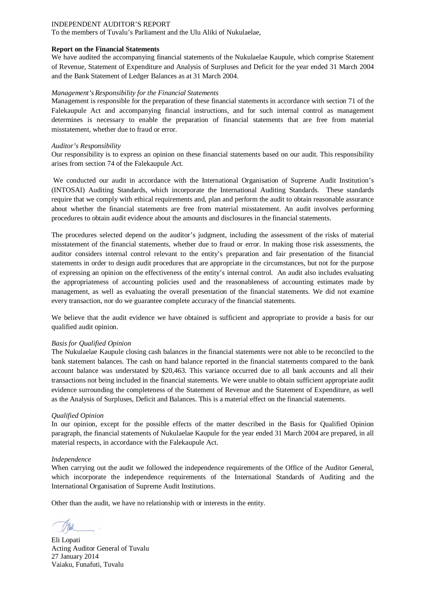To the members of Tuvalu's Parliament and the Ulu Aliki of Nukulaelae,

### **Report on the Financial Statements**

We have audited the accompanying financial statements of the Nukulaelae Kaupule, which comprise Statement of Revenue, Statement of Expenditure and Analysis of Surpluses and Deficit for the year ended 31 March 2004 and the Bank Statement of Ledger Balances as at 31 March 2004.

### *Management's Responsibility for the Financial Statements*

Management is responsible for the preparation of these financial statements in accordance with section 71 of the Falekaupule Act and accompanying financial instructions, and for such internal control as management determines is necessary to enable the preparation of financial statements that are free from material misstatement, whether due to fraud or error.

### *Auditor's Responsibility*

Our responsibility is to express an opinion on these financial statements based on our audit. This responsibility arises from section 74 of the Falekaupule Act.

We conducted our audit in accordance with the International Organisation of Supreme Audit Institution's (INTOSAI) Auditing Standards, which incorporate the International Auditing Standards. These standards require that we comply with ethical requirements and, plan and perform the audit to obtain reasonable assurance about whether the financial statements are free from material misstatement. An audit involves performing procedures to obtain audit evidence about the amounts and disclosures in the financial statements.

The procedures selected depend on the auditor's judgment, including the assessment of the risks of material misstatement of the financial statements, whether due to fraud or error. In making those risk assessments, the auditor considers internal control relevant to the entity's preparation and fair presentation of the financial statements in order to design audit procedures that are appropriate in the circumstances, but not for the purpose of expressing an opinion on the effectiveness of the entity's internal control. An audit also includes evaluating the appropriateness of accounting policies used and the reasonableness of accounting estimates made by management, as well as evaluating the overall presentation of the financial statements. We did not examine every transaction, nor do we guarantee complete accuracy of the financial statements.

We believe that the audit evidence we have obtained is sufficient and appropriate to provide a basis for our qualified audit opinion.

### *Basis for Qualified Opinion*

The Nukulaelae Kaupule closing cash balances in the financial statements were not able to be reconciled to the bank statement balances. The cash on hand balance reported in the financial statements compared to the bank account balance was understated by \$20,463. This variance occurred due to all bank accounts and all their transactions not being included in the financial statements. We were unable to obtain sufficient appropriate audit evidence surrounding the completeness of the Statement of Revenue and the Statement of Expenditure, as well as the Analysis of Surpluses, Deficit and Balances. This is a material effect on the financial statements.

### *Qualified Opinion*

In our opinion, except for the possible effects of the matter described in the Basis for Qualified Opinion paragraph, the financial statements of Nukulaelae Kaupule for the year ended 31 March 2004 are prepared, in all material respects, in accordance with the Falekaupule Act.

### *Independence*

When carrying out the audit we followed the independence requirements of the Office of the Auditor General, which incorporate the independence requirements of the International Standards of Auditing and the International Organisation of Supreme Audit Institutions.

Eli Lopati Acting Auditor General of Tuvalu 27 January 2014 Vaiaku, Funafuti, Tuvalu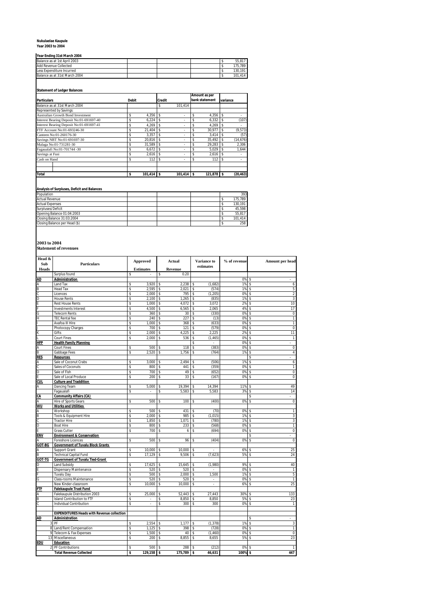# **Nukulaelae Kaupule Year 2003 to 2004**

| Year Ending 31st March 2004 |  |  |  |  |  |  |
|-----------------------------|--|--|--|--|--|--|
|-----------------------------|--|--|--|--|--|--|

| <b>TIGGILIUILIU 3 ISLIVICIUI 400 T</b> |  |  |            |
|----------------------------------------|--|--|------------|
| Balance as at 1st April 2003           |  |  | 55.817     |
| Add Revenue Collected                  |  |  | 175.789    |
| Less Expenditure Incurred              |  |  | 130.191    |
| Balance as at 31st March 2004          |  |  | 414<br>101 |

# **Statement of Ledger Balances**

| <b>Particulars</b>                       | <b>Debit</b> | <b>Credit</b> |                    | Amount as per<br>bank statement | variance     |    |           |
|------------------------------------------|--------------|---------------|--------------------|---------------------------------|--------------|----|-----------|
| Balance as at 31st March 2004            |              |               | \$                 | 101.414                         |              |    |           |
| Represented by Savings:                  |              |               |                    |                                 |              |    |           |
| Australian Growth Bond Investment        | \$           | 4.356         | \$                 | $\overline{\phantom{a}}$        | \$<br>4.356  | \$ |           |
| Interest Bearing Deposit No:01-691697-40 | \$           | 6.224         | \$                 | $\overline{\phantom{a}}$        | \$<br>6.332  | \$ | (107)     |
| Interest Bearing Deposit No:01-691697-41 | \$           | 4.269         | \$                 | $\overline{\phantom{a}}$        | \$<br>4.269  |    |           |
| FTF Account No:01-693246-30              | \$           | 21.404        | $\mathbf{\hat{S}}$ | ٠                               | \$<br>30.977 | \$ | (9, 573)  |
| Canteen No:01-260176-30                  | \$           | 3.357         | \$                 | $\overline{\phantom{a}}$        | \$<br>3.414  |    | (57)      |
| Savings NBT No:01-691697-30              | \$           | 20.816        | \$                 | ٠                               | \$<br>35.492 | s  | (14, 676) |
| Malaga No:01-731281-30                   |              | 31.589        | \$                 | $\overline{\phantom{a}}$        | \$<br>29.283 |    | 2.306     |
| Fagaualafi No:01-701744 -30              |              | 6.672         | \$                 | $\overline{\phantom{a}}$        | \$<br>5.029  |    | 1.644     |
| Savings at Fusi                          |              | 2.616         | \$                 | $\overline{\phantom{a}}$        | 2.616        |    |           |
| Cash on Hand                             | \$           | 112           |                    | $\overline{\phantom{a}}$        | \$<br>112    |    |           |
| <b>Total</b>                             | \$           | $101.414$ \$  |                    | $101.414$ \$                    | 121.878 \$   |    | (20, 463) |

# **Analysis of Surpluses, Deficit and Balances**

| Population                    |  |  | 393     |
|-------------------------------|--|--|---------|
| <b>Actual Revenue</b>         |  |  | 175.789 |
| <b>Actual Expenses</b>        |  |  | 130.191 |
| Surpluses/Deficit             |  |  | 45.598  |
| Opening Balance 01:04:2003    |  |  | 55.817  |
| Closing Balance 31:03:2004    |  |  | 101.414 |
| Closing Balance per Head (\$) |  |  | 258     |

**2003 to 2004 Statement of revenues**

| Head &       |                                                   | <b>Approved</b>  |              | <b>Actual</b> |    | Variance to          | % of revenue | Amount per head      |
|--------------|---------------------------------------------------|------------------|--------------|---------------|----|----------------------|--------------|----------------------|
| Sub          | <b>Particulars</b>                                |                  |              |               |    | estimates            |              |                      |
| <b>Heads</b> |                                                   | <b>Estimates</b> |              | Revenue       |    |                      |              |                      |
|              | Surplus found                                     | \$               |              | \$<br>0.20    |    |                      |              |                      |
| AD           | Administration                                    |                  |              |               |    |                      | 0%           | \$                   |
|              | Land Tax                                          | \$               | 3,920        | \$<br>2,238   | \$ | (1,682)              | 1%           | \$<br>6              |
| B            | <b>Head Tax</b>                                   | \$               | 2,595        | \$<br>2,021   | \$ | (574)                | 1%           | 5<br>\$              |
|              | Licences                                          | \$               | 2,000        | \$<br>795     | \$ | (1, 205)             | 0%           | 2<br>\$              |
| D            | <b>House Rents</b>                                | \$               | 2,100        | \$<br>1,265   | \$ | (835)                | 1%           | 3<br>\$              |
|              | <b>Rest House Rents</b>                           | \$               | 1,000        | \$<br>4,072   | \$ | 3,072                | 2%           | 10<br>\$             |
|              | <b>Investments Interest</b>                       | \$               | 4,500        | \$<br>6,565   | \$ | 2.065                | 4%           | 17<br>\$             |
|              | <b>Telecom Rents</b>                              | \$               | 360          | \$<br>30      | \$ | (330)                | 0%           | $\overline{0}$<br>\$ |
|              | <b>TEC Rental fee</b>                             | \$               | 240          | \$<br>227     | \$ | (13)                 | 0%           | $\overline{1}$<br>\$ |
|              | Avafoa III Hire                                   | \$               | 1,000        | \$<br>368     | \$ | (633)                | 0%           | 1<br>\$              |
|              | Photocopy Charges                                 | \$               | 700          | \$<br>121     | \$ | (579)                | 0%           | $\pmb{0}$<br>\$      |
|              | Gifts                                             | \$               | 2,000        | \$<br>4.225   | \$ | 2.225                | 2%           | 11<br>\$             |
|              | <b>Court Fines</b>                                | \$               | 2,000        | \$<br>536     | \$ | (1, 465)             | 0%           | \$<br>$\mathbf{1}$   |
| <b>HFP</b>   | <b>Health Family Planning</b>                     |                  |              |               | \$ |                      | 0%           | \$                   |
|              | Court Fines                                       | \$               | 500          | \$<br>118     | \$ | (383)                | 0%           | $\mathbf 0$<br>\$    |
|              | Gabbage Fees                                      | \$               | 2,520        | \$<br>1.756   | \$ | (764)                | 1%           | $\overline{4}$<br>Ś  |
| <b>RES</b>   | <b>Resources</b>                                  |                  |              |               |    |                      |              | \$                   |
|              | Sale of Coconut Crabs                             | \$               | 3,000        | \$<br>2,494   | \$ | (506)                | 1%           | \$<br>6              |
|              | Sales of Coconuts                                 | \$               | 800          | \$<br>441     | \$ | (359)                | 0%           | \$<br>1              |
| D            | Sale of Fish                                      | \$               | 700          | \$<br>49      | \$ | (652)                | 0%           | $\mathbf 0$<br>\$    |
|              | Sale of Local Produce                             | \$               | 200          | \$<br>33      | Ś  | (167)                | 0%           | \$<br>$\mathbf 0$    |
| CUL          | <b>Culture and Traddition</b>                     |                  |              |               |    |                      |              |                      |
|              | Dancing Team                                      | \$               | 5,000        | \$<br>19,394  | \$ | 14,394               | 11%          | 49<br>\$             |
|              | Faqaualafi                                        | \$               | ×            | \$<br>5,583   | \$ | 5,583                | 3%           | 14<br>\$             |
| CA           | <b>Community Affairs (CA)</b>                     |                  |              |               |    |                      |              | \$                   |
|              | Hire of Sports Gears                              | \$               | 500          | \$<br>100     | \$ | (400)                | 0%           | $\pmb{0}$<br>\$      |
| WU           | <b>Works and Utilities</b>                        |                  |              |               |    |                      |              |                      |
|              | Workshop                                          | \$               | 500          | \$<br>431     | \$ | (70)                 | 0%           | 1<br>\$              |
| B            | Tools & Equipment Hire                            | \$               | 2,000        | \$<br>985     | \$ | (1, 015)             | 1%           | 3<br>\$              |
|              | <b>Tractor Hire</b>                               | \$               | 1,850        | \$<br>1,071   | \$ | (780)                | 1%           | 3<br>Ś               |
|              | <b>Boat Hire</b>                                  | \$               | 800          | \$<br>233     | \$ | (568)                | 0%           | 1<br>\$              |
|              | Grass Cutter                                      | \$               | 700          | \$<br>6       | \$ | (694)                | 0%           | \$<br>$\pmb{0}$      |
| ENV          | <b>Environment &amp; Conservation</b>             |                  |              |               |    |                      |              | \$                   |
|              | <b>Foreshore Licences</b>                         | \$               | 500          | \$<br>96      | \$ | (404)                | 0%           | $\mathbf 0$<br>Ś     |
| GOT-BG       | <b>Government of Tuvalu Block Grants</b>          |                  |              |               |    |                      |              |                      |
|              | Support Grant                                     | \$               | 10,000       | \$<br>10,000  | \$ | $\ddot{\phantom{a}}$ | 6%           | 25<br>Ś              |
| R            | <b>Technical Capital Fund</b>                     | \$               | 17,129       | \$<br>9,506   | \$ | (7,623)              | 5%           | 24<br>\$             |
| GOT-TG       | <b>Government of Tuvalu Tied-Grant</b>            |                  |              |               |    |                      |              |                      |
|              | Land Subsidy                                      | \$               | 17,625       | \$<br>15,645  | \$ | (1,980)              | 9%           | 40<br>Ś              |
|              | Dispensary Maintenance                            | \$               | 520          | \$<br>520     | \$ |                      | 0%           | \$<br>$\mathbf{1}$   |
|              | <b>Tuvalu Day</b>                                 | \$               | 500          | \$<br>2,000   | \$ | 1,500                | 1%           | 5<br>\$              |
| G            | <b>Class-rooms Maintenance</b>                    | \$               | 520          | \$<br>520     | \$ |                      | 0%           | \$                   |
|              | New Kinder-classroom                              | \$               | 10,000       | \$<br>10,000  | \$ | ä,                   | 6%           | 25<br>\$             |
| FTF          | <b>Falekaupule Trust Fund</b>                     |                  |              |               |    |                      |              |                      |
|              | Falekaupule Distribution 2003                     | \$               | 25,000       | \$<br>52,443  |    | 27,443               | 30%          | 133                  |
| B            | Island Contribution to FTF                        | \$               |              | \$<br>8,850   | \$ | 8,850                | 5%           | 23<br>\$             |
|              | Individual Contribution                           | \$               | l,           | \$<br>300     | \$ | 300                  | 0%           | \$                   |
|              |                                                   |                  |              |               |    |                      |              |                      |
|              | <b>EXPENDITURES Heads with Revenue collection</b> |                  |              |               |    |                      |              |                      |
| <b>AD</b>    | Administration                                    |                  |              |               |    |                      |              | ÷.<br>\$             |
|              | 3 PF                                              | \$               | 2,554        | \$<br>1,177   | \$ | (1, 378)             | 1%           | 3<br>\$              |
|              | 8 Land/Rent Compensation                          | \$               | 1,125        | \$<br>398     | \$ | (728)                | 0%           | \$<br>1              |
|              | 9 Telecom & Fax Expenses                          | \$               | 1,500        | \$<br>40      | \$ | (1, 460)             | 0%           | \$<br>$\mathbf 0$    |
|              | 13 Miscellaneous                                  | \$               | 200          | \$<br>8,855   | \$ | 8,655                | 5%           | 23<br>\$             |
| <b>EDU</b>   | <b>Education</b>                                  |                  |              |               |    |                      |              |                      |
|              | 2 PF Contributions                                | \$               | 500          | \$<br>288     | \$ | (212)                | 0%           | \$<br>$\mathbf{1}$   |
|              | <b>Total Revenue Collected</b>                    | \$               | $129,158$ \$ | 175,789       | \$ | 46,631               | 100%         | \$<br>447            |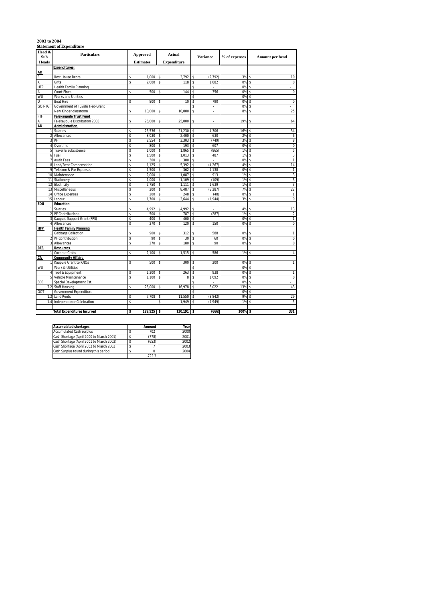# **2003 to 2004 Statement of Expenditure**

| Head &<br>Sub  | <b>Particulars</b>                                  |          | Approved         |          | Actual             |          | <b>Variance</b>          | % of expenses | Amount per head               |
|----------------|-----------------------------------------------------|----------|------------------|----------|--------------------|----------|--------------------------|---------------|-------------------------------|
| <b>Heads</b>   |                                                     |          | <b>Estimates</b> |          | <b>Expenditure</b> |          |                          |               |                               |
|                | <b>Expenditures:</b>                                |          |                  |          |                    |          |                          |               |                               |
| <b>AD</b>      |                                                     |          |                  |          |                    |          |                          |               |                               |
| E              | <b>Rest House Rents</b>                             | \$       | 1.000            | \$       | 3,792              | \$       | (2, 792)                 | 3%            | 10<br>\$                      |
| K              | Gifts                                               | \$       | 2,000            | \$       | 118                | \$       | 1,882                    | 0%            | Ŝ<br>$\mathbf 0$              |
| HFP            | Health Family Planning                              |          |                  |          |                    | \$       | $\overline{a}$           | 0%            | \$                            |
| Α              | Court Fines                                         | \$       | 500              | \$       | 144                | \$       | 356                      | 0%            | $\mathbf{0}$<br>\$            |
| WU             | Works and Utilities                                 |          |                  |          |                    | \$       | ÷.                       | 0%            | \$<br>$\sim$                  |
| D              | <b>Boat Hire</b>                                    | \$       | 800              | \$       | 10                 | Ŝ        | 790                      | 0%            | $\overline{0}$<br>\$          |
| GOT-TG         | Government of Tuvalu Tied-Grant                     |          |                  |          |                    | \$       | ÷,                       | 0%            | \$                            |
|                | New Kinder-classroom                                | \$       | 10,000           | \$       | 10,000             | \$       | $\epsilon$               | 8%            | 25<br>\$                      |
| FTF            | <b>Falekaupule Trust Fund</b>                       |          |                  |          |                    |          |                          |               |                               |
| Α              | Falekaupule Distribution 2003                       | \$       | 25,000           | \$       | 25,000             | Ś        |                          | 19%           | 64<br>Ś                       |
| <b>AD</b>      | Administration                                      |          |                  |          |                    |          |                          |               |                               |
|                | Salaries                                            | \$       | 25,536           | \$       | 21,230             | \$       | 4,306                    | 16%           | 54<br>\$                      |
|                | Allowances                                          | \$       | 3,030            | \$       | 2,400              | \$       | 630                      | 2%            | \$<br>6                       |
|                | PF                                                  | \$       | 2,554            | \$       | 3,303              | \$       | (749)                    | 3%            | 8<br>\$                       |
| 4 <sup>1</sup> | Overtime                                            | \$       | 800              | \$       | 193                | \$       | 607                      | 0%            | $\overline{0}$<br>\$          |
| 5              | Travel & Subsistence                                | \$       | 1,000            | \$       | 1,865              | \$       | (865)                    | 1%            | \$<br>5                       |
|                | 6 Fuel                                              | \$       | 1,500            | \$       | 1,013              | \$       | 487                      | 1%            | 3<br>\$                       |
|                | 7 Audit Fees                                        | \$       | 300              | \$       | 300                | \$       | ä,                       | 0%            | \$<br>$\mathbf{1}$            |
|                | 8 Land/Rent Compensation                            | \$       | 1,125            | \$       | 5,392              | \$       | (4, 267)                 | 4%            | 14<br>$\hat{\mathbf{S}}$      |
|                | 9 Telecom & Fax Expenses                            | \$       | 1,500            | \$       | 362                | \$       | 1,138                    | 0%            | \$<br>$\mathbf{1}$            |
|                | 10 Maintenance                                      | \$       | 2,000            | \$       | 1,087              | \$       | 913                      | 1%            | 3<br>Ŝ                        |
|                | 11 Stationery                                       | \$       | 1,000            | \$       | 1,109              | \$       | (109)                    | 1%            | 3<br>\$                       |
| 12             | Electricity                                         | \$       | 2,750            | \$       | 1,111              | \$       | 1,639                    | 1%            | \$<br>3                       |
|                | 13 Miscellaneous                                    | \$       | 200              | \$       | 8,487              | \$       | (8, 287)                 | 7%            | 22<br>\$                      |
| 14             | Office Expenses                                     | \$       | 200              | \$       | 248                | \$       | (48)                     | 0%            | \$<br>1                       |
| 15             | Labour                                              | \$       | 1.700            | \$       | 3,644              | \$       | (1,944)                  | 3%            | 9<br>\$                       |
| EDU            | <b>Education</b>                                    |          |                  |          |                    |          |                          |               |                               |
|                | Salaries                                            | \$       | 4,992            | \$       | 4,992              | \$       | ÷                        | 4%            | 13<br>\$                      |
|                | PF Contributions                                    | \$       | 500              | \$       | 787                | \$       | (287)<br>$\overline{a}$  | 1%<br>0%      | \$<br>$\sqrt{2}$              |
| 3              | Kaupule Support Grant (FPS)<br>Allowances           | \$<br>\$ | 400<br>270       | \$<br>\$ | 400<br>120         | \$<br>\$ | 150                      | 0%            | $\mathbf{1}$<br>\$<br>0<br>\$ |
|                |                                                     |          |                  |          |                    |          |                          |               |                               |
| <b>HFP</b>     | <b>Health Family Planning</b><br>Gabbage Collection | \$       | 900              | \$       | 312                | \$       | 588                      | 0%            | \$<br>1                       |
|                | PF Contribution                                     | \$       | 90               | \$       | 30                 | \$       | 60                       | 0%            | $\pmb{0}$<br>\$               |
| 3              | Allowances                                          | \$       | 270              | \$       | 180                | \$       | 90                       | 0%            | \$<br>0                       |
| <b>RES</b>     | <b>Resources</b>                                    |          |                  |          |                    |          |                          |               |                               |
|                | Coconut Crabs                                       | \$       | 2,100            | \$       | 1,515              | Ś        | 586                      | 1%            | \$<br>$\overline{4}$          |
| CA             | <b>Community Affairs</b>                            |          |                  |          |                    |          |                          |               |                               |
|                | Kaupule Grant to KNOs                               | \$       | 500              | \$       | 300                | \$       | 200                      | 0%            | \$<br>$\mathbf{1}$            |
| WU             | Work & Utilities                                    |          |                  |          |                    | \$       | $\overline{\phantom{a}}$ | 0%            | Ŝ<br>÷                        |
|                | Tool & Equipment                                    | \$       | 1,200            | \$       | 263                | \$       | 938                      | 0%            | \$<br>$\mathbf{1}$            |
|                | Vehicle Maintenance                                 | \$       | 1.100            | \$       | 8                  | \$       | 1.092                    | 0%            | $\mathbf{0}$<br>\$            |
| SDE            | Special Development Est.                            |          |                  |          |                    | \$       | ÷.                       | 0%            | \$<br>$\sim$                  |
| 7.2            | <b>Staff Housing</b>                                | \$       | 25,000           | \$       | 16,978             | \$       | 8.022                    | 13%           | 43<br>\$                      |
| GOT            | Government Expenditure                              |          |                  |          |                    | \$       | $\overline{a}$           | 0%            | \$<br>ä,                      |
| 1.2            | <b>Land Rents</b>                                   | \$       | 7,708            | \$       | 11,550             | \$       | (3, 842)                 | 9%            | 29<br>\$                      |
| 1.4            | Independence Celebration                            | \$       |                  | \$       | 1,949              | \$       | (1,949)                  | 1%            | \$<br>5                       |
|                |                                                     |          |                  |          |                    |          |                          |               |                               |
|                | <b>Total Expenditures Incurred</b>                  | \$       | 129,525          | \$       | 130,191            | \$       | (666)                    | 100%          | 331<br>\$                     |
|                |                                                     |          |                  |          |                    |          |                          |               |                               |

| <b>Accumulated shortages</b>             | Amount   | Year |
|------------------------------------------|----------|------|
| <b>Accumulated Cash surplus</b>          | 702      | 2000 |
| Cash Shortage (April 2000 to March 2001) | (778)    | 2001 |
| Cash Shortage (April 2001 to March 2002) | (653)    | 2002 |
| Cash Shortage (April 2002 to March 2003  |          | 2003 |
| Cash Surplus found during this period    |          | 2004 |
|                                          | $-722.3$ |      |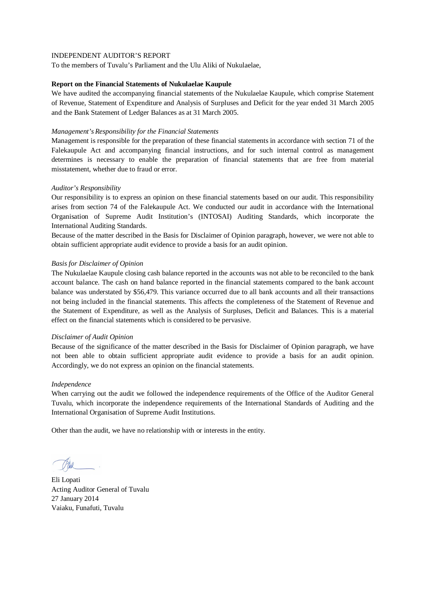To the members of Tuvalu's Parliament and the Ulu Aliki of Nukulaelae,

### **Report on the Financial Statements of Nukulaelae Kaupule**

We have audited the accompanying financial statements of the Nukulaelae Kaupule, which comprise Statement of Revenue, Statement of Expenditure and Analysis of Surpluses and Deficit for the year ended 31 March 2005 and the Bank Statement of Ledger Balances as at 31 March 2005.

## *Management's Responsibility for the Financial Statements*

Management is responsible for the preparation of these financial statements in accordance with section 71 of the Falekaupule Act and accompanying financial instructions, and for such internal control as management determines is necessary to enable the preparation of financial statements that are free from material misstatement, whether due to fraud or error.

# *Auditor's Responsibility*

Our responsibility is to express an opinion on these financial statements based on our audit. This responsibility arises from section 74 of the Falekaupule Act. We conducted our audit in accordance with the International Organisation of Supreme Audit Institution's (INTOSAI) Auditing Standards, which incorporate the International Auditing Standards.

Because of the matter described in the Basis for Disclaimer of Opinion paragraph, however, we were not able to obtain sufficient appropriate audit evidence to provide a basis for an audit opinion.

### *Basis for Disclaimer of Opinion*

The Nukulaelae Kaupule closing cash balance reported in the accounts was not able to be reconciled to the bank account balance. The cash on hand balance reported in the financial statements compared to the bank account balance was understated by \$56,479. This variance occurred due to all bank accounts and all their transactions not being included in the financial statements. This affects the completeness of the Statement of Revenue and the Statement of Expenditure, as well as the Analysis of Surpluses, Deficit and Balances. This is a material effect on the financial statements which is considered to be pervasive.

### *Disclaimer of Audit Opinion*

Because of the significance of the matter described in the Basis for Disclaimer of Opinion paragraph, we have not been able to obtain sufficient appropriate audit evidence to provide a basis for an audit opinion. Accordingly, we do not express an opinion on the financial statements.

### *Independence*

When carrying out the audit we followed the independence requirements of the Office of the Auditor General Tuvalu, which incorporate the independence requirements of the International Standards of Auditing and the International Organisation of Supreme Audit Institutions.

Eli Lopati Acting Auditor General of Tuvalu 27 January 2014 Vaiaku, Funafuti, Tuvalu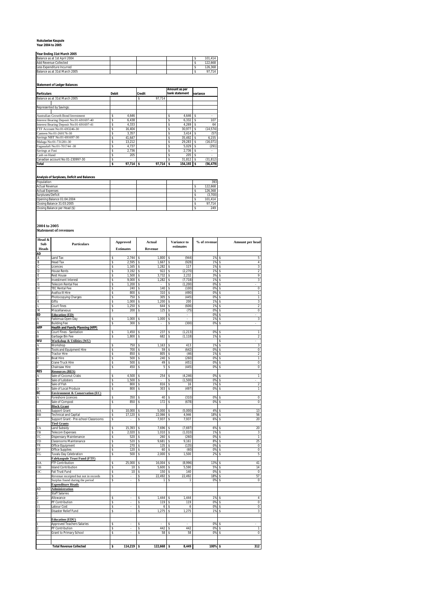### **Nukulaelae Kaupule Year 2004 to 2005**

### **Year Ending 31st March 2005**

| Balance as at 1st April 2004  |  |  | 101.414 |
|-------------------------------|--|--|---------|
| Add Revenue Collected         |  |  | 122.668 |
| Less Expenditure Incurred     |  |  | 126.368 |
| Balance as at 31st March 2005 |  |  | 97.714  |

**Statement of Ledger Balances**

| <b>Particulars</b>                       | <b>Debit</b> |             | <b>Credit</b> |             | Amount as per<br>bank statement | variance |           |  |
|------------------------------------------|--------------|-------------|---------------|-------------|---------------------------------|----------|-----------|--|
| Balance as at 31st March 2005            |              |             | \$            | 97.714      |                                 |          |           |  |
| Represented by Savings:                  |              |             |               |             |                                 |          |           |  |
| <b>Australian Growth Bond Investment</b> |              | 4.646       |               |             | 4.646                           | Ŝ.       |           |  |
| Interest Bearing Deposit No:01-691697-40 |              | 6.438       |               |             | 6.332                           | \$       | 107       |  |
| Interest Bearing Deposit No:01-691697-41 | \$           | 4.333       |               |             | 4.269                           | \$       | 64        |  |
| FTF Account No:01-693246-30              | \$           | 16.404      |               |             | \$<br>30.977                    | \$       | (14, 574) |  |
| Canteen No:01-260176-30                  | \$           | 3.357       |               |             | \$<br>3.414                     | \$       | (57)      |  |
| Savings NBT No:01-691697-30              | \$           | 41.647      |               |             | \$<br>35.492                    | s.       | 6,155     |  |
| Malaga No:01-731281-30                   | \$           | 13.212      |               |             | 29.283                          | Ŝ.       | (16, 071) |  |
| Fagaualafi No:01-701744 -30              | \$           | 4.737       |               |             | \$<br>5.029                     | s.       | (291)     |  |
| Savings at Fusi                          | Ś            | 2.736       |               |             | \$<br>2.736                     | s.       |           |  |
| Cash on Hand                             | Ś            | 205         |               |             | 205                             | \$       | ٠         |  |
| Canadian account No:01-230997-30         | \$           |             |               |             | 31,812                          | \$       | (31, 812) |  |
| <b>Total</b>                             | \$           | $97.714$ \$ |               | $97.714$ \$ | 154.193 \$                      |          | (56, 479) |  |

# **Analysis of Surpluses, Deficit and Balances**

| Population                    |  |  | 393     |
|-------------------------------|--|--|---------|
| <b>Actual Revenue</b>         |  |  | 122,668 |
| <b>Actual Expenses</b>        |  |  | 126.368 |
| Surpluses/Deficit             |  |  | (3,700) |
| Opening Balance 01:04:2004    |  |  | 101.414 |
| Closing Balance 31:03:2005    |  |  | 97.714  |
| Closing Balance per Head (\$) |  |  | 249     |
|                               |  |  |         |

# **2004 to 2005 Statement of revenues**

| Sub<br><b>Heads</b><br>AD<br>А<br>B<br>C<br>D<br>Ε<br>F<br>G<br>H | Particulars<br>Land Tax<br><b>Head Tax</b><br>Licences<br><b>House Rents</b><br><b>Rest House</b><br><b>Investment Interest</b><br>Telecom Rental Fee | \$<br>\$<br>\$<br>Ś<br>\$ | <b>Estimates</b><br>2,744<br>2,595<br>1,165 | \$<br>\$ | Revenue<br>1.800 | estimates<br>(944)<br>Ŝ          |      | 1%       | \$<br>5                                 |
|-------------------------------------------------------------------|-------------------------------------------------------------------------------------------------------------------------------------------------------|---------------------------|---------------------------------------------|----------|------------------|----------------------------------|------|----------|-----------------------------------------|
|                                                                   |                                                                                                                                                       |                           |                                             |          |                  |                                  |      |          |                                         |
|                                                                   |                                                                                                                                                       |                           |                                             |          |                  |                                  |      |          |                                         |
|                                                                   |                                                                                                                                                       |                           |                                             |          |                  |                                  |      |          |                                         |
|                                                                   |                                                                                                                                                       |                           |                                             |          | 1,667            | (928)<br>\$                      |      | 1%       | 4<br>\$                                 |
|                                                                   |                                                                                                                                                       |                           |                                             | \$<br>\$ | 1,282<br>922     | 117<br>\$                        |      | 1%<br>1% | \$<br>3<br>$\overline{2}$               |
|                                                                   |                                                                                                                                                       |                           | 3,192<br>1,500                              | \$       | 3,732            | (2, 270)<br>\$<br>2,232<br>\$    |      | 3%       | \$<br>9<br>\$                           |
|                                                                   |                                                                                                                                                       | Ŝ                         | 9,000                                       | \$       | 1,282            | (7, 718)<br>\$                   |      | 1%       | 3<br>\$                                 |
|                                                                   |                                                                                                                                                       | \$                        | 1,200                                       | \$       |                  | \$<br>(1, 200)                   |      | 0%       | \$                                      |
|                                                                   | <b>TEC Rental Fee</b>                                                                                                                                 | \$                        | 240                                         | \$       | 140              | \$<br>(100)                      |      | 0%       | \$<br>0                                 |
|                                                                   | Avafoa III Hire                                                                                                                                       | Ś                         | 800                                         | \$       | 310              | (490)<br>Ś                       |      | 0%       | \$<br>T                                 |
| J                                                                 | Photocopying Charges                                                                                                                                  | \$                        | 750                                         | \$       | 305              | (445)<br>\$                      |      | 0%       | \$<br>1                                 |
| К<br>τ                                                            | Gifts<br>Court fines                                                                                                                                  | \$<br>\$                  | 1,000<br>1,250                              | \$<br>\$ | 1,200<br>644     | \$<br>\$<br>(606)                | 200  | 1%<br>1% | 3<br>\$<br>2<br>\$                      |
| M                                                                 | Miscellaneous                                                                                                                                         | Ś                         | 200                                         | \$       | 125              | \$                               | (75) | 0%       | $\overline{0}$<br>\$                    |
| ED                                                                | <b>Education</b> (ED)                                                                                                                                 |                           |                                             |          |                  |                                  |      | 0%       | \$                                      |
| A                                                                 | Faikimua Open Day                                                                                                                                     | \$                        | 1,000                                       | \$       | 1,000            | \$<br>×,                         |      | 1%       | 3<br>\$                                 |
| B                                                                 | <b>Building Fee</b>                                                                                                                                   | Ś                         | 300                                         | \$       | ä,               | (300)<br>\$                      |      | 0%       | \$                                      |
| HFP                                                               | <b>Health and Family Planning (HFP)</b>                                                                                                               |                           |                                             |          |                  |                                  |      |          |                                         |
| A<br>B                                                            | Court Fines - Sanitation<br>Garbage Bin Fee                                                                                                           | \$<br>\$                  | 1,450<br>1,800                              | \$<br>\$ | 237<br>682       | (1, 213)<br>\$<br>\$<br>(1, 118) |      | 0%<br>1% | 1<br>Ś<br>\$<br>$\overline{\mathbf{2}}$ |
| WU                                                                | Workshop & Utilities (WU)                                                                                                                             |                           |                                             |          |                  |                                  |      |          | \$                                      |
| A                                                                 | Workshop                                                                                                                                              | Ś                         | 750                                         | \$       | 1,163            | 413<br>Ś                         |      | 1%       | \$<br>3                                 |
| B                                                                 | Tools and Equipment Hire                                                                                                                              | Ś                         | 700                                         | \$       | 59               | Ś<br>(642)                       |      | 0%       | \$<br>0                                 |
| Ċ                                                                 | Tractor Hire                                                                                                                                          | \$                        | 850                                         | \$       | 805              | \$                               | (46) | 1%       | 2<br>\$                                 |
| D                                                                 | <b>Boat Hire</b>                                                                                                                                      | \$                        | 500                                         | \$       | 240              | \$<br>(260)                      |      | 0%       | ī<br>\$                                 |
| E<br>F                                                            | Crane Truck Hire<br>Chainsaw Hire                                                                                                                     | \$<br>\$                  | 500<br>450                                  | \$<br>\$ | 49<br>5          | \$<br>(451)<br>(445)<br>\$       |      | 0%<br>0% | 0<br>\$<br>0<br>\$                      |
| <b>RES</b>                                                        | <b>Resources (RES)</b>                                                                                                                                |                           |                                             |          |                  |                                  |      |          |                                         |
| A                                                                 | Sale of Coconut Crabs                                                                                                                                 | Ś                         | 4,500                                       | \$       | 254              | (4, 246)<br>Ś                    |      | 0%       | ī<br>\$                                 |
| B                                                                 | Sale of Lobsters                                                                                                                                      | \$                        | 1,500                                       | \$       |                  | (1,500)<br>\$                    |      | 0%       | \$                                      |
| C                                                                 | Sale of Fish                                                                                                                                          | Ŝ                         | 800                                         | \$       | 816              | \$                               | 16   | 1%       | $\overline{\mathbf{2}}$<br>\$           |
| D                                                                 | Sale of Local Produce                                                                                                                                 | \$                        | 800                                         | \$       | 303              | (497)<br>\$                      |      | 0%       | \$<br>1                                 |
| EC                                                                | <b>Environment &amp; Conservation (EC)</b><br>Foreshore Licences                                                                                      | Ś                         | 350                                         | \$       | 40               | (310)<br>Ś                       |      | 0%       | 0                                       |
| A<br>B                                                            | Sale of Compost                                                                                                                                       | Ś                         | 850                                         | \$       | 172              | (678)<br>Ś                       |      | 0%       | \$<br>$\overline{0}$<br>\$              |
|                                                                   | <b>Block Grant</b>                                                                                                                                    |                           |                                             |          |                  |                                  |      |          |                                         |
| BA                                                                | Support Grant                                                                                                                                         | \$                        | 10,000                                      | \$       | 5,000            | (5,000)<br>\$                    |      | 4%       | 13<br>\$                                |
| BB                                                                | <b>Fechnical and Capital</b>                                                                                                                          | \$                        | 17,120                                      | \$       | 22,066           | 4,946                            |      | 18%      | 56<br>\$                                |
| H                                                                 | Support Grant - Pre-school Classrooms                                                                                                                 | \$                        |                                             | \$       | 7,937            | 7,937<br>\$                      |      | 6%       | 20<br>\$                                |
| TA                                                                | <b>Tied Grants</b>                                                                                                                                    |                           | 15,393                                      |          | 7,696            | (7,697)<br>Ś                     |      |          | 20                                      |
| TB                                                                | <b>Land Subsidy</b><br><b>Telecom Expenses</b>                                                                                                        | \$<br>Ŝ                   | 2,020                                       | \$<br>\$ | 1,010            | (1,010)<br>\$                    |      | 6%<br>1% | \$<br>\$<br>3                           |
| ТC                                                                | Dispensary Maintenance                                                                                                                                | \$                        | 520                                         | \$       | 260              | (260)<br>\$                      |      | 0%       | \$<br>$\mathbf{1}$                      |
| TD                                                                | Classrooms Maintenance                                                                                                                                | \$                        | 520                                         | \$       | 9,681            | \$<br>9,161                      |      | 8%       | 25<br>\$                                |
| TE                                                                | Office Equipment                                                                                                                                      | \$                        | 270                                         | \$       | 135              | (135)<br>\$                      |      | 0%       | \$<br>$\mathbf 0$                       |
| TF                                                                | <b>Office Supplies</b>                                                                                                                                | \$                        | 120                                         | \$       | 60               | \$                               | (60) | 0%       | \$<br>0                                 |
| TG                                                                | Tuvalu Day Celebration                                                                                                                                | \$                        | 500                                         | \$       | 2,000            | 1,500<br>\$                      |      | 2%       | \$<br>5                                 |
| ОA                                                                | <b>Falekaupule Trust Fund (FTF)</b><br>FTF Contribution                                                                                               | \$                        | 25,000                                      | \$       | 16,004           | (8,996)<br>\$                    |      | 13%      | 41<br>\$                                |
| ЭB                                                                | sland Contribution                                                                                                                                    | Ś                         | 10                                          | \$       | 5,600            | 5.590<br>Ś                       |      | 5%       | 14<br>\$                                |
| ОC                                                                | Fali Trust Fund                                                                                                                                       | \$                        | 10                                          | \$       | 150              | \$                               | 140  | 0%       | 0<br>\$                                 |
|                                                                   | Revenue receipted but not in records                                                                                                                  | \$                        |                                             | \$       | 22,492           | 22,492<br>\$                     |      | 18%      | 57<br>\$                                |
|                                                                   | Surplus found during the period                                                                                                                       | \$                        |                                             | \$       | 1                | \$                               | 1    | 0%       | \$<br>$\mathbf 0$                       |
|                                                                   | <b>Expenditure Heads</b>                                                                                                                              |                           |                                             |          |                  |                                  |      |          |                                         |
| AD                                                                | <b>Administration</b><br><b>Staff Salaries</b>                                                                                                        |                           |                                             |          |                  |                                  |      |          |                                         |
|                                                                   | Allowance                                                                                                                                             | \$                        |                                             | \$       | 1.444            | 1.444<br>Ś                       |      | 1%       | \$<br>$\overline{4}$                    |
|                                                                   | PF Contribution                                                                                                                                       | \$                        |                                             | \$       | 119              | \$                               | 119  | 0%       | \$<br>0                                 |
| 15                                                                | Labour Cost                                                                                                                                           | \$                        |                                             | \$       | 6                | \$                               | 6    | 0%       | 0<br>\$                                 |
| 16                                                                | Disaster Relief Fund                                                                                                                                  | \$                        |                                             | \$       | 1,275            | 1,275<br>\$                      |      | 1%       | 3<br>\$                                 |
|                                                                   |                                                                                                                                                       |                           |                                             |          |                  |                                  |      |          |                                         |
|                                                                   | <b>Education (EDU)</b><br><b>Approved Teachers Salaries</b>                                                                                           | Ś                         |                                             | \$       |                  |                                  |      | 0%       | \$                                      |
|                                                                   | PF Contribution                                                                                                                                       | \$                        |                                             | \$       | 442              | 442<br>\$                        |      | 0%       | \$<br>1                                 |
|                                                                   | Grant to Primary School                                                                                                                               | s                         | ä,                                          | \$       | 58               | \$                               | 58   | 0%       | $\overline{0}$<br>\$                    |
|                                                                   |                                                                                                                                                       |                           |                                             |          |                  |                                  |      |          |                                         |
|                                                                   |                                                                                                                                                       |                           |                                             |          |                  |                                  |      |          |                                         |
|                                                                   | <b>Total Revenue Collected</b>                                                                                                                        | \$                        | 114,219                                     | \$       | 122,668          | 8,449<br>\$                      |      | 100%     | 312<br>\$                               |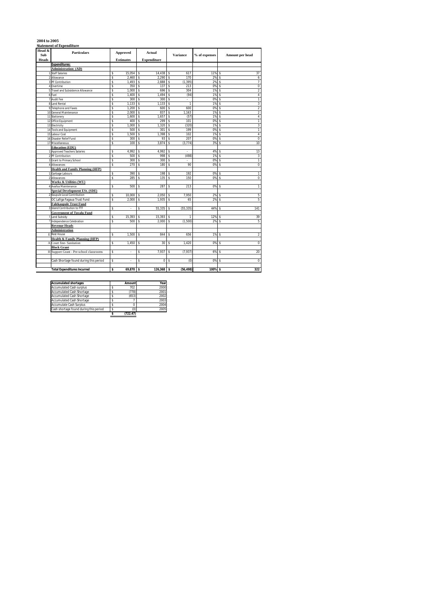# **2004 to 2005 Statement of Expenditure**

| Head &<br>Sub  | <b>Approved</b><br><b>Particulars</b><br><b>Estimates</b> |    |             | Actual |                    |    | <b>Variance</b> | % of expenses |                    | Amount per head |
|----------------|-----------------------------------------------------------|----|-------------|--------|--------------------|----|-----------------|---------------|--------------------|-----------------|
| Heads          |                                                           |    |             |        | <b>Expenditure</b> |    |                 |               |                    |                 |
|                | <b>Expenditures:</b>                                      |    |             |        |                    |    |                 |               |                    |                 |
|                | <b>Administration: (AD)</b>                               |    |             |        |                    |    |                 |               |                    |                 |
|                | <b>Staff Salaries</b>                                     | Ś  | 15,054      | \$     | 14,438             | \$ | 617             | 11%           | \$                 | 37              |
|                | 2 Allowance                                               | Ś  | 2.460       | \$     | 2.290              | \$ | 170             | 2%            | $\hat{\mathbf{S}}$ | 6               |
|                | 3 PF Contribution                                         | \$ | 1.493       | \$     | 2,888              | Ŝ  | (1, 395)        | 2%            | \$                 | $\overline{7}$  |
|                | 4 Overtime                                                | \$ | 350         | \$     | 137                | Ŝ  | 213             | 0%            | \$                 | 0               |
|                | 5 Travel and Subsistence Allowance                        | \$ | 1.000       | \$     | 696                | Ŝ  | 304             | 1%            | \$                 | $\overline{2}$  |
|                | 6 Fuel                                                    | \$ | 1.400       | \$     | 1.494              | Ŝ  | (94)            | 1%            | \$                 | $\overline{4}$  |
|                | 7 Audit Fee                                               | \$ | 300         | \$     | 300                | Ŝ  | ×.              | 0%            | \$                 | $\overline{1}$  |
|                | 8 Land Rental                                             | Ś  | 1.133       | \$     | 1.133              | Ŝ  | ī               | 1%            | Ŝ                  | 3               |
|                | 9 Telephone and Faxes                                     | \$ | 1.200       | \$     | 600                | Ŝ  | 600             | 0%            | \$                 | $\overline{2}$  |
|                | 10 General Maintenance                                    | Ś  | 2,000       | \$     | 837                | Ŝ  | 1,163           | 1%            | Ŝ                  | $\overline{2}$  |
|                | 11 Stationery                                             | \$ | 1.600       | \$     | 1.657              | Ŝ  | (57)            | 1%            | \$                 | $\overline{4}$  |
|                | 12 Office Equipment                                       | \$ | 400         | \$     | 299                | Ŝ  | 101             | 0%            | \$                 | 1               |
|                | 13 Electricity                                            | Ś  | 1,000       | \$     | 1,320              | Ŝ  | (320)           | 1%            | \$                 | 3               |
|                | 14 Tools and Equipment                                    | \$ | 500         | \$     | 301                | Ŝ  | 199             | 0%            | \$                 | $\mathbf{1}$    |
|                | 15 Labour Cost                                            | Ś  | 1.500       | \$     | 1,398              | Ŝ  | 102             | 1%            | \$                 | 4               |
|                | 16 Disaster Relief Fund                                   | Ś  | 300         | \$     | 93                 | Ŝ  | 207             | 0%            | \$                 | 0               |
|                | 17 Miscellaneous                                          | Ś  | 100         | \$     | 3.874              | \$ | (3, 774)        | 3%            | $\hat{\mathbf{S}}$ | 10              |
|                | <b>Education</b> (EDU)                                    |    |             |        |                    |    |                 |               |                    |                 |
|                | <b>Approved Teachers Salaries</b>                         | \$ | 4,992       | \$     | 4,992              | \$ | ×,              | 4%            | \$                 | 13              |
| $\overline{a}$ | PF Contribution                                           | Ś  | 500         | \$     | 998                | Ŝ  | (498)           | 1%            | \$                 | 3               |
| 3              | Grant to Primary School                                   | \$ | 300         | \$     | 300                | Ŝ  | ä,              | 0%            | \$                 | $\mathbf{1}$    |
|                | Allowances                                                | \$ | 270         | \$     | 180                | \$ | 90              | 0%            | \$                 | 0               |
|                | <b>Health and Family Planning (HFP)</b>                   |    |             |        |                    |    |                 |               |                    |                 |
|                | Garbage Labours                                           | Ś  | 390         | \$     | 198                | Ŝ  | 192             | 0%            | \$                 | $\mathbf{1}$    |
|                | Allowances                                                | Ś  | 285         | \$     | 135                | Ś  | 150             | 0%            | Ŝ                  | $\overline{0}$  |
|                | Works & Utilities (WU)                                    |    |             |        |                    |    |                 |               |                    |                 |
|                | Avafoa Maintenance                                        | Ś  | 500         | \$     | 287                | Ŝ  | 213             | 0%            | \$                 | $\mathbf{1}$    |
|                | <b>Special Development ESt. (SDE)</b>                     |    |             |        |                    |    |                 |               |                    |                 |
|                | Kaupule Local Contribution                                | \$ | 10.000      | \$     | 2.050              | Ŝ  | 7.950           | 2%            | \$                 | 5               |
|                | OC Lafiga Fagaua Trust Fund                               | Ś  | 2.000       | \$     | 1.935              | Ŝ  | 65              | 2%            | \$                 | 5               |
|                | <b>Falekaupule Trust Fund</b>                             |    |             |        |                    |    |                 |               |                    |                 |
|                | Island Contribution to FTF                                | \$ | ×.          | \$     | 55,335             | Ŝ  | (55, 335)       | 44%           | \$                 | 141             |
|                | <b>Government of Tuvalu Fund</b>                          |    |             |        |                    |    |                 |               |                    |                 |
|                | Land Subsidy                                              | \$ | 15.393      | \$     | 15.393             | Ŝ  | 1               | 12%           | \$                 | 39              |
|                | Independence Celebration                                  | Ś  | 500         | \$     | 2,000              | Ŝ  | (1,500)         | 2%            | \$                 | 5               |
|                | <b>Revenue Heads</b>                                      |    |             |        |                    |    |                 |               |                    |                 |
|                | <b>Administration</b><br><b>F. Rest House</b>             |    |             |        |                    |    |                 |               |                    |                 |
|                |                                                           | \$ | 1,500       | \$     | 844                | \$ | 656             | 1%            | \$                 | $\overline{2}$  |
|                | Health & Family Planning (HFP)                            |    |             |        |                    |    |                 |               |                    |                 |
| A              | Court fine-Sanitation                                     | \$ | 1,450       | \$     | 30                 | \$ | 1,420           | 0%            | \$                 | $\overline{0}$  |
|                | <b>Block Grant</b>                                        |    |             |        |                    |    |                 |               |                    |                 |
|                | H Support Grant - Pre-school classrooms                   | \$ |             | \$     | 7,937              | \$ | (7, 937)        | 6%            | \$                 | 20              |
|                |                                                           | Ś  |             |        |                    |    |                 |               |                    | $\overline{0}$  |
|                | Cash Shortage found during this period                    |    |             | \$     | 0                  | Ŝ  | (0)             | 0%            | \$                 |                 |
|                | <b>Total Expenditures Incurred</b>                        | s  | $69.870$ \$ |        | 126.368 \$         |    | (56.498)        | 100% \$       |                    | 322             |
|                |                                                           |    |             |        |                    |    |                 |               |                    |                 |

| <b>Accumulated shortages</b>           | Amount   | Year |
|----------------------------------------|----------|------|
| <b>Accumulated Cash surplus</b>        | 702      | 2000 |
| <b>Accumulated Cash Shortage</b>       | (778)    | 2001 |
| <b>Accumulated Cash Shortage</b>       | (653)    | 2002 |
| <b>Accumulated Cash Shortage</b>       |          | 2003 |
| <b>Accumulate Cash Surplus</b>         |          | 2004 |
| Cash shortage found during this period | (0)      | 2005 |
|                                        | (722.47) |      |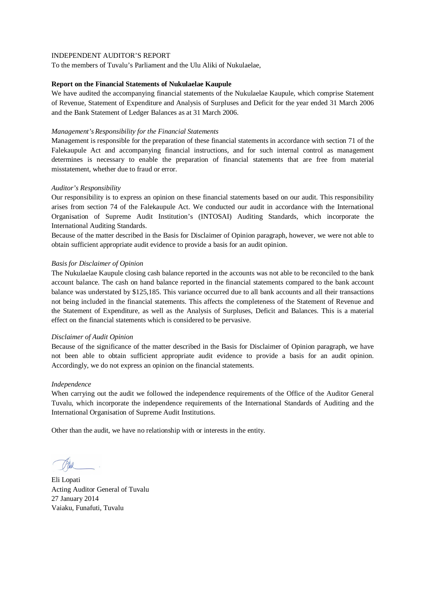To the members of Tuvalu's Parliament and the Ulu Aliki of Nukulaelae,

### **Report on the Financial Statements of Nukulaelae Kaupule**

We have audited the accompanying financial statements of the Nukulaelae Kaupule, which comprise Statement of Revenue, Statement of Expenditure and Analysis of Surpluses and Deficit for the year ended 31 March 2006 and the Bank Statement of Ledger Balances as at 31 March 2006.

## *Management's Responsibility for the Financial Statements*

Management is responsible for the preparation of these financial statements in accordance with section 71 of the Falekaupule Act and accompanying financial instructions, and for such internal control as management determines is necessary to enable the preparation of financial statements that are free from material misstatement, whether due to fraud or error.

# *Auditor's Responsibility*

Our responsibility is to express an opinion on these financial statements based on our audit. This responsibility arises from section 74 of the Falekaupule Act. We conducted our audit in accordance with the International Organisation of Supreme Audit Institution's (INTOSAI) Auditing Standards, which incorporate the International Auditing Standards.

Because of the matter described in the Basis for Disclaimer of Opinion paragraph, however, we were not able to obtain sufficient appropriate audit evidence to provide a basis for an audit opinion.

### *Basis for Disclaimer of Opinion*

The Nukulaelae Kaupule closing cash balance reported in the accounts was not able to be reconciled to the bank account balance. The cash on hand balance reported in the financial statements compared to the bank account balance was understated by \$125,185. This variance occurred due to all bank accounts and all their transactions not being included in the financial statements. This affects the completeness of the Statement of Revenue and the Statement of Expenditure, as well as the Analysis of Surpluses, Deficit and Balances. This is a material effect on the financial statements which is considered to be pervasive.

### *Disclaimer of Audit Opinion*

Because of the significance of the matter described in the Basis for Disclaimer of Opinion paragraph, we have not been able to obtain sufficient appropriate audit evidence to provide a basis for an audit opinion. Accordingly, we do not express an opinion on the financial statements.

### *Independence*

When carrying out the audit we followed the independence requirements of the Office of the Auditor General Tuvalu, which incorporate the independence requirements of the International Standards of Auditing and the International Organisation of Supreme Audit Institutions.

Eli Lopati Acting Auditor General of Tuvalu 27 January 2014 Vaiaku, Funafuti, Tuvalu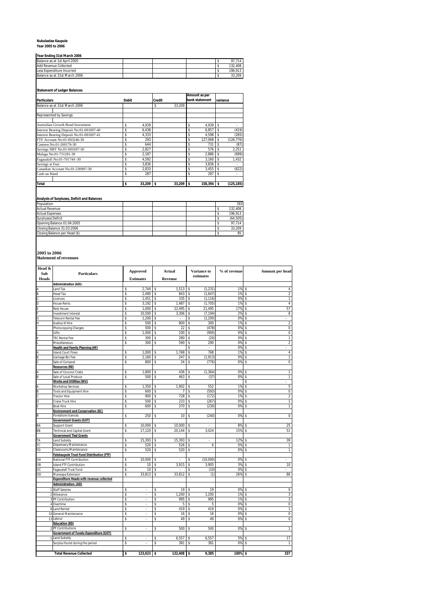# **Nukulaelae Kaupule Year 2005 to 2006**

|     | Year Ending 31st March 2006 |  |  |  |   |  |  |  |  |  |
|-----|-----------------------------|--|--|--|---|--|--|--|--|--|
|     |                             |  |  |  |   |  |  |  |  |  |
| . . |                             |  |  |  | . |  |  |  |  |  |

| Balance as at 1st April 2005  |  |  | 714     |
|-------------------------------|--|--|---------|
| Add Revenue Collected         |  |  | 132.408 |
| Less Expenditure Incurred     |  |  | 196.913 |
| Balance as at 31st March 2006 |  |  | 3.209   |

# **Statement of Ledger Balances**

|                                          |              |           |               |        |    | Amount as per  |          |            |  |
|------------------------------------------|--------------|-----------|---------------|--------|----|----------------|----------|------------|--|
| <b>Particulars</b>                       | <b>Debit</b> |           | <b>Credit</b> |        |    | bank statement | variance |            |  |
| Balance as at 31st March 2006            |              |           | \$            | 33.209 |    |                |          |            |  |
|                                          |              |           |               |        |    |                |          |            |  |
| Represented by Savings:                  |              |           |               |        |    |                |          |            |  |
| Australian Growth Bond Investment        | \$           | 4,939     |               |        | \$ | 4.939          | \$       |            |  |
| Interest Bearing Deposit No:01-691697-40 | \$           | 6,438     |               |        | \$ | 6.857          | \$       | (419)      |  |
| Interest Bearing Deposit No:01-691697-41 | \$           | 4.333     |               |        | \$ | 4,598          | \$       | (265)      |  |
| FTF Account No:01-693246-30              | \$           | 293       |               |        | \$ | 127.068        | \$       | (126, 776) |  |
| Canteen No:01-260176-30                  | \$           | 644       |               |        | \$ | 731            | \$       | (87)       |  |
| Savings NBT No:01-691697-30              | \$           | 2.827     |               |        | \$ | 576            | \$       | 2.251      |  |
| Malaga No:01-731281-30                   | \$           | 2.187     |               |        | \$ | 2.886          | \$       | (699)      |  |
| Fagaualafi No:01-701744 -30              | \$           | 4.592     |               |        | \$ | 3.160          | \$       | 1.432      |  |
| Savings at Fusi                          | \$           | 3,836     |               |        | \$ | 3.836          | \$       |            |  |
| Canadian Account No:01-230997-30         | \$           | 2.833     |               |        | \$ | 3.455          | \$       | (622)      |  |
| Cash on Hand                             | \$           | 287       |               |        | \$ | 287            | \$       |            |  |
| Total                                    | \$           | 33,209 \$ |               | 33,209 | Ŝ  | $158,394$ \$   |          | (125, 185) |  |

### **Analysis of Surpluses, Deficit and Balances**

| Population                    |  |  | 393      |
|-------------------------------|--|--|----------|
| <b>Actual Revenue</b>         |  |  | 132.408  |
| <b>Actual Expenses</b>        |  |  | 196.913  |
| Surpluses/Deficit             |  |  | (64.505) |
| Opening Balance 01:04:2005    |  |  | 97.714   |
| Closing Balance 31:03:2006    |  |  | 33.209   |
| Closing Balance per Head (\$) |  |  | 85       |

**2005 to 2006 Statement of revenues**

| Head &<br>Sub           | Particulars                                     | <b>Approved</b>    |                    | Actual         | Variance to<br>estimates | % of revenue |    | Amount per head         |
|-------------------------|-------------------------------------------------|--------------------|--------------------|----------------|--------------------------|--------------|----|-------------------------|
| <b>Heads</b>            |                                                 | <b>Estimates</b>   |                    | <b>Revenue</b> |                          |              |    |                         |
|                         | <b>Administration (AD):</b>                     |                    |                    |                |                          |              |    |                         |
|                         | Land Tax                                        | \$<br>2,744        | \$                 | 1,513          | \$<br>(1, 231)           | 1%           | \$ | 4                       |
|                         | Head Tax                                        | \$<br>2,490        | \$                 | 843            | \$<br>(1,647)            | 1%           | \$ | $\overline{\mathbf{2}}$ |
|                         | Licences                                        | \$<br>1,451        | \$                 | 335            | \$<br>(1, 116)           | 0%           | \$ | 1                       |
|                         | <b>House Rents</b>                              | \$<br>3,192        | \$                 | 1,487          | \$<br>(1,705)            | 1%           | \$ | $\overline{4}$          |
|                         | <b>Rest House</b>                               | \$<br>1.000        | \$                 | 22,495         | \$<br>21,495             | 17%          | \$ | 57                      |
|                         | Investment Interest                             | \$<br>10,500       | \$                 | 3,306          | \$<br>(7, 194)           | 2%           | \$ | 8                       |
|                         | Telecom Rental Fee                              | \$<br>1,200        | \$                 |                | \$<br>(1, 200)           | 0%           | \$ |                         |
|                         | Avafoa III Hire                                 | \$<br>500          | \$                 | 800            | \$<br>300                | 1%           | \$ | $\overline{\mathbf{c}}$ |
|                         | Photocopying Charges                            | \$<br>500          | \$                 | 22             | \$<br>(478)              | 0%           | \$ | 0                       |
|                         | Gifts                                           | \$<br>1,000        | \$                 | 100            | \$<br>(900)              | 0%           | \$ | 0                       |
|                         | <b>TEC Rental Fee</b>                           | \$<br>300          | \$                 | 280            | \$<br>(20)               | 0%           | Ś  |                         |
|                         | Miscellaneous                                   | \$<br>300          | \$                 | 590            | \$<br>290                | 0%           | \$ | $\overline{\mathbf{c}}$ |
|                         | <b>Health and Family Planning (HF)</b>          |                    |                    |                | \$                       | 0%           | \$ |                         |
|                         | <b>Island Court Fines</b>                       | \$<br>1,000        | \$                 | 1,768          | \$<br>768                | 1%           | \$ | $\overline{4}$          |
|                         | Garbage Bin Fee                                 | \$<br>2,160        | \$                 | 247            | \$<br>(1, 913)           | 0%           | \$ | 1                       |
|                         | Sale of Compost                                 | \$<br>800          | \$                 | 24             | \$<br>(776)              | 0%           | \$ | 0                       |
|                         | <b>Resources (RE)</b>                           |                    |                    |                |                          |              |    |                         |
|                         | Sale of Coconut Crabs                           | \$<br>1,800        | \$                 | 436            | \$<br>(1, 364)           | 0%           | \$ | 1                       |
|                         | Sale of Local Produce                           | \$<br>500          | \$                 | 463            | \$<br>(37)               | 0%           | \$ | 1                       |
|                         | <b>Works and Utilities (WU)</b>                 |                    |                    |                |                          |              | \$ |                         |
|                         | <b>Workshop Services</b>                        | \$<br>1,350        | \$                 | 1,902          | \$<br>552                | 1%           | \$ | 5                       |
|                         | Tools and Equipment Hire                        | \$<br>600          | \$                 |                | \$<br>(593)              | 0%           | \$ | 0                       |
|                         | <b>Tractor Hire</b>                             | \$<br>900          | \$                 | 728            | \$<br>(172)              | 1%           | \$ | $\overline{2}$          |
|                         | Crane Truck Hire                                | \$<br>500          | \$                 | 233            | \$<br>(267)              | 0%           | \$ | 1                       |
|                         | <b>Boat Hire</b>                                | \$<br>600          | \$                 | 370            | \$<br>(230)              | 0%           | \$ | 1                       |
|                         | <b>Environment and Conservation (EC)</b>        |                    |                    |                |                          |              |    |                         |
| B                       | Foreshore licences                              | \$<br>250          | \$                 | 10             | \$<br>(240)              | 0%           | \$ | 0                       |
|                         | <b>Government Grants (GOT)</b>                  |                    |                    |                |                          |              |    |                         |
| BA                      | Support Grant                                   | \$<br>10,000       | \$                 | 10,000         | \$                       | 8%           | \$ | 25                      |
| BB                      | Technical and Capital Grant                     | \$<br>17,120       | \$                 | 20,144         | \$<br>3,024              | 15%          | \$ | 51                      |
|                         | <b>Government Tied Grants</b>                   |                    |                    |                |                          |              |    |                         |
| TA                      | Land Subsidy                                    | \$<br>15,393       | \$                 | 15,393         | \$<br>٠                  | 12%          | \$ | 39                      |
| TC                      | <b>Dispensary Maintenance</b>                   | \$<br>520          | \$                 | 526            | \$<br>6                  | 0%           | \$ | $\mathbf{1}$            |
| TD                      | Classrooms Maintenance                          | \$<br>520          | \$                 | 520            | \$                       | 0%           | \$ | 1                       |
|                         | Falekaupule Trust Fund Distribution (FTF)       |                    |                    |                |                          |              |    |                         |
| 0A                      | National FTF Contribution                       | \$<br>10.000       | \$                 |                | \$<br>(10,000)           | 0%           | \$ |                         |
| OB                      | Island FTF Contribution                         | \$<br>10           | \$                 | 3,915          | \$<br>3,905              | 3%           | \$ | 10                      |
| OC                      | Fagaualafi Trust Fund                           | \$<br>10           | \$                 |                | \$<br>(10)               | 0%           | \$ |                         |
| OD                      | Maneapa Extension                               | \$<br>33,813       | \$                 | 33,812         | \$<br>(1)                | 26%          | \$ | 86                      |
|                         | <b>Expenditure Heads with revenue collected</b> |                    |                    |                |                          |              |    |                         |
|                         | <b>Administration: (AD)</b>                     |                    |                    |                |                          |              |    |                         |
|                         | <b>Staff Salaries</b>                           | \$                 | \$                 | 19             | \$<br>19                 | 0%           | \$ | 0                       |
| $\overline{\mathbf{2}}$ | Allowance                                       | \$<br>ä,           | \$                 | 1,200          | \$<br>1,200              | 1%           | \$ | 3                       |
|                         | 3 PF Contribution                               | \$<br>÷            | \$                 | 995            | \$<br>995                | 1%           | \$ | 3                       |
|                         | 4 Overtime                                      | \$<br>L.           | $\hat{\mathbf{S}}$ | 5              | \$<br>5                  | 0%           | \$ | $\mathbf 0$             |
|                         | 8 Land Rental                                   | \$<br>٠            | \$                 | 419            | \$<br>419                | 0%           | \$ | 1                       |
|                         | 10 General Maintenance                          | \$<br>ä,           | \$                 | 16             | \$<br>16                 | 0%           | \$ | 0                       |
|                         | 13 Labour                                       | \$<br>÷.           | \$                 | 49             | \$<br>49                 | 0%           | \$ | 0                       |
|                         | <b>Education (ED)</b>                           |                    |                    |                |                          |              |    |                         |
|                         | PF Contributions                                | \$                 | \$                 | 500            | \$<br>500                | 0%           | \$ | 1                       |
|                         | <b>Government of Tuvalu Expenditure (GOT)</b>   |                    |                    |                |                          |              |    |                         |
|                         | Land Subsidy                                    | \$                 | \$                 | 6,557          | \$<br>6,557              | 5%           | \$ | 17                      |
|                         | Surplus found during the period                 | \$<br>÷.           | \$                 | 381            | \$<br>381                | 0%           | \$ | 1                       |
|                         |                                                 |                    |                    |                |                          |              |    |                         |
|                         | <b>Total Revenue Collected</b>                  | \$<br>$123,023$ \$ |                    | 132,408 \$     | 9,385                    | 100% \$      |    | 337                     |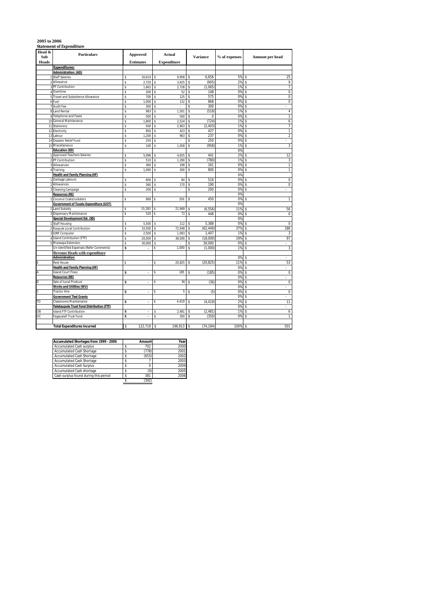|               | <b>Statement of Expenditure</b>                              |                  |                    |                    |                 |               |          |                      |
|---------------|--------------------------------------------------------------|------------------|--------------------|--------------------|-----------------|---------------|----------|----------------------|
| Head &<br>Sub | <b>Particulars</b>                                           | <b>Approved</b>  |                    | Actual             |                 |               |          |                      |
|               |                                                              |                  |                    |                    | <b>Variance</b> | % of expenses |          | Amount per head      |
| <b>Heads</b>  |                                                              | <b>Estimates</b> |                    | <b>Expenditure</b> |                 |               |          |                      |
|               | <b>Expenditures:</b><br><b>Administration: (AD)</b>          |                  |                    |                    |                 |               |          |                      |
|               | 1 Staff Salaries                                             | \$<br>16,614     | \$                 | 9,958              | \$<br>6,656     | 5%            | \$       | 25                   |
|               | 2 Allowance                                                  | \$<br>2,720      | \$                 | 3,625              | \$<br>(905)     | 2%            | \$       | 9                    |
|               | 3 PF Contribution                                            | \$<br>1,663      | \$                 | 2,728              | \$<br>(1,065)   | 1%            | \$       | 7                    |
|               | 4 Overtime                                                   | \$<br>200        |                    | 52                 | \$<br>148       | 0%            | \$       | 0                    |
|               | 5 Travel and Subsistence Allowance                           | \$<br>700        | \$                 | 125                | \$<br>575       | 0%            | \$       | $\mathbf 0$          |
|               | 6 Fuel                                                       | \$<br>1.000      | \$                 | 132                | \$<br>868       | 0%            | \$       | $\overline{0}$       |
|               | 7 Audit Fee                                                  | \$<br>300        | $\hat{\mathbf{s}}$ |                    | \$<br>300       | 0%            | \$       | $\overline{a}$       |
|               | 8 Land Rental                                                | \$<br>983        | \$                 | 1,501              | \$<br>(518)     | 1%            | \$       | $\overline{4}$       |
|               | 9 Telephone and Faxes                                        | \$<br>500        | Ś                  | 500                | \$<br>0         | 0%            | \$       | 1                    |
|               | 10 General Maintenance                                       | \$<br>1,800      | \$                 | 2,524              | \$<br>(724)     | 1%            | \$       | 6                    |
| 11            | Stationery                                                   | \$<br>500        | \$                 | 2,903              | \$<br>(2, 403)  | 1%            | \$       | 7                    |
|               | 12 Electricity                                               | \$<br>850        | \$                 | 423                | \$<br>427       | 0%            | \$       | $\mathbf{1}$         |
|               | 13 Labour                                                    | \$<br>1,200      | \$                 | 963                | \$<br>237       | 0%            | \$       | $\overline{a}$       |
|               | 14 Disaster Relief Fund                                      | \$<br>250        | \$                 |                    | \$<br>250       | 0%            | \$       | L                    |
|               | 15 Miscellaneous                                             | \$<br>100        | \$                 | 1,058              | \$<br>(958)     | 1%            | \$       | 3                    |
|               | <b>Education (ED)</b>                                        |                  |                    |                    |                 | 0%            |          |                      |
|               | <b>Approved Teachers Salaries</b>                            | \$<br>5.096      | \$                 | 4.655              | \$<br>441       | 2%            | \$       | 12                   |
|               | 2 PF Contribution                                            | \$<br>510        | \$                 | 1,290              | \$<br>(780)     | 1%            | \$       | 3                    |
|               | 3 Allowances                                                 | \$<br>360        | \$                 | 199                | \$<br>161       | 0%            | \$       | $\mathbf{1}$         |
|               | 4 Training                                                   | \$<br>1,000      | \$                 | 200                | \$<br>800       | 0%            | \$       | 1                    |
|               | <b>Health and Family Planning (HF)</b>                       |                  |                    |                    |                 | 0%            |          |                      |
| 1             | Garbage Labours                                              | \$<br>600        |                    | 84                 | 516             | 0%            | S        | 0                    |
|               | Allowances                                                   | \$<br>360        |                    | 170                | \$<br>190       | 0%            | \$       | $\overline{0}$       |
|               | Cleaning Campaign                                            | \$<br>200        | \$                 | ä,                 | \$<br>200       | 0%            | \$       | ÷.                   |
|               | <b>Resources (RE)</b>                                        |                  |                    |                    |                 | 0%            |          |                      |
|               | Coconut Crabs/Lobsters                                       | \$<br>800        |                    | 350                | \$<br>450       | 0%            | \$       | $\mathbf{1}$         |
|               | <b>Government of Tuvalu Expenditure (GOT)</b>                |                  |                    |                    |                 | 0%            |          |                      |
|               | <b>Land Subsidy</b>                                          | \$<br>15,393     |                    | 21,949             | (6, 556)        | 11%           | \$       | 56                   |
|               | Dispensary Maintenance                                       | \$<br>520        |                    | 72                 | \$<br>448       | 0%            | \$       | 0                    |
|               | Special Development Est. (SD)                                |                  |                    |                    |                 | 0%            |          |                      |
|               | Staff Housing                                                | \$<br>5,500      |                    | 112                | \$<br>5,388     | 0%            | S        | $\overline{0}$       |
|               | 2 Kaupule Local Contribution                                 | \$<br>10,500     | \$                 | 72,949             | \$<br>(62, 449) | 37%           | \$       | 186                  |
|               | <b>IDRF Computer</b>                                         | \$<br>2,500      | \$                 | 1,093              | \$<br>1,407     | 1%            | \$       | 3                    |
|               | Island Contribution (FTF)                                    | \$<br>20,000     | \$                 | 38,000             | \$<br>(18,000)  | 19%           | \$       | 97                   |
|               | Maneapa Extension                                            | \$<br>30,000     | \$                 |                    | \$<br>30,000    | 0%            | \$       | ä,                   |
|               | Un-identified Expenses (Refer Comments)                      | \$<br>÷.         | \$                 | 1,000              | \$<br>(1,000)   | 1%            | \$       | 3                    |
|               | <b>Revenue Heads with expenditure</b>                        |                  |                    |                    |                 |               |          |                      |
|               | Administration:                                              | \$               |                    |                    |                 | 0%            | \$       | ä,                   |
|               | <b>Rest House</b>                                            | à,               |                    | 20,825             | \$<br>(20, 825) | 11%<br>0%     | \$       | 53                   |
| A             | Health and Family Planning (HF)<br><b>Island Court Fines</b> |                  |                    | 185                | \$<br>(185)     | 0%            | \$<br>\$ | ä,<br>$\overline{0}$ |
|               | <b>Resources (RE)</b>                                        | \$<br>ä,         |                    |                    |                 | 0%            | \$       |                      |
| D             | Sale of Local Produce                                        | \$<br>÷.         | \$                 | 36                 | \$<br>(36)      | 0%            | \$       | ÷<br>$\mathbf 0$     |
|               | Works and Utilities (WU)                                     |                  |                    |                    |                 | 0%            | \$       | $\bar{\phantom{a}}$  |
| C.            | <b>Tractor Hire</b>                                          | \$<br>ä,         | \$                 | 5                  | \$<br>(5)       | 0%            | \$       | $\mathbf 0$          |
|               | <b>Government Tied Grants</b>                                |                  |                    |                    |                 | 0%            | \$       | ٠                    |
| TD            | Classrooms Maintenance                                       | \$<br>ä,         | \$                 | 4,419              | \$<br>(4, 419)  | 2%            |          | 11                   |
|               | Falekaupule Trust Fund Distribution (FTF)                    |                  |                    |                    |                 | 0%            | \$       | ÷.                   |
| ОB            | Island FTF Contribution                                      | \$<br>ä,         | \$                 | 2,481              | (2, 481)        | 1%            | \$       | 6                    |
| ОC            | Fagaualafi Trust Fund                                        | \$<br>÷.         | \$                 | 350                | \$<br>(350)     | 0%            | \$       | $\mathbf{1}$         |
|               |                                                              |                  |                    |                    |                 |               |          |                      |
|               | <b>Total Expenditures Incurred</b>                           | \$<br>122,719    | 5                  | 196,913 \$         | (74, 194)       | 100% \$       |          | 501                  |
|               |                                                              |                  |                    |                    |                 |               |          |                      |

| Amount | Year |
|--------|------|
| 702    | 2000 |
| (778)  | 2001 |
| (653)  | 2002 |
|        | 2003 |
|        | 2004 |
| (0)    | 2005 |
| 381    | 2006 |
|        |      |

 $\frac{301}{5}$  (342)

### **2005 to 2006**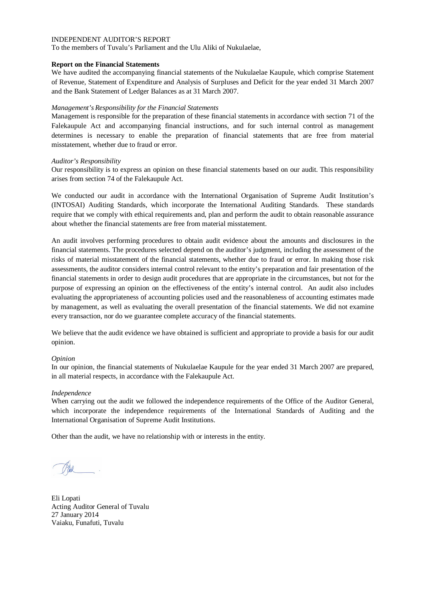To the members of Tuvalu's Parliament and the Ulu Aliki of Nukulaelae,

## **Report on the Financial Statements**

We have audited the accompanying financial statements of the Nukulaelae Kaupule, which comprise Statement of Revenue, Statement of Expenditure and Analysis of Surpluses and Deficit for the year ended 31 March 2007 and the Bank Statement of Ledger Balances as at 31 March 2007.

# *Management's Responsibility for the Financial Statements*

Management is responsible for the preparation of these financial statements in accordance with section 71 of the Falekaupule Act and accompanying financial instructions, and for such internal control as management determines is necessary to enable the preparation of financial statements that are free from material misstatement, whether due to fraud or error.

# *Auditor's Responsibility*

Our responsibility is to express an opinion on these financial statements based on our audit. This responsibility arises from section 74 of the Falekaupule Act.

We conducted our audit in accordance with the International Organisation of Supreme Audit Institution's (INTOSAI) Auditing Standards, which incorporate the International Auditing Standards. These standards require that we comply with ethical requirements and, plan and perform the audit to obtain reasonable assurance about whether the financial statements are free from material misstatement.

An audit involves performing procedures to obtain audit evidence about the amounts and disclosures in the financial statements. The procedures selected depend on the auditor's judgment, including the assessment of the risks of material misstatement of the financial statements, whether due to fraud or error. In making those risk assessments, the auditor considers internal control relevant to the entity's preparation and fair presentation of the financial statements in order to design audit procedures that are appropriate in the circumstances, but not for the purpose of expressing an opinion on the effectiveness of the entity's internal control. An audit also includes evaluating the appropriateness of accounting policies used and the reasonableness of accounting estimates made by management, as well as evaluating the overall presentation of the financial statements. We did not examine every transaction, nor do we guarantee complete accuracy of the financial statements.

We believe that the audit evidence we have obtained is sufficient and appropriate to provide a basis for our audit opinion.

### *Opinion*

In our opinion, the financial statements of Nukulaelae Kaupule for the year ended 31 March 2007 are prepared, in all material respects, in accordance with the Falekaupule Act.

### *Independence*

When carrying out the audit we followed the independence requirements of the Office of the Auditor General, which incorporate the independence requirements of the International Standards of Auditing and the International Organisation of Supreme Audit Institutions.

Eli Lopati Acting Auditor General of Tuvalu 27 January 2014 Vaiaku, Funafuti, Tuvalu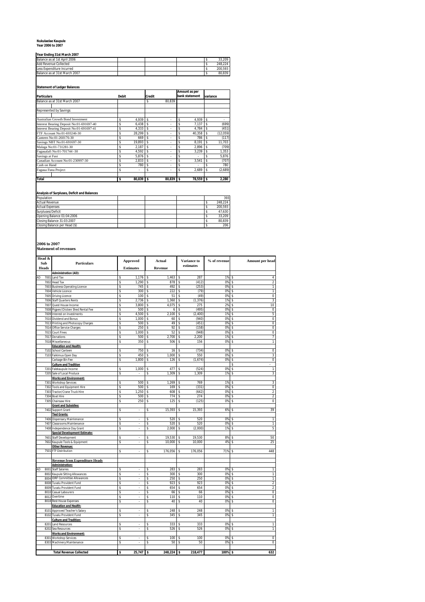# **Nukulaelae Kaupule Year 2006 to 2007**

### **Year Ending 31st March 2007**

| <b>TIGGI LINING JIJA IVIGIGI LOO</b> 7 |  |  |         |
|----------------------------------------|--|--|---------|
| Balance as at 1st April 2006           |  |  | 33.209  |
| Add Revenue Collected                  |  |  | 248.224 |
| Less Expenditure Incurred              |  |  | 200.593 |
| Balance as at 31st March 2007          |  |  | 80.839  |

### **Statement of Ledger Balances**

|                                          |              |        |               |        |     | Amount as per  |          |           |
|------------------------------------------|--------------|--------|---------------|--------|-----|----------------|----------|-----------|
| <b>Particulars</b>                       | <b>Debit</b> |        | <b>Credit</b> |        |     | bank statement | variance |           |
| Balance as at 31st March 2007            |              |        | \$            | 80.839 |     |                |          |           |
|                                          |              |        |               |        |     |                |          |           |
| Represented by Savings:                  |              |        |               |        |     |                |          |           |
| Australian Growth Bond Investment        | s            | 4.939  | s             | ۰      | \$  | 4.939          | \$       |           |
| Interest Bearing Deposit No:01-691697-40 | Ś            | 6,438  | s             | ٠      | \$  | 7,137          | \$       | (699)     |
| Interest Bearing Deposit No:01-691697-41 | s            | 4.333  | s             | ۰      | \$  | 4.784          | \$       | (451)     |
| FTF Account No:01-693246-30              | Ś            | 28.299 | s             | ۰      | \$  | 40,358         | \$       | (12, 059) |
| Canteen No:01-260176-30                  | Ś            | 669    | Ŝ             | ٠      | \$  | 786            | \$       | (117)     |
| Savings NBT No:01-691697-30              | Ś            | 19.893 | Ŝ             | ٠      | \$  | 8.191          | \$       | 11.703    |
| Malaga No:01-731281-30                   | Ŝ            | 2.187  | s             | ۰      | \$  | 2.896          | \$       | (709)     |
| Fagaualafi No:01-701744 -30              | Ś            | 4.592  | s             | ۰      | \$  | 3.239          | \$       | 1.353     |
| Savings at Fusi                          | Ś            | 5.876  | s             | ٠      | \$  | ٠              | \$       | 5,876     |
| Canadian Account No:01-230997-30         | s            | 2,833  | s             | ۰      | \$  | 3.541          | s        | (707)     |
| Cash on Hand                             | Ŝ            | 780    | s             | ۰      | \$  | ٠              | \$       | 780       |
| Fagaua Funa Project                      | Ŝ            | ٠      | s             | ۰      | \$  | 2.689          | \$       | (2,689)   |
| Total                                    | \$           | 80.839 | \$            | 80,839 | l s | 78,559         | l \$     | 2.280     |

### **Analysis of Surpluses, Deficit and Balances**

| Population                    |  |  | 393     |
|-------------------------------|--|--|---------|
| <b>Actual Revenue</b>         |  |  | 248.224 |
| <b>Actual Expenses</b>        |  |  | 200.593 |
| Surpluses/Deficit             |  |  | 47.630  |
| Opening Balance 01:04:2006    |  |  | 33.209  |
| Closing Balance 31:03:2007    |  |  | 80.839  |
| Closing Balance per Head (\$) |  |  | 206     |

**2006 to 2007 Statement of revenues**

| Sub<br>Heads<br>AD<br>7001 | <b>Particulars</b><br><b>Administration (AD):</b><br>Land Tax<br>7002 Head Tax | S        | Approved<br><b>Estimates</b> |          | Actual<br>Revenue |          | Variance to<br>estimates | % of revenue | Amount per head               |
|----------------------------|--------------------------------------------------------------------------------|----------|------------------------------|----------|-------------------|----------|--------------------------|--------------|-------------------------------|
|                            |                                                                                |          |                              |          |                   |          |                          |              |                               |
|                            |                                                                                |          |                              |          |                   |          |                          |              |                               |
|                            |                                                                                |          | 1,176                        | S        | 1,463             | s        | 287                      | 1%           | 4<br>s                        |
|                            |                                                                                | \$       | 1,290                        | \$       | 878               | \$       | (412)                    | 0%           | 2<br>\$                       |
|                            | 7003 Business Operating Licence                                                | S        | 745                          | S        | 492               | \$       | (253)                    | 0%           | \$<br>$\overline{1}$          |
| 7004                       | Vehicle Licence                                                                | \$       | 300                          | \$       | 222               | \$       | (79)                     | 0%           | \$<br>1                       |
|                            | 7005 Driving Licence                                                           | \$       | 100                          | \$       | 51                | \$       | (49)                     | 0%           | 0<br>\$                       |
| 7006                       | <b>Staff Quarters Rents</b>                                                    | \$       | 2,736                        | \$       | 1,360             | \$       | (1, 376)                 | 1%           | 3<br>\$                       |
| 7007                       | Quest House Income                                                             | \$       | 3,800                        | \$       | 4,075             | \$       | 275                      | 2%           | 10<br>\$                      |
|                            | 7008 Pigpen/Chicken Shed Rental Fee                                            | \$       | 500                          | \$       | 6                 | \$       | (495)                    | 0%           | \$<br>0                       |
|                            | 7009 Interest on Investments                                                   | \$       | 4,500                        | \$       | 2,100             | \$       | (2, 400)                 | 1%           | 5<br>\$                       |
|                            | 7010 Dividend and Bonus                                                        | \$       | 1,000                        | \$       | 60                | \$       | (940)                    | 0%           | \$<br>0                       |
| 7013                       | Printing and Photocopy Charges                                                 | Ŝ        | 500                          | \$       | 49                | \$       | (451)                    | 0%           | $\overline{0}$<br>Ś           |
|                            | 7014 Office Service Charges                                                    | \$       | 250                          | \$       | 92                | \$       | (158)                    | 0%           | 0<br>\$                       |
| 7015                       | <b>Court Fines</b>                                                             | \$       | 1,000                        | \$       | 52                | \$       | (948)                    | 0%           | \$<br>0                       |
| 7017                       | Donations                                                                      | \$       | 500                          | \$       | 2,700             | \$       | 2,200                    | 1%           | 7<br>\$                       |
|                            | 7018 Miscellaneous                                                             | \$       | 350                          | \$       | 506               | Ś        | 156                      | 0%           | 1<br>\$                       |
|                            | <b>Education and Health:</b>                                                   |          | 750                          |          |                   |          | (734)                    | 0%           | 0                             |
| 7102<br>7103               | School Canteen<br>Faikimua Open Day                                            | \$<br>\$ | 450                          | \$<br>\$ | 16<br>1,000       | \$<br>\$ | 550                      | 0%           | \$<br>3<br>\$                 |
|                            | Carbage Bin Fee                                                                | \$       | 1,800                        | \$       | 126               | \$       | (1,674)                  | 0%           | 0<br>\$                       |
|                            | <b>Culture and Tradition</b>                                                   |          |                              |          |                   |          |                          |              | \$                            |
| 7201                       | Falekaupule Income                                                             | \$       | 1,000                        | \$       | 477               | Ś        | (524)                    | 0%           | Ś<br>1                        |
| 7205                       | Sale of Local Produce                                                          | Ś        |                              | \$       | 1.309             | \$       | 1,309                    | 1%           | 3<br>Ś                        |
|                            | <b>Works and Environment:</b>                                                  |          |                              |          |                   |          |                          |              |                               |
| 7301                       | <b>Workshop Services</b>                                                       | \$       | 500                          | \$       | 1,269             | \$       | 769                      | 1%           | 3<br>\$                       |
| 7302                       | <b>Tools and Equipment Hire</b>                                                | S        | 500                          | \$       | 169               | \$       | (331)                    | 0%           | 0<br>\$                       |
| 7303                       | Tractor/Crane Truck Hire                                                       | S        | 1,250                        | \$       | 608               | \$       | (642)                    | 0%           | 2<br>\$                       |
| 7304                       | <b>Boat Hire</b>                                                               | \$       | 500                          | \$       | 774               | \$       | 274                      | 0%           | $\overline{\mathbf{2}}$<br>\$ |
| 7305                       | Chainsaw Hire                                                                  | S        | 250                          | Ŝ        | 125               | s        | (125)                    | 0%           | 0<br>S                        |
|                            | <b>Grant and Subsidies:</b>                                                    |          |                              |          |                   |          |                          |              |                               |
| 7402                       | Support Grant                                                                  | \$       | $\overline{\phantom{a}}$     | \$       | 15,393            | \$       | 15,393                   | 6%           | 39<br>s                       |
|                            | <b>Tied Grants:</b>                                                            |          |                              |          |                   |          |                          |              |                               |
| 7406                       | Dispensary Maintenance                                                         | \$       | ÷.                           | \$       | 520               | \$       | 520                      | 0%           | 1<br>\$                       |
| 7407                       | Classrooms Maintenance                                                         | \$       | ٠                            | \$       | 520               | \$       | 520                      | 0%           | $\overline{1}$<br>\$          |
| 7408                       | Independence Day Grant                                                         | \$       | ÷,                           | Ś        | 2,000             | \$       | (2,000)                  | 1%           | 5<br>s                        |
|                            | <b>Special Development Estimate:</b>                                           |          |                              |          |                   |          |                          |              |                               |
| 7601                       | Staff Development                                                              | \$       | à,                           | \$       | 19,530            | s        | 19,530                   | 8%           | 50<br>\$                      |
| 7602                       | Kaupule Tools & Equipment                                                      | \$       | ÷,                           | \$       | 10,000            | \$       | 10,000                   | 4%           | \$<br>25                      |
|                            | Other Revenue:                                                                 |          |                              |          |                   |          |                          |              |                               |
| 7501                       | <b>FTF Distribution</b>                                                        | Ŝ        | J.                           | \$       | 176,056           | \$       | 176,056                  | 71%          | 448<br>Ś                      |
|                            |                                                                                |          |                              |          |                   |          |                          |              |                               |
|                            | <b>Revenue from Expenditure Heads</b>                                          |          |                              |          |                   |          |                          |              |                               |
|                            | Administration:                                                                |          |                              |          |                   |          |                          |              |                               |
| AD<br>8001                 | <b>Staff Salaries</b>                                                          | \$       | à,                           | \$       | 283<br>300        | \$<br>\$ | 283<br>300               | 0%<br>0%     | \$<br>1<br>$\mathbf{1}$       |
| 8002<br>8004               | Kaupule Sitting Allowances<br><b>IDRF Committee Allowances</b>                 | \$<br>\$ | ×<br>à,                      | \$<br>\$ | 250               | \$       | 250                      | 0%           | \$<br>$\overline{1}$<br>\$    |
| 8008                       | Tuvalu Provident Fund                                                          | \$       | ÷,                           | \$       | 923               | \$       | 923                      | 0%           | $\overline{\mathbf{2}}$<br>\$ |
| 8009                       | Tuvalu Provident Fund                                                          | \$       | ä,                           | \$       | 654               | \$       | 654                      | 0%           | $\overline{\mathbf{2}}$<br>\$ |
| 8010                       | Casual Labourers                                                               | \$       | ä,                           | \$       | 66                | \$       | 66                       | 0%           | 0<br>\$                       |
| 8012                       | Overtime                                                                       | Ŝ        | i,                           | \$       | 110               | \$       | 110                      | 0%           | 0<br>S                        |
| 8018                       | <b>Rest House Expenses</b>                                                     | S        | ×,                           | \$       | 40                | Ŝ        | 40                       | 0%           | 0<br>\$                       |
|                            | <b>Education and Health:</b>                                                   |          |                              |          |                   |          |                          |              |                               |
|                            | 8101 Approved Teacher's Salary                                                 | \$       | $\blacksquare$               | \$       | 248               | s        | 248                      | 0%           | 1<br>s                        |
| 8102                       | Tuvalu Provident Fund                                                          | \$       | $\overline{a}$               | \$       | 345               | \$       | 345                      | 0%           | \$<br>$\overline{1}$          |
|                            | <b>Culture and Tradition:</b>                                                  |          |                              |          |                   |          |                          |              |                               |
| 8201                       | <b>Land Resources</b>                                                          | \$       | à,                           | \$       | 333               | s        | 333                      | 0%           | $\mathbf{1}$<br>S             |
| 8202                       | Sea Resources                                                                  | \$       | ÷,                           | \$       | 526               | \$       | 526                      | 0%           | \$<br>$\mathbf{1}$            |
|                            | <b>Works and Environment:</b>                                                  |          |                              |          |                   |          |                          |              |                               |
| 8301                       | <b>Workshop Services</b>                                                       | \$       | ł,                           | \$       | 100               | Ś        | 100                      | 0%           | \$<br>0                       |
|                            | 8303 Machinery Maintenance                                                     | \$       | $\epsilon$                   | \$       | 50                | \$       | 50                       | 0%           | 0<br>\$                       |
|                            |                                                                                |          |                              |          |                   |          |                          |              |                               |
|                            | <b>Total Revenue Collected</b>                                                 | \$       | 25,747                       | \$       | 248,224           | \$       | 218,477                  | 100%         | 632<br>\$                     |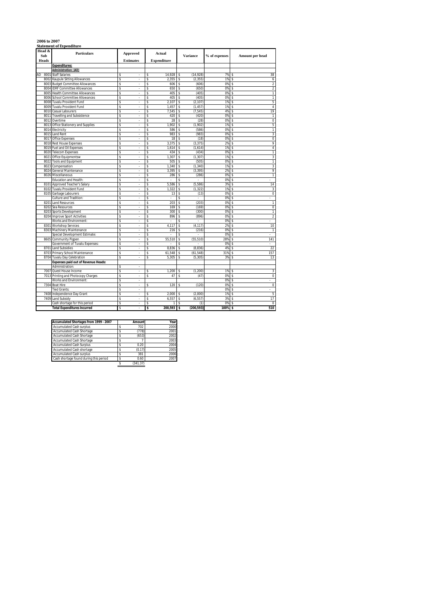### **2006 to 2007 Statement of Expenditure**

| Head &<br>Sub | <b>Particulars</b>                         | Approved                       | <b>Actual</b>      |            |                    | <b>Variance</b> | % of expenses | Amount per head               |                   |
|---------------|--------------------------------------------|--------------------------------|--------------------|------------|--------------------|-----------------|---------------|-------------------------------|-------------------|
| Heads         |                                            | <b>Estimates</b>               | <b>Expenditure</b> |            |                    |                 |               |                               |                   |
|               | <b>Expenditures:</b>                       |                                |                    |            |                    |                 |               |                               |                   |
|               | Administration: (AD)                       |                                |                    |            |                    |                 |               |                               |                   |
| AD<br>8001    | <b>Staff Salaries</b>                      | s<br>٠                         | s                  | 14.928     | \$                 | (14.928)        | 7%            | s                             | 38                |
| 8002          | Kaupule Sitting Allowances                 | \$<br>÷,                       | \$                 | 2,355      | \$                 | (2, 355)        | 1%            | \$                            | 6                 |
| 8003          | <b>Budget Committee Allowances</b>         | Ś                              | Ś                  | 606        | \$                 | (606)           | 0%            | Ŝ                             | $\overline{2}$    |
| 8004          | <b>IDRF Committee Allowances</b>           | \$<br>ä,                       | \$                 | 650        | \$                 | (650)           | 0%            | \$                            | $\overline{a}$    |
| 8005          | <b>Health Committee Allowances</b>         | s<br>÷.                        | \$                 | 405        | \$                 | (405)           | 0%            | s                             | $\mathbf{1}$      |
| 8006          | <b>School Committee Allowances</b>         | s<br>×,                        | Ś                  | 405        | \$                 | (405)           | 0%            | Ś                             | 1                 |
| 8008          | Tuvalu Provident Fund                      | \$<br>×,                       | \$                 | 2,107      | \$                 | (2, 107)        | 1%            | \$                            | 5                 |
| 8009          | Tuvalu Provident Fund                      | \$<br>×                        | Ś                  | 1,457      | \$                 | (1, 457)        | 1%            | Ŝ                             | 4                 |
| 8010          | Casual Labourers                           | Ŝ                              | Ś                  | 7,545      | \$                 | (7, 545)        | 4%            | s                             | 19                |
| 8011          | <b>Travelling and Subsistence</b>          | s<br>×,                        | Ŝ                  | 420        | $\mathbb S$        | (420)           | 0%            | Ś                             | $\mathbf{1}$      |
| 8012          | Overtime                                   | \$<br>٠                        | Ś                  | 28         | \$                 | (28)            | 0%            | Ś                             | $\mathbf 0$       |
| 8013          | Office Stationery and Supplies             | \$<br>×,                       | \$                 | 1,902      | \$                 | (1,902)         | 1%            | Ś                             | 5                 |
| 8014          | Electricity                                | Ś<br>٠                         | Ś                  | 586        | \$                 | (586)           | 0%            | Ŝ                             | 1                 |
| 8015          | <b>Land Rent</b>                           | \$                             | Ś                  | 983        | \$                 | (983)           | 0%            | Ś                             | 3                 |
| 8017          | <b>Office Expenses</b>                     | Ŝ<br>×,                        | Ŝ                  | 18         | \$                 | (18)            | 0%            | s                             | $\mathbf 0$       |
| 8018          | <b>Rest House Expenses</b>                 | s                              | Ŝ                  | 3.375      | \$                 | (3, 375)        | 2%            | S                             | 9                 |
| 8019          | Fuel and Oil Expenses                      | S<br>÷                         | \$                 | 1,614      | \$                 | (1,614)         | 1%            | \$                            | 4                 |
| 8020          | <b>Telecom Expenses</b>                    | S<br>÷.                        | \$                 | 434        | \$                 | (434)           | 0%            | s                             | 1                 |
| 8021          | Office Equipmentsw                         | s                              | S                  | 1,307      | \$                 | (1, 307)        | 1%            | s                             | 3                 |
| 8022          | <b>Tools and Equipment</b>                 | \$<br>×,                       | \$                 | 505        | \$                 | (505)           | 0%            | Ś                             | $\mathbf{1}$      |
| 802           | Compensation                               | s<br>٠                         | Ś                  | 1,340      | \$                 | (1, 340)        | 1%            | s                             | 3                 |
| 8024          | General Maintenance                        | Ŝ                              | Ś                  | 3,395      | \$                 | (3, 395)        | 2%            | s                             | 9                 |
| 8026          | Miscellaneous                              | s<br>×,                        | Ś                  | 286        | \$                 | (286)           | 0%            | s                             | 1                 |
|               | Education and Health:                      | \$<br>٠                        | \$                 | ×,         | \$                 | à,              | 0%            | Ś<br>٠                        |                   |
| 8101          | Approved Teacher's Salary                  | \$                             | \$                 | 5,586      | \$                 | (5, 586)        | 3%            | S                             | 14                |
|               | 8102 Tuvalu Provident Fund                 | Ś<br>×,                        | Ś                  | 1,322      | \$                 | (1, 322)        | 1%            | Ŝ                             | 3                 |
| 8105          | Garbage Labourers                          | \$                             | Ś                  | 13         | \$                 | (13)            | 0%            | s                             | 0                 |
|               | Culture and Tradition:                     | s<br>×,                        | Ŝ                  | l,         | \$                 | ÷,              | 0%            | s<br>÷,                       |                   |
| 8201          | <b>Land Resources</b>                      | Ś<br>٠                         | Ś                  | 203        | \$                 | (203)           | 0%            | \$                            | 1                 |
| 8202          | Sea Resources                              | \$                             | \$                 | 169        | \$                 | (169)           | 0%            | \$                            | 0                 |
| 8203          | Sports Development                         | \$<br>×,                       | \$                 | 300        | \$                 | (300)           | 0%            | s                             | 1                 |
| 8204          | <b>Improve Sport Activities</b>            | Ś                              | Ś                  | 896        | \$                 | (896)           | 0%            | s                             | $\overline{a}$    |
|               | Works and Environment:                     | s<br>÷,                        | Ś                  | l,         | $\hat{\mathbf{S}}$ |                 | 0%            | Ś<br>÷,                       |                   |
| 8301          | <b>Workshop Services</b>                   | \$<br>٠                        | \$                 | 4,117      | \$                 | (4, 117)        | 2%            | s                             | 10                |
| 8303          | Machinery Maintenance                      | Ś                              | Ś                  | 216        | \$                 | (216)           | 0%            | S                             | $\mathbf{1}$      |
|               | Special Development Estimate:              | Ŝ<br>×,                        | Ś                  | ×,         | \$                 | ٠               | 0%            | s<br>$\overline{\phantom{a}}$ |                   |
| 8605          | Community Pigpen                           | \$<br>٠<br>J.                  | \$                 | 55,510     | \$                 | (55, 510)       | 28%           | Ś<br>÷                        | 141               |
|               | Government of Tuvalu Expenses:             | \$                             | \$                 |            | \$                 |                 | 0%            | Ŝ                             |                   |
| 8701          | <b>Land Subsidies</b>                      | S<br>٠                         | \$                 | 8,836      | \$                 | (8,836)         | 4%            | Ŝ                             | 22                |
| 8703          | Primary School Maintenance                 | S<br>×                         | s                  | 61,548     | \$                 | (61, 548)       | 31%           | Ŝ                             | 157               |
| 8704          | <b>Tuvalu Day Celebration</b>              | S<br>×,                        | s                  | 5.305      | \$                 | (5, 305)        | 3%            | s                             | 13                |
|               | <b>Expenses paid out of Revenue Heads:</b> |                                |                    |            |                    |                 |               |                               |                   |
|               | Administration:                            | \$                             |                    |            |                    |                 |               |                               |                   |
| 7007          | Quest House Income                         | \$<br>$\overline{\phantom{a}}$ | \$                 | 1,200      | \$                 | (1, 200)        | 1%            | \$                            | 3                 |
| 7013          | Printing and Photocopy Charges             | s                              | Ś                  | 47         | \$                 | (47)            | 0%            | \$                            | $\mathbf 0$       |
|               | Works and Environment:                     | s<br>÷,                        |                    |            |                    |                 | 0%            | Ś<br>÷,                       |                   |
|               | 7304 Boat Hire                             | \$<br>٠                        | \$                 | 120        | \$                 | (120)           | 0%            | \$                            | 0                 |
|               | <b>Tied Grants:</b>                        | Ś<br>Ŝ                         |                    |            |                    |                 | 0%            | Ŝ                             |                   |
| 7408<br>7409  | Independence Day Grant                     | ×,<br>\$                       | s<br>\$            | 2.000      | \$                 | (2.000)         | 1%<br>3%      | Ś<br>Ś                        | 5                 |
|               | Land Subsidy                               | s<br>J.                        |                    | 6,557<br>1 | \$<br>\$           | (6, 557)        | 0%            |                               | 17<br>$\mathbf 0$ |
|               | Cash shortage for this period              |                                | \$                 |            |                    | (1)             |               | \$                            |                   |
|               | <b>Total Expenditures Incurred</b>         | S                              | \$                 | 200,593    | s                  | (200, 593)      | 100%          | \$                            | 510               |

| Accumulated Shortages from 1999 - 2007 | <b>Amount</b> | Year |
|----------------------------------------|---------------|------|
| <b>Accumulated Cash surplus</b>        | 702           | 2000 |
| Accumulated Cash Shortage              | (778)         | 2001 |
| <b>Accumulated Cash Shortage</b>       | (653)         | 2002 |
| Accumulated Cash Shortage              |               | 2003 |
| <b>Accumulated Cash Surplus</b>        | 0.20          | 2004 |
| <b>Accumulated Cash shortage</b>       | (0.17)        | 2005 |
| <b>Accumulated Cash surplus</b>        | 381           | 2006 |
| Cash shortage found during this period | 0.60          | 2007 |
|                                        | (341.37)      |      |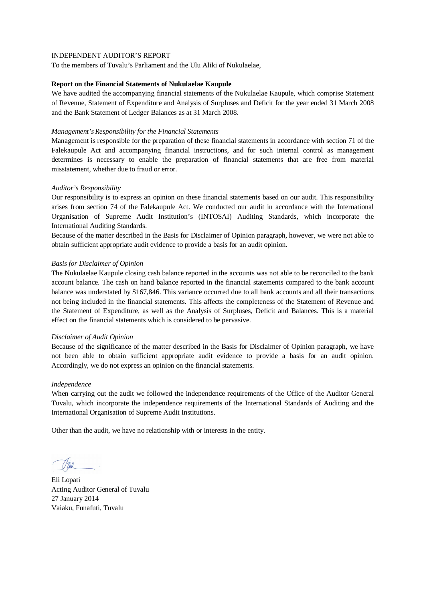To the members of Tuvalu's Parliament and the Ulu Aliki of Nukulaelae,

### **Report on the Financial Statements of Nukulaelae Kaupule**

We have audited the accompanying financial statements of the Nukulaelae Kaupule, which comprise Statement of Revenue, Statement of Expenditure and Analysis of Surpluses and Deficit for the year ended 31 March 2008 and the Bank Statement of Ledger Balances as at 31 March 2008.

## *Management's Responsibility for the Financial Statements*

Management is responsible for the preparation of these financial statements in accordance with section 71 of the Falekaupule Act and accompanying financial instructions, and for such internal control as management determines is necessary to enable the preparation of financial statements that are free from material misstatement, whether due to fraud or error.

# *Auditor's Responsibility*

Our responsibility is to express an opinion on these financial statements based on our audit. This responsibility arises from section 74 of the Falekaupule Act. We conducted our audit in accordance with the International Organisation of Supreme Audit Institution's (INTOSAI) Auditing Standards, which incorporate the International Auditing Standards.

Because of the matter described in the Basis for Disclaimer of Opinion paragraph, however, we were not able to obtain sufficient appropriate audit evidence to provide a basis for an audit opinion.

### *Basis for Disclaimer of Opinion*

The Nukulaelae Kaupule closing cash balance reported in the accounts was not able to be reconciled to the bank account balance. The cash on hand balance reported in the financial statements compared to the bank account balance was understated by \$167,846. This variance occurred due to all bank accounts and all their transactions not being included in the financial statements. This affects the completeness of the Statement of Revenue and the Statement of Expenditure, as well as the Analysis of Surpluses, Deficit and Balances. This is a material effect on the financial statements which is considered to be pervasive.

### *Disclaimer of Audit Opinion*

Because of the significance of the matter described in the Basis for Disclaimer of Opinion paragraph, we have not been able to obtain sufficient appropriate audit evidence to provide a basis for an audit opinion. Accordingly, we do not express an opinion on the financial statements.

### *Independence*

When carrying out the audit we followed the independence requirements of the Office of the Auditor General Tuvalu, which incorporate the independence requirements of the International Standards of Auditing and the International Organisation of Supreme Audit Institutions.

Eli Lopati Acting Auditor General of Tuvalu 27 January 2014 Vaiaku, Funafuti, Tuvalu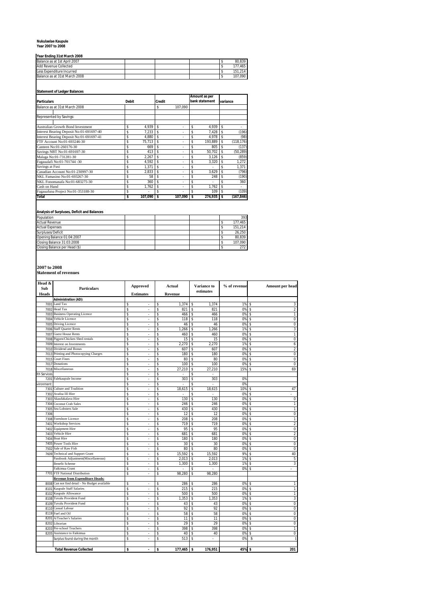# **Nukulaelae Kaupule Year 2007 to 2008**

| IYear Ending 31st March 2008  |  |  |         |
|-------------------------------|--|--|---------|
| Balance as at 1st April 2007  |  |  | 80.839  |
| <b>Add Revenue Collected</b>  |  |  | 177.465 |
| Less Expenditure Incurred     |  |  | 151.214 |
| Balance as at 31st March 2008 |  |  | 107.090 |

## **Statement of Ledger Balances**

| <b>Particulars</b>                       | <b>Debit</b> |         | <b>Credit</b> |         | Amount as per<br>bank statement |         | variance |            |
|------------------------------------------|--------------|---------|---------------|---------|---------------------------------|---------|----------|------------|
| Balance as at 31st March 2008            |              |         | \$            | 107.090 |                                 |         |          |            |
|                                          |              |         |               |         |                                 |         |          |            |
| Represented by Savings:                  |              |         |               |         |                                 |         |          |            |
| <b>Australian Growth Bond Investment</b> | \$           | 4.939   | Ŝ             | ٠       | \$                              | 4.939   | \$       |            |
| Interest Bearing Deposit No:01-691697-40 | \$           | 7.233   | Ŝ             | ٠       | \$                              | 7.428   |          | (196)      |
| Interest Bearing Deposit No:01-691697-41 | \$           | 4.880   | Ŝ             | ٠       | \$                              | 4.978   | \$       | (98)       |
| FTF Account No:01-693246-30              | \$           | 75,713  | \$            | ٠       | \$                              | 193,889 | \$       | (118, 176) |
| Canteen No:01-260176-30                  | \$           | 669     | Ŝ             | ٠       | \$                              | 805     |          | (137)      |
| Savings NBT No:01-691697-30              | \$           | 413     | Ŝ             | ٠       | \$                              | 50.702  | \$       | (50, 289)  |
| Malaga No:01-731281-30                   | \$           | 2.267   | Ŝ             | ٠       | \$                              | 3,126   |          | (859)      |
| Fagaualafi No:01-701744 -30              | \$           | 4.592   | Ŝ             | ٠       | \$                              | 3,320   | \$       | 1,272      |
| Savings at Fusi                          | \$           | 1.371   | \$            | ٠       | \$                              |         | \$       | 1.371      |
| Canadian Account No:01-230997-30         | \$           | 2.833   | Ŝ             | ٠       | \$                              | 3,629   | \$       | (796)      |
| NKL Famasino No:01-693267-30             | \$           | 58      | Ŝ             | ٠       | \$                              | 248     | \$       | (190)      |
| NKL Fonomanafa No:01-683275-30           | \$           | 360     | \$            | ٠       | \$                              |         |          | 360        |
| Cash on Hand                             | \$           | 1.762   | \$            | ٠       | \$                              | 1.762   | \$       |            |
| Fagauafuna Project No:01-353188-30       | \$           | ٠       | \$            | ٠       | \$                              | 109     | \$       | (109)      |
| <b>Total</b>                             | \$           | 107,090 | Ś             | 107,090 | \$                              | 274,935 | \$       | (167.846)  |

### **Analysis of Surpluses, Deficit and Balances**

| Population                    |  |  | 393     |
|-------------------------------|--|--|---------|
| <b>Actual Revenue</b>         |  |  | 177.465 |
| <b>Actual Expenses</b>        |  |  | 151.214 |
| Surpluses/Deficit             |  |  | 26.250  |
| Opening Balance 01:04:2007    |  |  | 80.839  |
| Closing Balance 31:03:2008    |  |  | 107.090 |
| Closing Balance per Head (\$) |  |  | 272     |

**2007 to 2008 Statement of revenues**

| ٠ |  |  |
|---|--|--|

| Head &<br>Sub | <b>Particulars</b>                             | <b>Approved</b>                |    | Actual  | <b>Variance to</b><br>estimates |        | % of revenue |    | Amount per head |
|---------------|------------------------------------------------|--------------------------------|----|---------|---------------------------------|--------|--------------|----|-----------------|
| <b>Heads</b>  |                                                | <b>Estimates</b>               |    | Revenue |                                 |        |              |    |                 |
|               | <b>Administration (AD):</b>                    |                                |    |         |                                 |        |              |    |                 |
|               | 7001 Land Tax                                  | \$<br>÷.                       | \$ | 1,374   | \$                              | 1,374  | 1%           | \$ |                 |
| 7002          | <b>Head Tax</b>                                | \$                             | \$ | 821     | \$                              | 821    | 0%           | \$ |                 |
| 7003          | <b>Business Operating Licence</b>              | \$<br>÷.                       | \$ | 466     | \$                              | 466    | 0%           | \$ |                 |
| 7004          | Vehicle Licence                                | \$<br>$\hat{\phantom{a}}$      | \$ | 118     | \$                              | 118    | 0%           | \$ |                 |
|               | 7005 Driving Licence                           | \$<br>÷                        | \$ | 46      | \$                              | 46     | 0%           | \$ |                 |
| 7006          | <b>Staff Quarter Rents</b>                     | \$                             | \$ | 1,266   | \$                              | 1,266  | 1%           | \$ |                 |
|               | 7007 Guest House Rents                         | \$<br>$\mathbf{r}$             | \$ | 460     | \$                              | 460    | 0%           | \$ |                 |
|               | 7008 Pigpen/Chicken Shed rentals               | \$<br>ä,                       | \$ | 15      | \$                              | 15     | 0%           | \$ |                 |
|               | 7009 Interest on Investments                   | \$<br>ä,                       | \$ | 2,270   | \$                              | 2,270  | 1%           | \$ |                 |
|               | 7010 Dividend and Bonus                        | \$<br>ä,                       | \$ | 607     | \$                              | 607    | 0%           | \$ |                 |
|               | 7013 Printing and Photocopying Charges         | \$<br>ä,                       | \$ | 180     | \$                              | 180    | 0%           | \$ |                 |
| 7015          | <b>Court Fines</b>                             | \$<br>$\overline{\phantom{a}}$ | \$ | 80      | \$                              | 80     | 0%           | \$ |                 |
|               | 7017 Donations                                 | \$<br>L.                       | Ś  | 100     | \$                              | 100    | 0%           | \$ |                 |
| 7018          | Miscellaneous                                  | \$<br>÷                        | \$ | 27,210  | \$                              | 27,210 | 15%          | \$ |                 |
| th Services   |                                                | \$                             | \$ |         | \$                              |        |              |    |                 |
|               | 7201 Falekaupule Income                        | \$<br>ä,                       | \$ | 303     | \$                              | 303    | 0%           |    |                 |
| vironment     |                                                | \$<br>÷                        | Ś  | ä,      | \$                              | ÷.     | 0%           |    |                 |
|               | 7301 Culture and Tradition                     | \$<br>ä,                       | \$ | 18,615  | \$                              | 18,615 | 10%          | \$ |                 |
| 7302          | Avafoa III Hire                                | \$<br>ä,                       | \$ |         | \$                              |        | 0%           | \$ |                 |
| 7303          | Akaufakalava Hire                              | \$<br>÷.                       | \$ | 130     | \$                              | 130    | 0%           | \$ |                 |
|               | 7304 Coconut Crab Sales                        | \$<br>$\overline{\phantom{a}}$ | \$ | 246     | \$                              | 246    | 0%           | \$ |                 |
| 7305          | Sea Lobsters Sale                              | \$<br>k,                       | \$ | 430     | \$                              | 430    | 0%           | \$ |                 |
| 7306          |                                                | \$                             | \$ | 12      | \$                              | 12     | 0%           | \$ |                 |
|               | 7308 Foreshore Licence                         | \$<br>$\overline{a}$           | \$ | 208     | \$                              | 208    | 0%           | \$ |                 |
| 7401          | <b>Workshop Services</b>                       | \$<br>÷,                       | \$ | 719     | \$                              | 719    | 0%           | \$ |                 |
|               | 7402 Equipment Hire                            | \$<br>ä,                       | \$ | 95      | \$                              | 95     | 0%           | \$ |                 |
| 7403          | Vehicle Hire                                   | \$                             | Ś  | 681     | \$                              | 681    | 0%           | \$ |                 |
| 7404          | <b>Boat Hire</b>                               | \$<br>ä,                       | \$ | 180     | \$                              | 180    | 0%           | \$ |                 |
|               | 7405 Power Tools Hire                          | \$<br>J,                       | Ś  | 30      | \$                              | 30     | 0%           | \$ |                 |
| 7502          | Sale of Raw Fish                               | \$<br>×.                       | Ŝ  | 80      | Ŝ                               | 80     | 0%           | \$ |                 |
| 7609          | <b>Technical and Support Grant</b>             | \$                             | Ś  | 15,592  | \$                              | 15,592 | 9%           | \$ |                 |
|               | Passbook Adjustment(Miscellaneous)             | \$<br>ä,                       | \$ | 2,013   | \$                              | 2,013  | 1%           | \$ |                 |
|               | <b>Benefit Scheme</b>                          | \$<br>ä,                       | \$ | 1,300   | \$                              | 1,300  | 1%           | S  |                 |
|               | Faikimua Grant                                 | \$<br>ä,                       | \$ | $\sim$  | \$                              | $\sim$ | 0%           | \$ |                 |
|               | 7701 FTF National Distribution                 | \$<br>ä,                       | Ś  | 98,280  | Ś                               | 98,280 |              |    |                 |
|               | <b>Revenue from Expenditure Heads:</b>         |                                |    |         |                                 |        |              |    |                 |
|               | 8008 Can not find detail - No Budget available | \$<br>ä,                       | Ś  | 286     | s                               | 286    | 0%           | \$ |                 |
|               | 8101 Kaupule Staff Salaries                    | \$<br>$\overline{\phantom{a}}$ | \$ | 215     | \$                              | 215    | 0%           | \$ |                 |
| 8102          | Kaupule Allowance                              | \$<br>ä,                       | Ś  | 500     | \$                              | 500    | 0%           | \$ |                 |
| 8108          | <b>Tuvalu Provident Fund</b>                   | \$<br>ä,                       | \$ | 1,353   | \$                              | 1,353  | 1%           | \$ |                 |
| 8109          | <b>Tuvalu Provident Fund</b>                   | \$<br>÷.                       | \$ | 43      | \$                              | 43     | 0%           | \$ |                 |
|               | 8110 Casual Labour                             | \$<br>ä,                       | Ś  | 92      | \$                              | 92     | 0%           | \$ |                 |
|               | 8119 Fuel and Oil                              | \$<br>ä,                       | \$ | 58      | \$                              | 58     | 0%           | \$ |                 |
| 8201          | A/Teacher's Salaries                           | \$<br>L.                       | \$ | 11      | \$                              | 11     | 0%           | \$ |                 |
| 8202          | Librarian                                      | \$<br>ä,                       | \$ | 29      | \$                              | 29     | 0%           | \$ |                 |
| 8203          | Pre-school Teachers                            | \$<br>÷                        | \$ | 398     | \$                              | 398    | 0%           | \$ |                 |
| 8205          | Assistance to Faikimua                         | \$<br>÷.                       | \$ | 40      | \$                              | 40     | 0%           | \$ |                 |
|               | Surplus found during the month                 | \$                             | \$ | 513     | Ŝ                               |        | 0%           | \$ |                 |
|               |                                                |                                |    |         |                                 |        |              |    |                 |
|               |                                                |                                |    |         |                                 |        |              |    |                 |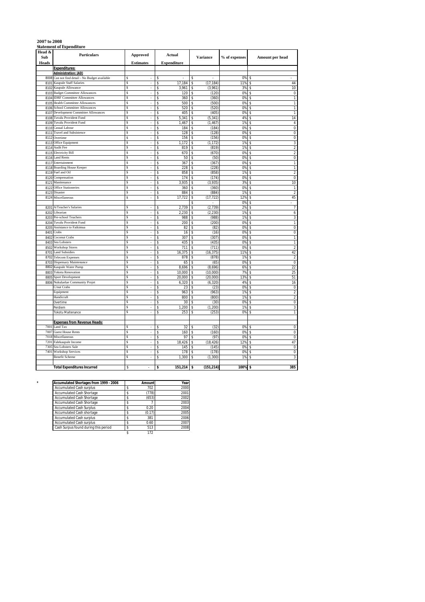|              | <b>Statement of Expenditure</b>           |                                |                                |                                |               |                               |
|--------------|-------------------------------------------|--------------------------------|--------------------------------|--------------------------------|---------------|-------------------------------|
| Head &       | <b>Particulars</b>                        |                                |                                |                                |               |                               |
| Sub          |                                           | <b>Approved</b>                | Actual                         | <b>Variance</b>                | % of expenses | Amount per head               |
| <b>Heads</b> |                                           | <b>Estimates</b>               | <b>Expenditure</b>             |                                |               |                               |
|              | <b>Expenditures:</b>                      |                                |                                |                                |               |                               |
|              | <b>Administration: (AD)</b>               |                                |                                |                                |               |                               |
| 8008         | Can not find detail - No Budget available | S<br>×                         | \$<br>$\overline{\phantom{a}}$ | \$<br>$\overline{\phantom{a}}$ | 0%            | \$                            |
| 8101         | <b>Kaupule Staff Salaries</b>             | Ś                              | 17.184<br>\$                   | \$<br>(17, 184)                | 11%           | 44<br>\$                      |
| 8102         | Kaupule Allowance                         | Ŝ<br>٠                         | 3,961<br>\$                    | (3,961)<br>\$                  | 3%            | 10<br>\$                      |
| 8103         | <b>Budget Committee Allowances</b>        | Ś                              | \$<br>120                      | \$<br>(120)                    | 0%            | \$<br>0                       |
|              | <b>IDRF Committee Allowances</b>          | Ŝ<br>$\overline{\phantom{a}}$  |                                |                                |               |                               |
| 8104         |                                           | Ś                              | \$<br>360<br>500<br>\$         | \$<br>(360)                    | 0%<br>0%      | \$<br>1<br>\$<br>1            |
| 8105         | <b>Health Committee Allowances</b>        |                                |                                | \$<br>(500)                    |               |                               |
| 8106         | School Committee Allowances               | S                              | 520<br>\$                      | \$<br>(520)                    | 0%            | 1<br>\$                       |
| 8107         | Development Committee Allowances          | \$<br>٠                        | 405<br>\$                      | (405)<br>\$                    | 0%            | 1<br>\$                       |
| 8108         | <b>Tuvalu Provident Fund</b>              | S                              | 5,341<br>\$                    | (5, 341)<br>\$                 | 4%            | 14<br>\$                      |
| 8109         | Tuvalu Provident Fund                     | S<br>ä,                        | \$<br>1,467                    | \$<br>(1, 467)                 | 1%            | $\sqrt{4}$<br>\$              |
| 8110         | Casual Labour                             | Ś                              | \$<br>184                      | \$<br>(184)                    | 0%            | 0<br>\$                       |
| 8111         | <b>Travel and Subsistence</b>             | S<br>$\overline{\phantom{a}}$  | \$<br>128                      | \$<br>(128)                    | 0%            | \$<br>0                       |
| 8112         | Overtime                                  | \$.<br>l,                      | 156<br>\$                      | (156)<br>\$                    | 0%            | 0<br>\$                       |
| 8113         | Office Equipment                          | Ś                              | 1,172<br>\$                    | \$<br>(1, 172)                 | 1%            | 3<br>\$                       |
| 8114         | Audit Fee                                 | Ś<br>$\overline{\phantom{a}}$  | \$<br>819                      | \$<br>(819)                    | 1%            | $\overline{2}$<br>\$          |
| 8115         | <b>Electricity Bill</b>                   | \$                             | \$<br>670                      | \$<br>(670)                    | 0%            | $\sqrt{2}$<br>\$              |
| 8116         | <b>Land Rents</b>                         | \$<br>×,                       | 50<br>\$                       | \$<br>(50)                     | 0%            | 0<br>\$                       |
| 8117         | Entertainment                             | Ś<br>í,                        | 367<br>\$                      | \$<br>(367)                    | 0%            | 1<br>\$                       |
| 8118         | <b>Boarding House Keeper</b>              | Ś<br>ä,                        | 228<br>\$                      | (228)<br>Ś                     | 0%            | $\mathbf{1}$<br>\$            |
|              | Fuel and Oil                              | S<br>×.                        | 858                            |                                |               | $\sqrt{2}$                    |
| 8119         |                                           | \$                             | \$<br>174                      | (858)<br>\$                    | 1%<br>0%      | \$<br>0<br>\$                 |
| 8120         | Compensation                              |                                | \$                             | \$<br>(174)                    |               |                               |
| 8121         | Manitenance                               | \$<br>$\overline{\phantom{a}}$ | 3,935<br>\$                    | (3,935)<br>\$                  | 3%            | 10<br>\$                      |
| 8122         | <b>Office Stationeries</b>                | \$                             | \$<br>360                      | \$<br>(360)                    | 0%            | \$<br>$\mathbf{1}$            |
| 8123         | Disaster                                  | \$<br>ä,                       | \$<br>884                      | \$<br>(884)                    | 1%            | $\overline{2}$<br>\$          |
| 8124         | Miscellaneous                             | Ŝ<br>ä,                        | \$<br>17,722                   | (17, 722)<br>\$                | 12%           | 45<br>\$                      |
|              |                                           |                                |                                | \$<br>L.                       | 0%            | \$                            |
| 8201         | A/Teacher's Salaries                      | Ŝ<br>٠                         | \$<br>2,739                    | (2,739)<br>\$                  | 2%            | $\overline{7}$<br>\$          |
| 8202         | Librarian                                 | Ŝ                              | \$<br>2,230                    | \$<br>(2, 230)                 | 1%            | 6<br>\$                       |
| 8203         | Pre-school Teachers                       | \$<br>$\overline{\phantom{a}}$ | \$<br>988                      | \$<br>(988)                    | 1%            | 3<br>\$                       |
| 8204         | Tuvalu Provident Fund                     | Ś                              | 200<br>\$                      | (200)<br>\$                    | 0%            | 1<br>\$                       |
| 8205         | Assistance to Faikimua                    | \$                             | 82<br>\$                       | \$<br>(82)                     | 0%            | 0<br>\$                       |
| 8401         | Crabs                                     | \$.<br>$\sim$                  | \$<br>16                       | \$<br>(16)                     | 0%            | 0<br>\$                       |
| 8402         | Coconut Crabs                             | Ś<br>÷,                        | 307<br>\$                      | (307)<br>\$                    | 0%            | $\mathbf{1}$<br>\$            |
| 8403         | Sea Lobsters                              | S<br>÷,                        | \$<br>435                      | \$<br>(435)                    | 0%            | 1<br>\$                       |
| 8502         | <b>Workshop Stores</b>                    | S<br>J.                        | \$<br>711                      | \$<br>(711)                    | 0%            | $\overline{2}$<br>\$          |
| 8701         | <b>Land Subsidies</b>                     | \$<br>$\overline{\phantom{a}}$ | \$<br>16,375                   | (16, 375)<br>\$                | 11%           | 42<br>\$                      |
| 8702         | <b>Telecom Expenses</b>                   | \$<br>ä,                       | \$<br>878                      | \$<br>(878)                    | 1%            | $\overline{2}$<br>\$          |
| 8703         | <b>Dispensary Maintenance</b>             | Ś                              | \$<br>65                       | \$<br>(65)                     | 0%            | $\mathbf 0$<br>\$             |
| 8802         |                                           | \$.<br>×,                      | \$                             |                                |               | 22                            |
|              | Kaupule Water Pump                        | S<br>Ĭ.                        | 8,696                          | \$<br>(8,696)                  | 6%            | \$                            |
| 8803         | <b>Tokotu Renovation</b>                  |                                | \$<br>10,000                   | \$<br>(10,000)                 | 7%            | 25<br>\$                      |
| 8805         | Sport Development                         | \$<br>×,                       | 20,000<br>\$                   | \$<br>(20,000)                 | 13%           | 51<br>\$                      |
| 8806         | Nukulaelae Community Projet               | S<br>ä,                        | \$<br>6,320                    | (6, 320)<br>\$                 | 4%            | $\overline{16}$<br>\$         |
|              | C/nut Crabs                               | Ś<br>÷,                        | 23<br>\$                       | (23)<br>\$                     | 0%            | 0<br>\$                       |
|              | Equipment                                 | Ŝ<br>٠                         | \$<br>963                      | \$<br>(963)                    | 1%            | 2<br>\$                       |
|              | Handicraft                                | \$                             | \$<br>800                      | \$<br>(800)                    | 1%            | $\overline{\mathbf{c}}$<br>\$ |
|              | Overtime                                  | S<br>ä,                        | Ŝ<br>30                        | \$<br>(30)                     | 0%            | 0<br>\$                       |
|              | Perdiem                                   | \$.                            | 1,200<br>Ŝ                     | (1, 200)                       | 1%            | 3<br>\$                       |
|              | Tokotu Maitenance                         | \$                             | 253<br>\$                      | \$<br>(253)                    | 0%            | 1<br>\$                       |
|              |                                           |                                |                                |                                |               |                               |
|              | <b>Expenses from Revenue Heads:</b>       |                                |                                |                                |               |                               |
| 7001         | Land Tax                                  | \$.                            | 32<br>\$                       | (32)<br>\$                     | 0%            | $\mathbf 0$<br>\$             |
| 7007         | <b>Guest House Rents</b>                  | Ŝ                              | 160<br>\$                      | (160)<br>\$                    | 0%            | 0<br>\$                       |
| 7018         | Miscellaneous                             | S<br>÷                         | \$<br>97                       | \$<br>(97)                     | 0%            | \$<br>0                       |
| 7201         | Falekaupule Income                        | Ś                              | 18,426<br>\$                   | (18, 426)<br>Ś                 | 12%           | 47<br>\$                      |
| 7305         | Sea Lobsters Sale                         | Ś                              | 145<br>\$                      | (145)<br>\$                    | 0%            | 0<br>\$                       |
| 7401         | <b>Workshop Services</b>                  | \$<br>ä,                       | \$<br>178                      | \$<br>(178)                    | 0%            | 0<br>\$                       |
|              | Benefit Scheme                            | \$                             | \$<br>1,300                    | (1, 300)<br>Ś                  | 1%            | 3<br>\$                       |
|              |                                           |                                |                                |                                |               |                               |
|              | <b>Total Expenditures Incurred</b>        | \$                             | 151,214                        | (151, 214)<br>\$               | 100%          | 385                           |
|              |                                           |                                | \$                             |                                |               | \$                            |

| Accumulated Shortages from 1999 - 2006 | Amount    | Year |
|----------------------------------------|-----------|------|
| <b>Accumulated Cash surplus</b>        | 702       | 2000 |
| Accumulated Cash Shortage              | (778)     | 2001 |
| Accumulated Cash Shortage              | (653)     | 2002 |
| Accumulated Cash Shortage              |           | 2003 |
| <b>Accumulated Cash Surplus</b>        | 0.20      | 2004 |
| Accumulated Cash shortage              | (0.17)    | 2005 |
| <b>Accumulated Cash surplus</b>        | 381       | 2006 |
| <b>Accumulated Cash surplus</b>        | 0.60      | 2007 |
| Cash Surpus found during this period   | \$<br>513 | 2008 |
|                                        | 172       |      |

### **2007 to 2008**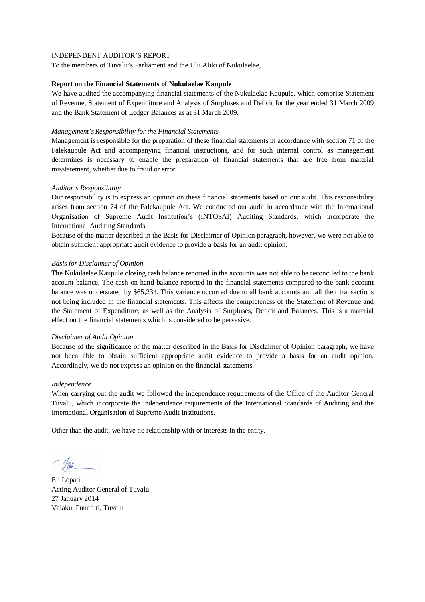To the members of Tuvalu's Parliament and the Ulu Aliki of Nukulaelae,

### **Report on the Financial Statements of Nukulaelae Kaupule**

We have audited the accompanying financial statements of the Nukulaelae Kaupule, which comprise Statement of Revenue, Statement of Expenditure and Analysis of Surpluses and Deficit for the year ended 31 March 2009 and the Bank Statement of Ledger Balances as at 31 March 2009.

### *Management's Responsibility for the Financial Statements*

Management is responsible for the preparation of these financial statements in accordance with section 71 of the Falekaupule Act and accompanying financial instructions, and for such internal control as management determines is necessary to enable the preparation of financial statements that are free from material misstatement, whether due to fraud or error.

### *Auditor's Responsibility*

Our responsibility is to express an opinion on these financial statements based on our audit. This responsibility arises from section 74 of the Falekaupule Act. We conducted our audit in accordance with the International Organisation of Supreme Audit Institution's (INTOSAI) Auditing Standards, which incorporate the International Auditing Standards.

Because of the matter described in the Basis for Disclaimer of Opinion paragraph, however, we were not able to obtain sufficient appropriate audit evidence to provide a basis for an audit opinion.

### *Basis for Disclaimer of Opinion*

The Nukulaelae Kaupule closing cash balance reported in the accounts was not able to be reconciled to the bank account balance. The cash on hand balance reported in the financial statements compared to the bank account balance was understated by \$65,234. This variance occurred due to all bank accounts and all their transactions not being included in the financial statements. This affects the completeness of the Statement of Revenue and the Statement of Expenditure, as well as the Analysis of Surpluses, Deficit and Balances. This is a material effect on the financial statements which is considered to be pervasive.

### *Disclaimer of Audit Opinion*

Because of the significance of the matter described in the Basis for Disclaimer of Opinion paragraph, we have not been able to obtain sufficient appropriate audit evidence to provide a basis for an audit opinion. Accordingly, we do not express an opinion on the financial statements.

### *Independence*

When carrying out the audit we followed the independence requirements of the Office of the Auditor General Tuvalu, which incorporate the independence requirements of the International Standards of Auditing and the International Organisation of Supreme Audit Institutions.

Eli Lopati Acting Auditor General of Tuvalu 27 January 2014 Vaiaku, Funafuti, Tuvalu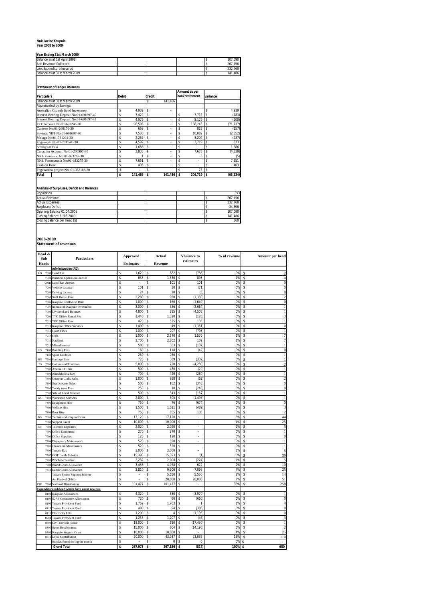# **Nukulaelae Kaupule Year 2008 to 2009**

### **Year Ending 31st March 2009**

| Tedi Eliuliju 3 išt Ividitii 2007 |  |  |  |  |         |  |  |  |  |  |
|-----------------------------------|--|--|--|--|---------|--|--|--|--|--|
| Balance as at 1st April 2008      |  |  |  |  | 107.090 |  |  |  |  |  |
| Add Revenue Collected             |  |  |  |  | 267.156 |  |  |  |  |  |
| Less Expenditure Incurred         |  |  |  |  | 232.760 |  |  |  |  |  |
| Balance as at 31st March 2009     |  |  |  |  | 141.486 |  |  |  |  |  |

### **Statement of Ledger Balances**

| <b>Particulars</b>                       | <b>Debit</b> |         | <b>Credit</b> |            |    | Amount as per<br>bank statement | variance |           |
|------------------------------------------|--------------|---------|---------------|------------|----|---------------------------------|----------|-----------|
| Balance as at 31st March 2009            |              |         |               | 141.486    |    |                                 |          |           |
| Represented by Savings:                  |              |         |               |            |    |                                 |          |           |
| Australian Growth Bond Investment        | \$           | 4.939   | s             | ٠          |    |                                 |          | 4,939     |
| Interest Bearing Deposit No:01-691697-40 | \$           | 7,429   | s             | ٠          |    | 7.712                           |          | (283)     |
| Interest Bearing Deposit No:01-691697-41 | \$           | 4.979   | s             | ٠          |    | 5.179                           |          | (200)     |
| FTF Account No:01-693246-30              | \$           | 96.506  |               | ٠          | \$ | 168.243                         |          | (71, 737) |
| Canteen No:01-260176-30                  | \$           | 669     |               | ٠          |    | 825                             |          | (157)     |
| Savings NBT No:01-691697-30              | \$           | 7.530   |               | ٠          |    | 10.082                          |          | (2, 552)  |
| Malaga No:01-731281-30                   | \$           | 2.267   |               | ٠          |    | 3.204                           |          | (937)     |
| Fagaualafi No:01-701744 -30              | Ś            | 4,592   |               |            |    | 3.719                           |          | 873       |
| Savings at Fusi                          | Ś            | 1,686   |               | ٠          |    |                                 |          | 1,686     |
| Canadian Account No:01-230997-30         | \$           | 2.833   | Ŝ             | ٠          |    | 7.673                           |          | (4, 839)  |
| NKL Famasino No:01-693267-30             | \$           |         | \$            | ۰          | Ś  | 6                               | s        | (5)       |
| NKL Fonomanafa No:01-683275-30           | \$           | 7.651   | Ŝ             | ٠          | \$ |                                 |          | 7,651     |
| Cash on Hand                             | \$           | 403     | Ŝ             | ٠          | \$ | ۰                               |          | 403       |
| Fagauafuna project No: 01-353188-30      | Ś            | ٠       |               |            |    | 75                              |          |           |
| Total                                    | \$           | 141.486 |               | 141,486 \$ |    | 206.719                         |          | (65, 234) |

### **Analysis of Surpluses, Deficit and Balances**

| Population                    |  |  | 393     |
|-------------------------------|--|--|---------|
| <b>Actual Revenue</b>         |  |  | 267.156 |
| <b>Actual Expenses</b>        |  |  | 232.760 |
| Surpluses/Deficit             |  |  | 34.396  |
| Opening Balance 01:04:2008    |  |  | 107.090 |
| Closing Balance 31:03:2009    |  |  | 141.486 |
| Closing Balance per Head (\$) |  |  | 360     |
|                               |  |  |         |

**2008-2009 Statement of revenues**

| Head &<br>Sub      | Particulars                                  |    | <b>Approved</b>  |    | Actual         | Variance to                 | % of revenue |    | Amount per head |
|--------------------|----------------------------------------------|----|------------------|----|----------------|-----------------------------|--------------|----|-----------------|
| <b>Heads</b>       |                                              |    | <b>Estimates</b> |    | <b>Revenue</b> | estimates                   |              |    |                 |
|                    | <b>Administration (AD):</b>                  |    |                  |    |                |                             |              |    |                 |
| AD<br>700          | <b>Head Tax</b>                              | Ŝ  | 1,620            | Ŝ  | 832            | \$<br>(788)                 | 0%           | Ś  |                 |
| 7002               | <b>Business Operation License</b>            | \$ | 635              | \$ | 1,530          | \$<br>895                   | 1%           | \$ |                 |
| 7002E              | Land Tax Arrears                             | \$ | ÷,               | \$ | 101            | \$<br>101                   | 0%           | Ś  |                 |
| 700                | Vehicle License                              | Ŝ  | 101              | Ś  | 30             | \$<br>(71)                  | 0%           | Ś  |                 |
| 700                | Driving License                              | \$ | 24               | \$ | 20             | \$<br>(5)                   | 0%           | \$ |                 |
| 700                | Staff House Rent                             | \$ | 2,280            | Ś  | 950            | Ś<br>(1, 330)               | 0%           | Ś  |                 |
| 7006               | Kaupule RestHouse Rent                       | Ś  | 1,800            | \$ | 160            | \$<br>(1,640)               | 0%           | \$ |                 |
| 700                | Interest on Kaupule Investment               | \$ | 3,000            | \$ | 336            | \$<br>(2,664)               | 0%           | \$ |                 |
| 700                | Dividend and Bonuses                         | \$ | 4,800            | \$ | 295            | \$<br>(4, 505)              | 0%           | \$ |                 |
| 700                | TTC Office Rental Fee                        | \$ | 1,440            | \$ | 1,320          | (120)<br>Ś                  | 0%           | Ś  |                 |
| 701                | TEC Office Rent                              | \$ | 420              | \$ | 525            | Ś<br>105                    | 0%           | Ś  |                 |
| 7011               | Kaupule Office Services                      | Ś  | 1,400            | \$ | 49             | (1, 351)<br>\$              | 0%           | \$ |                 |
| 701                | Court Fines                                  | \$ | 1,000            | \$ | 207            | \$<br>(793)                 | 0%           | \$ |                 |
| 701                | Gifts                                        | \$ | 1,000            | \$ | 2,570          | 1,570<br>\$                 | 1%           | \$ |                 |
| 7015               | NatBank                                      | Ŝ  | 2,700            | \$ | 2,802          | 102<br>\$                   | 1%           | Ś  |                 |
| 701                | Miscellaneous                                | \$ | 500              | \$ | 363            | (137)<br>\$                 | 0%           | \$ |                 |
| 7101<br>ES         | <b>Building Fees</b>                         | \$ | 160              | \$ | 118            | (42)<br>\$                  | 0%           | \$ |                 |
| 710                | Sport Facilities                             | \$ | 250              | Ś  | 250            | ¢<br>L.                     | 0%           | Ś  |                 |
| HS<br>7201         | Garbage Bins                                 | \$ | 720              | \$ | 389            | (332)<br>Ś                  | 0%           | Ś  |                 |
| 7301<br>FS         | Culture and Tradition                        | Ŝ  | 5.000            | s  | 720            | (4.280)<br>\$               | 0%           | Ś  |                 |
| 730                | Avafoa 111 hire                              | \$ | 500              | s  | 430            | Ś<br>(70)                   | 0%           | Ś  |                 |
| 7303               | Akaufakalava hire                            | \$ | 700              | \$ | 420            | Ś<br>(280)                  | 0%           | Ś  |                 |
| 730                | <b>Coconut Crabs Sales</b>                   | Ś  | 1,000            | s  | 938            | Ś<br>(62)                   | 0%           | Ś  |                 |
| 7305               | Sea Lobsters Sales                           | \$ | 500              | \$ | 152            | \$<br>(348)                 | 0%           | Ś  |                 |
| 7306               | <b>Toddy trees Fees</b>                      | \$ | 250              | \$ | 10             | (240)<br>\$                 | 0%           | Ś  | $\Omega$        |
| 7307               | Sale of Local Produce                        | \$ | 500              | s  | 343            | \$<br>(157)                 | 0%           | \$ |                 |
| WU<br>7401         | <b>Workshop Services</b>                     | \$ | 2,000            | \$ | 505            | (1, 495)<br>Ŝ               | 0%           | \$ |                 |
| 740                | <b>Equipment Hire</b>                        | \$ | 750              | Ś  | 76             | \$<br>(674)                 | 0%           | \$ |                 |
| 7403               | Vehicle Hire                                 | \$ | 1,500            | \$ | 1,011          | $\hat{\mathbf{s}}$<br>(489) | 0%           | Ś  |                 |
| 7404               | <b>Boat Hire</b>                             | \$ | 750              | \$ | 855            | Ś<br>105                    | 0%           | S  |                 |
| <b>BG</b><br>7601  | Technical & Capital Grant                    | Ŝ  | 17.120           | s  | 17.120         | \$<br>à,                    | 6%           | S  | 44              |
| 760                | <b>Support Grant</b>                         | Ś  | 10,000           | s  | 10,000         | Ś<br>ä,                     | 4%           | Ś  | 25              |
| $_{\rm GT}$<br>770 | <b>Telecom Expenses</b>                      | \$ | 2,020            | Ś  | 2,020          | Ś<br>i,                     | 1%           | Ś  |                 |
| 770                | Office Equipment                             | Ŝ  | 270              | \$ | 270            | \$<br>ä,                    | 0%           | Ś  |                 |
| 770                | Office Supplies                              | \$ | 120              | \$ | 120            | \$<br>×,                    | 0%           | \$ | $\mathbf{0}$    |
| 770                | Dispensary Maintenance                       | \$ | 520              | \$ | 520            | \$<br>$\omega$              | 0%           | \$ |                 |
| 770                | <b>Classroom Maintenance</b>                 | Ś  | 520              | s  | 520            | Ś<br>ä,                     | 0%           | Ś  |                 |
| 770                | Tuvalu Day                                   | \$ | 2,000            | Ś  | 2,000          | Ś<br>L.                     | 1%           | Ś  |                 |
| 7707               | <b>GOT Lands Subsidy</b>                     | \$ | 15,393           | \$ | 15,393         | \$<br>(1)                   | 6%           | \$ | 39              |
| 7708               | P/School Teacher                             | \$ | 2,232            | \$ | 2,008          | \$<br>(224)                 | 1%           | \$ |                 |
| 7709               | <b>Island Court Allowance</b>                | \$ | 3,456            | \$ | 4,078          | 622<br>\$                   | 2%           | \$ | 10              |
| 7710               | <b>Lands Court Allowance</b>                 | \$ | 2,810            | \$ | 9,906          | 7,096<br>\$                 | 4%           | Ś  | 25              |
|                    | Tuvalu Senior Support Scheme                 | \$ |                  | \$ | 5,550          | 5,550<br>\$                 | 2%           | \$ | 14              |
|                    | Art Festival (10th)                          | \$ | ×,               | \$ | 20,000         | \$<br>20,000                | 7%           | \$ | 51              |
| 7801<br>FTF        | National Distribution                        | \$ | 101,477          | \$ | 101,477        | \$<br>à,                    | 38%          | \$ | 258             |
|                    | Expenditure subhead which have earnt revenue |    |                  |    |                |                             |              |    |                 |
| 8102               | Kaupule Allowances                           | Ŝ  | 4,320            | \$ | 350            | Ś<br>(3,970)                | 0%           | Ś  |                 |
| 810                | <b>IDRF Committee Allowances</b>             | \$ | 720              | Ŝ  | 60             | (660)<br>Ś                  | 0%           | \$ |                 |
| 8108               | Tuvalu Provident Fund                        | \$ | 1,762            | \$ | 1,763          | \$<br>1                     | 1%           | \$ | $\overline{4}$  |
| 8110               | <b>Tuvalu Provident Fund</b>                 | \$ | 480              | \$ | 94             | (386)<br>Ś                  | 0%           | \$ |                 |
| 8115               | <b>Electricity bills</b>                     | Ś  | 1,200            | s  | 4              | (1, 196)<br>\$              | 0%           | Ś  | $\bf{0}$        |
| 8204               | Tuvalu Provident Fund                        | \$ | 1,253            | \$ | 1,207          | \$<br>(46)                  | 0%           | Ś  |                 |
| 880                | Civil Servant House                          | \$ | 18,000           | \$ | 550            | (17, 450)<br>\$             | 0%           | \$ |                 |
| 8805               | Sport Development                            | \$ | 15,000           | \$ | 804            | (14, 196)<br>Ś              | 0%           | \$ |                 |
| 8809               | Kaupule Support Grant                        | \$ | 10,000           | \$ | 10,000         | \$                          | 4%           | Ś  | 25              |
| 8810               | <b>Local Contribution</b>                    | \$ | 20,000           | \$ | 43,037         | 23,037<br>\$                | 16%          | \$ | 110             |
|                    | Surplus found during the month               | s  | ×.               | s  | $\mathbf 0$    | \$<br>$\bf 0$               | 0%           | \$ |                 |
|                    | <b>Grand Total</b>                           | \$ | 267,973          | \$ | 267,156        | (817)<br>\$                 | 100%         | \$ | 680             |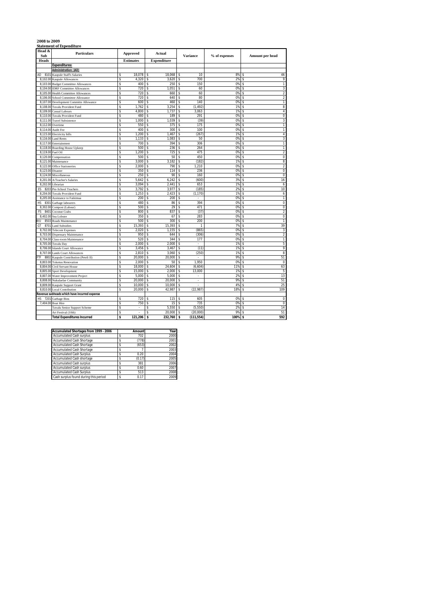### **2008 to 2009 Statement of Expenditure**

| Head &<br>Sub        | <b>Particulars</b>                           | <b>Approved</b>  |            |               | <b>Actual</b>      |                    | <b>Variance</b> | % of expenses |          | Amount per head         |
|----------------------|----------------------------------------------|------------------|------------|---------------|--------------------|--------------------|-----------------|---------------|----------|-------------------------|
| Heads                |                                              | <b>Estimates</b> |            |               | <b>Expenditure</b> |                    |                 |               |          |                         |
|                      | <b>Expenditures:</b>                         |                  |            |               |                    |                    |                 |               |          |                         |
|                      | Administration: (AD)                         |                  |            |               |                    |                    |                 |               |          |                         |
| AD<br>8101           | Kaupule Staff's Salaries                     | s                | 18,078     | s             | 18,068             | \$                 | 10              | 8%            | Ŝ        | 46                      |
| 8,102.00             | Kaupule Allowances                           | \$               | 4,320      | s             | 3,620              | \$                 | 700             | 2%            | Ś        | 9                       |
| 8.103.00             | <b>Budget Committee Allowances</b>           | s                | 400        | s             | 250                | \$                 | 150             | 0%            | \$       | 1                       |
| 8,104.00             | <b>IDRF</b> Committee Allowances             | s                | 720        | s             | 1.051              | \$                 | 60              | 0%            | \$       | 3                       |
| 8.105.00             | <b>Health Committee Allowances</b>           | Ś                | 720        | Ŝ             | 660                | $\hat{\mathbf{s}}$ | 60              | 0%            | \$       | $\overline{c}$          |
| 8,106.00             | School Committee Allowance                   | s                | 720        | Ŝ             | 640                | \$                 | 80              | 0%            | \$       | $\overline{c}$          |
| 8,107.00             | Development Committe Allowance               | Ś                | 600        | s             | 460                | \$                 | 140             | 0%            | \$       | $\mathbf{1}$            |
| 8,108.00             | Tuvalu Provident Fund                        | s                | 1,762      | Ŝ             | 3,254              | \$                 | (1, 492)        | 1%            | \$       | 8                       |
| 8,109.00             | <b>Casual Labours</b>                        | \$               | 4,800      | Ŝ             | 1,737              | \$                 | 3,063           | 1%            | \$       | $\sqrt{4}$              |
| 8,110.00             | <b>Tuvalu Provident Fund</b>                 | \$               | 480        | s             | 189                | \$                 | 291             | 0%            | \$       | $\pmb{0}$               |
| 8.111.00             | <b>Travel Subsistence</b>                    | Ś                | 1.000      | Ŝ             | 1,039              | \$                 | (39)            | 0%            | \$       | 3                       |
| 8,112.00             | Overtime                                     | Ś                | 550        | \$            | 375                | \$                 | 175             | 0%            | \$       | 1                       |
| 8,114.00             | Audit Fee                                    | Ś                | 400        | Ŝ             | 300                | Ś                  | 100             | 0%            | Ś        | 1                       |
| 8,115.00             | Electricity bills                            | Ś<br>Ś           | 1,200      | \$            | 1,467              | Ś                  | (267)           | 1%            | Ś<br>Ś   | $\sqrt{4}$              |
| 8,116.00             | <b>Land Rents</b>                            |                  | 1,133      | \$            | 1,083              | \$                 | 50              | 0%            |          | 3                       |
| 8,117.00             | Entertainment                                | \$               | 700<br>500 | \$            | 394<br>236         | \$                 | 306<br>264      | 0%<br>0%      | Ŝ        | T<br>T                  |
| 8.119.00             | 8,118.00 Boarding House Upkeep<br>Fuel Oil   | \$<br>s          | 1.200      | \$<br>s       | 725                | \$<br>\$           | 475             | 0%            | \$<br>\$ | 2                       |
| 8.120.00             | Compensation                                 | s                | 500        | s             | 50                 | \$                 | 450             | 0%            | \$       | $\overline{0}$          |
|                      |                                              | Ś                | 3,000      | Ŝ             | 3,182              | \$                 | (182)           | 1%            | \$       | 8                       |
| 8,121.00             | Maintenance                                  | s                | 2,000      | s             | 790                | \$                 | 1,210           | 0%            | Ŝ        | $\overline{\mathbf{2}}$ |
| 8,122.00<br>8,123.00 | <b>Office Stationeries</b><br>Disaster       | Ś                | 350        | s             | 114                | \$                 | 236             | 0%            | Ŝ        | $\pmb{0}$               |
| 8,124.00             | Miscellaneous                                | \$               | 250        | Ŝ             | 90                 | \$                 | 160             | 0%            | Ś        | $\pmb{0}$               |
| 8.201.00             | A/Teacher's Salaries                         | Ś                | 5.642      | s             | 6,242              | \$                 | (600)           | 3%            | \$       | 16                      |
| 8,202.00             | Librarian                                    | Ś                | 3,094      | s             | 2.441              | \$                 | 653             | 1%            | \$       | 6                       |
| ES<br>8203           | Pre-School Teachers                          | Ś                | 3,792      | s             | 3,977              | \$                 | (185)           | 2%            | \$       | 10                      |
| 8,204.00             | <b>Tuvalu Provident Fund</b>                 | s                | 1.253      | Ŝ             | 2,423              | \$                 | (1, 170)        | 1%            | \$       | 6                       |
| 8,205.00             | Assistance to Faikimua                       | Ś                | 200        | Ŝ             | 200                | \$                 | ä,              | 0%            | \$       | $\mathbf{1}$            |
| НS<br>8301           | Garbage labourers                            | s                | 480        | Ŝ             | 86                 | \$                 | 394             | 0%            | \$       | $\pmb{0}$               |
| 8,302.00             | Compost (Labour)                             | Ś                | 500        | \$            | 29                 | \$                 | 471             | 0%            | \$       | $\pmb{0}$               |
| 840<br>FS            | Coconut Crabs                                | Ś                | 800        | s             | 837                | \$                 | (37)            | 0%            | \$       | $\overline{2}$          |
| 8,402.00             | Sea Lobster                                  | \$               | 350        | Ŝ             | 67                 | \$                 | 283             | 0%            | Ś        | $\overline{0}$          |
| 8503<br>WU           | Roads Maintenance                            | Ś                | 500        | \$            | 300                | \$                 | 200             | 0%            | \$       | $\mathbf{1}$            |
| 8701<br>GT           | <b>Land Subsidies</b>                        | Ś                | 15,393     | Ŝ             | 15,393             | \$                 | 1               | 7%            | Ś        | 39                      |
| 8,702.00             | <b>Telecom Expenses</b>                      | Ś                | 2,020      | Ś             | 1,155              | Ś                  | (865)           | 0%            | Ś        | 3                       |
| 8,703.00             | <b>Dispensary Maintenance</b>                | \$               | 950        | \$            | 644                | Ś                  | (306)           | 0%            | Ŝ        | $\overline{\mathbf{c}}$ |
| 8,704.00             | Class-room Maintenance                       | Ś                | 520        | Ś             | 344                | \$                 | 177             | 0%            | \$       | 1                       |
| 8.705.00             | <b>Tuvalu Day</b>                            | Ś                | 2.000      | Ŝ             | 2.000              | \$                 | ä,              | 1%            | \$       | 5                       |
| 8.706.00             | <b>Islands Court Allowance</b>               | s                | 3,456      | s             | 3,467              | \$                 | (11)            | 1%            | \$       | 9                       |
| 8,707.00             | <b>Lands Court Allowances</b>                | s                | 2,810      | s             | 3,060              | \$                 | (250)           | 1%            | \$       | 8                       |
| 8802<br>TF           | Kaupule Contribution (Peteli II)             | s                | 20.000     | s             | 20,000             | \$                 |                 | 9%            | \$       | 51                      |
| 8.803.00             | <b>Tokotuu Renovation</b>                    | s                | 2,000      | s             | 50                 | \$                 | 1,950           | 0%            | Ŝ        | 0                       |
| 8,804.00             | Civil Servant House                          | s                | 18,000     | s             | 24,604             | \$                 | (6,604)         | 11%           | Ŝ        | 63                      |
| 8.805.00             | Sport Development                            | Ś                | 15,000     | s             | 2.000              | \$                 | 13,000          | 1%            | \$       | 5                       |
| 8.807.00             | Water Improvement Project                    | Ś                | 5.000      | s             | 5.000              | s                  | ٠               | 2%            | \$       | 13                      |
| 8.808.00             | Nukulaelae Community                         | Ś                | 20.000     | <sup>\$</sup> | 20.000             | \$                 | ÷,              | 9%            | \$       | 51                      |
| 8,809.00             | Kaupule Support Grant                        | Ś                | 10.000     | s             | 10,000             | \$                 |                 | 4%            | \$       | 25                      |
|                      | 8,810.00 Local Contribution                  | Ś                | 20,000     | Ŝ             | 42,987             | \$                 | (22, 987)       | 18%           | \$       | 109                     |
|                      | Revenue subheads which have incurred expense |                  |            |               |                    |                    |                 |               |          |                         |
| 7201<br>HS           | Garbage Bins                                 | s                | 720        | Ŝ             | 115                | \$                 | 605             | 0%            | \$       | $\pmb{0}$               |
|                      | 7,404.00 Boat Hire                           | Ś                | 750        | Ŝ             | 15                 | \$                 | 735             | 0%            | \$       | $\mathbf 0$             |
|                      | Tuvalu Senior Support Scheme                 | \$               |            | Ŝ             | 5,550              | \$                 | (5,550)         | 2%            | \$       | 14                      |
|                      | Art Festival (10th)                          | Ś                |            | Ś             | 20,000             | \$                 | (20,000)        | 9%            | \$       | 51                      |
|                      | <b>Total Expenditures Incurred</b>           | \$               | 121.206    | \$            | 232,760            | \$                 | (111, 554)      | 100%          | \$       | 592                     |

| Accumulated Shortages from 1999 - 2006 | Amount | Year |
|----------------------------------------|--------|------|
| <b>Accumulated Cash surplus</b>        | 702    | 2000 |
| Accumulated Cash Shortage              | (778)  | 2001 |
| <b>Accumulated Cash Shortage</b>       | (653)  | 2002 |
| Accumulated Cash Shortage              |        | 2003 |
| <b>Accumulated Cash Surplus</b>        | 0.20   | 2004 |
| Accumulated Cash shortage              | (0.17) | 2005 |
| <b>Accumulated Cash surplus</b>        | 381    | 2006 |
| <b>Accumulated Cash surplus</b>        | 0.60   | 2007 |
| <b>Accumulated Cash Surplus</b>        | 513    | 2008 |
| Cash surplus found during this period  | 0.17   | 2009 |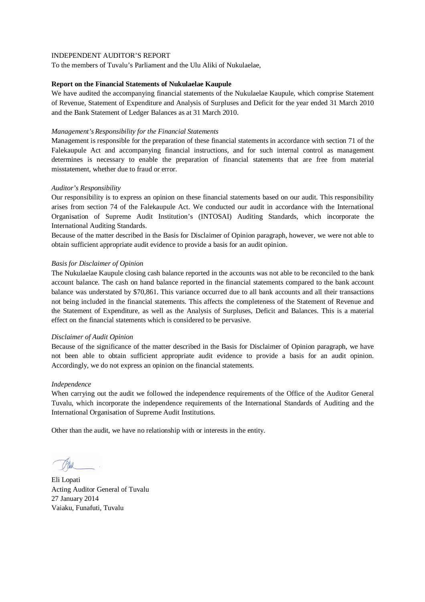To the members of Tuvalu's Parliament and the Ulu Aliki of Nukulaelae,

### **Report on the Financial Statements of Nukulaelae Kaupule**

We have audited the accompanying financial statements of the Nukulaelae Kaupule, which comprise Statement of Revenue, Statement of Expenditure and Analysis of Surpluses and Deficit for the year ended 31 March 2010 and the Bank Statement of Ledger Balances as at 31 March 2010.

## *Management's Responsibility for the Financial Statements*

Management is responsible for the preparation of these financial statements in accordance with section 71 of the Falekaupule Act and accompanying financial instructions, and for such internal control as management determines is necessary to enable the preparation of financial statements that are free from material misstatement, whether due to fraud or error.

# *Auditor's Responsibility*

Our responsibility is to express an opinion on these financial statements based on our audit. This responsibility arises from section 74 of the Falekaupule Act. We conducted our audit in accordance with the International Organisation of Supreme Audit Institution's (INTOSAI) Auditing Standards, which incorporate the International Auditing Standards.

Because of the matter described in the Basis for Disclaimer of Opinion paragraph, however, we were not able to obtain sufficient appropriate audit evidence to provide a basis for an audit opinion.

### *Basis for Disclaimer of Opinion*

The Nukulaelae Kaupule closing cash balance reported in the accounts was not able to be reconciled to the bank account balance. The cash on hand balance reported in the financial statements compared to the bank account balance was understated by \$70,861. This variance occurred due to all bank accounts and all their transactions not being included in the financial statements. This affects the completeness of the Statement of Revenue and the Statement of Expenditure, as well as the Analysis of Surpluses, Deficit and Balances. This is a material effect on the financial statements which is considered to be pervasive.

### *Disclaimer of Audit Opinion*

Because of the significance of the matter described in the Basis for Disclaimer of Opinion paragraph, we have not been able to obtain sufficient appropriate audit evidence to provide a basis for an audit opinion. Accordingly, we do not express an opinion on the financial statements.

### *Independence*

When carrying out the audit we followed the independence requirements of the Office of the Auditor General Tuvalu, which incorporate the independence requirements of the International Standards of Auditing and the International Organisation of Supreme Audit Institutions.

Eli Lopati Acting Auditor General of Tuvalu 27 January 2014 Vaiaku, Funafuti, Tuvalu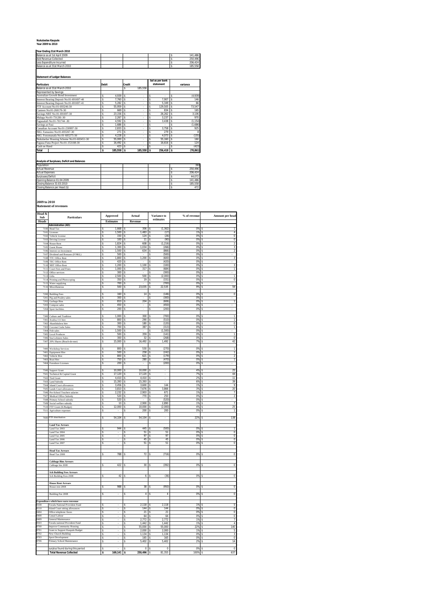### **Nukulaelae Kaupule Year 2009 to 2010**

### **Year Ending 31st March 2010**

| Balance as at 1st April 2009  |  |  | 141.486 |
|-------------------------------|--|--|---------|
| <b>Add Revenue Collected</b>  |  |  | 250.496 |
| Less Expenditure Incurred     |  |  | 206 424 |
| Balance as at 31st March 2010 |  |  | 185.558 |
|                               |  |  |         |

**Statement of Ledger Balances**

|                                           |       |         |               |         | bal as per bank |           |   |           |
|-------------------------------------------|-------|---------|---------------|---------|-----------------|-----------|---|-----------|
| <b>Particulars</b>                        | Debit |         | <b>Credit</b> |         |                 | statement |   | variance  |
| Balance as at 31st March 2010             |       |         | s             | 185.558 |                 |           |   |           |
| Represented by Savings:                   |       |         |               |         |                 |           |   |           |
| Australian Growth Bond Investment         |       | 4.939   |               | ÷.      | s               | ٠         |   | (4,939)   |
| Interest Bearing Deposit No:01-691697-40  |       | 7.760   | Ś             | ÷.      | Ś               | 7.907     | s | 146       |
| Interest Bearing Deposit No:01-691697-41  |       | 5.282   |               | ÷.      |                 | 5.349     |   | 66        |
| FTF Account No:01-693246-30               |       | 55.959  | Ś             | ÷.      | Ś               | 129.505   | s | 73.547    |
| Canteen No:01-260176-30                   |       | 669     |               | ÷.      |                 | 834       |   | 165       |
| Savings NBT No:01-691697-30               |       | 23.156  |               | ÷.      | s               | 26.262    |   | 3.106     |
| Malaga No:01-731281-30                    |       | 2.267   |               | ÷.      | Ś               | 3.237     | s | 970       |
| Fagaualafi No:01-701744 -30               |       | 4.592   |               | ÷.      | Ś               | 3.438     | s | (1.154)   |
| Savings at Fusi                           | \$    | 1.686   |               | ÷.      | \$              | ٠         | s | (1.686)   |
| Canadian Account No:01-230997-30          |       | 2.833   |               | ÷.      | \$              | 3.758     |   | 925       |
| NKL Famasino No:01-693267-30              |       | 271     |               | ÷.      | Ś               | 279       |   |           |
| NKL Fonomanafa No:01-683275-30            |       | 4.228   |               | ÷.      | Ś               | 4.073     |   | (155)     |
| Nukulaelae Housing Scheme No:01-683451-30 |       | 55.000  |               | ÷.      |                 | 55.160    |   | 160       |
| Fagaua Funa Project No:01-353188-30       |       | 16,492  |               | ÷.      |                 | 16.616    | s | 124       |
| Cash on Hand                              |       | 423     |               | ÷.      | Ś               | ٠         | s | (423)     |
| Total                                     | s     | 185.558 | s             | 185,558 | s               | 256.418   | s | (70, 861) |

### **Analysis of Surpluses, Deficit and Balances**

| Population                    |  |  | 393     |
|-------------------------------|--|--|---------|
| <b>Actual Revenue</b>         |  |  | 250.496 |
| <b>Actual Expenses</b>        |  |  | 206.424 |
| Surpluses/Deficit             |  |  | 44.072  |
| Opening Balance 01:04:2009    |  |  | 141.486 |
| Closing Balance 31:03:2010    |  |  | 185.558 |
| Closing Balance per Head (\$) |  |  | 472     |

**2009 to 2010 Statement of revenues**

| Head &<br>Sub- | Particulars                                                        |                                            | Approved         | Actual                    |                 | Variance to                | % of revenue | Amount per head                  |
|----------------|--------------------------------------------------------------------|--------------------------------------------|------------------|---------------------------|-----------------|----------------------------|--------------|----------------------------------|
| <b>Heads</b>   |                                                                    |                                            | <b>Estimates</b> | Revenue                   |                 | $estimates\;$              |              |                                  |
|                | <b>Administration (AD):</b>                                        |                                            |                  |                           |                 |                            |              |                                  |
|                | 7100 Head Tax                                                      | s                                          | 1.668            | s                         | 306             | (1, 362)<br>s              | 0%           | 1<br>5                           |
|                | 7101 Licenses                                                      | s                                          | $1,500$ \$       |                           | 1,483           | ŝ<br>(17)                  | $1\%$ \$     | $\overline{4}$<br>$\overline{0}$ |
|                | 7102 Vehicle License                                               | $\tilde{\mathbf{x}}$<br>$\hat{\mathbf{x}}$ | 150<br>100       | l s<br>$\hat{\mathbf{x}}$ | 124<br>11       | \$<br>(26)<br>\$<br>(90)   | 0%<br>0%     | \$<br>\$<br>$\bf{0}$             |
|                | 7103 Driving License<br>7104 House Rent                            | $\tilde{\mathbf{x}}$                       | 1.824            | l s                       | 608             | \$<br>(1.216)              | 0%           | \$<br>$\boldsymbol{2}$           |
| 7105           | <b>Guest House</b>                                                 | \$                                         | 1,300            | \$                        | 1,034           | \$<br>(266)                | 0%           | \$<br>3                          |
|                | 7106 Interest on Investment                                        | ś                                          | 1.500            | ś                         | 634             | ś<br>(866)                 | 0%           | $\overline{2}$<br>s              |
|                | 7107 Dividend and Bonuses (F/NKL)                                  | s                                          | 500              | -S                        |                 | (500)<br>s                 | 0%           | s                                |
|                | 7108 TTC Office Rent                                               | s                                          | 1.800            | s                         | 1.200           | (600)<br>s                 | 0%           | $\overline{\mathbf{3}}$<br>s     |
|                | 7109 TEC Office Rent                                               | $\tilde{\mathbf{x}}$<br>s                  | 420<br>1.200     | $\leq$<br>s               | 1.100           | \$.<br>(420)<br>š<br>(100) | 0%<br>0%     | $\tilde{\mathbf{x}}$<br>s        |
|                | 7110 NBT Office Rent<br>7111 Court Fees and Fines                  | $\overline{\mathbf{s}}$                    | 1,000            | ś                         | 317             | ś<br>(684)                 | 0%           | 3<br>$\overline{1}$<br>ś         |
| 7112           | Office services                                                    | ς                                          | 300              | \$                        |                 | \$<br>(300)                | 0%           | \$                               |
|                | 7113 Gifts                                                         | \$                                         | $2,500$ \$       |                           | 500             | \$<br>(2,000)              | 0%           | \$<br>1                          |
|                | 7114 Printing and Photocoping                                      | l s                                        | 350              | l \$                      | 19              | (331)<br>s                 | 0%           | $\overline{0}$<br>s.             |
|                | 7115 Water supplying                                               | l \$                                       | 700              | s                         |                 | (700)<br>\$                | 0% \$        |                                  |
|                | 7116 Miscellaneous                                                 | \$                                         | 500              | s                         | 23,035          | \$<br>22,535               | 9%           | s<br>59                          |
|                |                                                                    | \$                                         | 160              | \$                        |                 | \$<br>(146)                | 0%           | 0<br>\$                          |
|                | 7200 Building Fees<br>7201 Pig and Poultry sales                   | \$                                         | 300              | \$                        | 14              | (300)<br>\$                | 0%           | \$                               |
|                | 7202 Garbage Bins                                                  | \$                                         | 810              | \$                        | 204             | (606)<br>\$                | 0%           | \$<br>1                          |
|                | 7203 Compost sales                                                 | \$                                         | 450              | \$                        |                 | (450)<br>\$                | 0%           | \$                               |
|                | 7204 Sport facilities                                              | s.                                         | 200              | s                         |                 | \$<br>(200)                | 0%           | s                                |
|                |                                                                    |                                            |                  |                           |                 |                            |              |                                  |
| 7300           | Culture and Tradition                                              | s                                          | 1,000            | \$                        | 300             | \$<br>(700)                | 0%           | \$<br>1                          |
| 7302           | 7301 Avafoa 111 hire                                               | \$<br>Ś                                    | 800<br>300       | s<br>Ś                    | 290<br>180      | (510)<br>\$<br>Ś<br>(120)  | 0%<br>0%     | 1<br>\$<br>s                     |
|                | Akaufakalava hire<br>7303 Coconut Crabs Sales                      | s                                          | 700              | \$                        | 387             | (313)<br>Ś                 | 0%           | 0<br>s<br>1                      |
|                | 7304 Fish sales                                                    | s                                          | 1,500            | s                         |                 | (1,500)<br>s               | 0%           | s                                |
|                | 7305 Local Produces                                                | $\tilde{\mathbf{x}}$                       | 500              | \$                        | 359             | (141)<br>s                 | 0%           | $\mathbf{1}$<br>\$               |
|                | 7306 Sea Lobsters Sales                                            | s.                                         | 300              | s.                        | 32              | s<br>(268)                 | 0%           | $\overline{0}$<br>\$             |
| 7307           | 20% Shares (Beach-de-mer)                                          | \$                                         | 15,000           | \$                        | 16,492          | 1,492<br>\$                | 7%           | 42<br>s                          |
|                |                                                                    |                                            |                  |                           |                 |                            |              |                                  |
| 7400           | <b>Workshop Services</b>                                           | Ś                                          | 800              | s                         | 530             | Ś<br>(270)                 | 0%           | s<br>1<br>ī                      |
|                | 7401 Equipment Hire<br>7402 Vehicle Hire                           | s<br>-S                                    | 500<br>800       | s<br>s                    | 258<br>621      | (242)<br>s<br>(179)<br>s   | 0%<br>0%     | s<br>$\overline{2}$<br>s         |
|                | 7403 Boat Hire                                                     | $\tilde{\mathbf{x}}$                       | 750              | \$                        | 280             | s<br>(470)                 | 0%           | ī<br>\$                          |
|                | 7404 Foreshore Licenses                                            | s                                          | 200              | \$                        |                 | \$<br>(200)                | 0%           | ŝ                                |
|                |                                                                    |                                            |                  |                           |                 |                            |              |                                  |
|                | 7500 Support Grant                                                 | ς                                          | 10,000           | \$                        | 10,000          | \$                         | 4%           | 3<br>25                          |
| 7501           | Technical & Capital Grant                                          | \$                                         | 17,120           | \$                        | 17,120          | \$                         | 7%           | 44<br>\$                         |
|                | 7502 Tied Grant                                                    | l s                                        | $4.410$ S        |                           | 4.410           | s                          | 2%           | $\overline{11}$<br>s<br>39       |
|                | 7503 Land Subsidy                                                  | s<br>s                                     | 15.393<br>3.456  | s.<br>\$                  | 15.393<br>3.600 | \$<br>Ś<br>144             | 6%<br>1%     | s<br>$\overline{Q}$<br>\$        |
|                | 7504 Island Court allowances<br>7505 Lands Court allowances        | \$                                         | 3,810            | $\mathsf{\$}$             | 7,676           | \$<br>3,866                | 3%           | s<br>$20\,$                      |
| 7506           | Pre-School Teachers salaries                                       | \$                                         | 2,232            | \$                        | 2,903           | 671<br>\$                  | 1%           | 7<br>\$                          |
|                | 7507 Medical Office Subsidy                                        | \$                                         | $520$ \$         |                           | 770             | 250<br>\$                  | 0%           | $\overline{\mathbf{2}}$<br>\$    |
|                | 7508 Primary School subsidy                                        | s                                          | 520              | \$                        |                 | (520)<br>\$                | 0%           | \$                               |
|                | 7509 Social welfare subsidy                                        | s                                          | 10               | \$                        | 2,900           | 2,890<br>\$                | 1%           | 7<br>s                           |
|                | 7510 FTF Grant (K/Budget)                                          | s                                          | 12.000           | s                         | 10.000          | (2,000)<br>\$              | 4%           | 25<br>s                          |
| 7511           | Agriculture expenses                                               | \$                                         |                  | \$                        | 200             | \$<br>200                  | 0%           | Ś<br>1                           |
|                | 7600 FTF distribution                                              | \$                                         | 54,104           | \$                        | 54,104          | \$                         | 22%          | 138<br>ś                         |
|                |                                                                    |                                            |                  |                           |                 |                            |              |                                  |
|                | <b>Land Tax Arrears</b>                                            |                                            |                  |                           |                 |                            |              |                                  |
|                | Land Tax 2003                                                      | s                                          | 944              |                           | 445             | (500)                      | 0%           | ī                                |
|                | Land Tax 2004                                                      | $\hat{\mathbf{x}}$                         | ×                | \$                        | 51              | 51<br>\$                   | 0%           | $\overline{0}$<br>\$             |
|                | Land Tax 2005                                                      | $\hat{\mathbf{x}}$<br>s                    | ł,               | \$<br>Ś                   | 97<br>45        | \$<br>97<br>\$.<br>45      | 0%           | \$<br>$\Omega$<br>\$             |
|                | Land Tax 2006                                                      | Ś                                          |                  | Ś                         | 51              | Ś<br>51                    | $0\%$<br>0%  | $\,0\,$<br>$\overline{0}$<br>Ś   |
|                | Land Tax 2007                                                      |                                            |                  |                           |                 |                            |              |                                  |
|                | <b>Head Tax Arrears</b>                                            |                                            |                  |                           |                 |                            |              |                                  |
|                | Head Tax 2008                                                      | s                                          | 788              | s                         | 72              | (716)<br>s                 | 0%           | $\overline{0}$<br>s              |
|                |                                                                    |                                            |                  |                           |                 |                            |              |                                  |
|                | <b>Cabbage Bins Arrears</b>                                        |                                            |                  |                           |                 |                            |              |                                  |
|                | Cabbage bin 2008                                                   | \$                                         | 422              | s                         | 30              | (392)<br>ś                 | 0%           | 0<br>s                           |
|                | <b>Sch Building Fees Arrears</b>                                   |                                            |                  |                           |                 |                            |              |                                  |
|                | Sch Building Fees 2008                                             | s                                          | 42               | s                         | 6               | (36)<br>s                  | 0%           | $\overline{0}$<br>s              |
|                |                                                                    |                                            |                  |                           |                 |                            |              |                                  |
|                | <b>House Rent Arrears</b>                                          |                                            |                  |                           |                 |                            |              |                                  |
|                | House rent 2008                                                    | \$                                         | 988              | \$                        | 38              | Ś<br>(950)                 | 0%           | 0<br>s                           |
|                |                                                                    |                                            |                  |                           |                 |                            |              |                                  |
|                | <b>Building Fee 2008</b>                                           | \$                                         |                  | \$                        | $\overline{4}$  | 4<br>\$                    | 0%           | 0<br>\$                          |
|                | Expenditure which have earn renvenue                               |                                            |                  |                           |                 |                            |              |                                  |
| 8108           | Tuvalu National Provident Fund                                     | s.                                         |                  | s                         | 2.118           | 2.118<br>s                 | 1%           | 5<br>s                           |
| 8110           | Island Court sitting allowances                                    | s                                          |                  | \$                        | 144             | \$<br>144                  | 0%           | $\overline{\mathbf{0}}$<br>s     |
| 8404           | Office telephone /faxes                                            | \$                                         |                  | \$                        | 21              | \$<br>21                   | 0%           | \$<br>0                          |
| 8408           | Casual Labour                                                      | \$                                         |                  | \$                        | $64$ \$         | 64                         | 0%           | \$<br>0                          |
| 8409           | General Maintenance                                                | \$                                         |                  | \$                        | 2,772           | 2,772<br>\$                | 1%           | 7<br>\$                          |
| 8503<br>5700   | Tuvalu national Provident Fund<br><b>Improve Community Housing</b> | s                                          |                  | \$                        | 1,442<br>55,000 | 1,442<br>\$<br>55,000      | 1%<br>22%    | $\overline{4}$<br>\$<br>140      |
| 8701           | Grant to Support Kaupule Budget                                    | s<br>$\hat{\mathbf{x}}$                    |                  | \$<br>\$                  | 2.000           | \$<br>\$<br>2,000          | 1%           | \$<br>$\overline{5}$<br>\$       |
| 8702           | New Church Building                                                | s.                                         | ÷.               | s.                        | 1.134           | s.<br>1.134                | 0%           | \$<br>$\mathbf{3}$               |
| 8703           | Sport Development                                                  | s                                          |                  | \$                        | 165             | Ś<br>165                   | 0%           | s<br>$\,0\,$                     |
| 8706           | Primary School Maintenance                                         | Ś                                          |                  | Ś                         | 5,402           | Ś<br>5,402                 | 2%           | 14<br>s                          |
|                |                                                                    |                                            |                  |                           |                 |                            |              |                                  |
|                | surplus found during this period                                   | s                                          |                  | s                         | $\overline{0}$  | s<br>$\overline{0}$        | 0%           | $\overline{0}$<br>s              |
|                | <b>Total Revenue Collected</b>                                     | l s                                        | $169, 141$ S     |                           | 250,496 \$      | 81.355                     | 100% \$      | 637                              |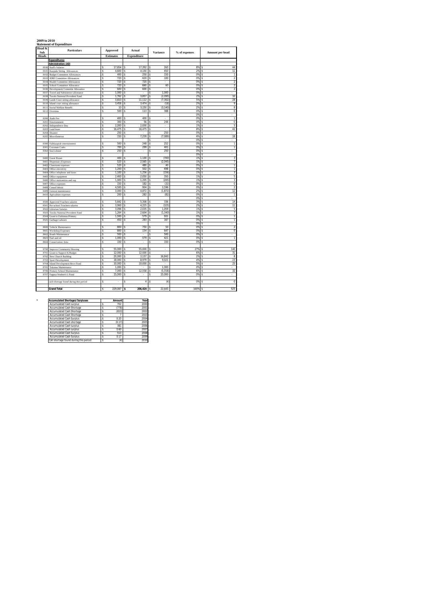### **2009 to 2010 Statement of Expenditure**

| Head &<br>Sub | <b>Particulars</b>                                                     |          | Approved         | Actual                 | Variance                                     | % of expenses | Amount per head                                      |  |  |
|---------------|------------------------------------------------------------------------|----------|------------------|------------------------|----------------------------------------------|---------------|------------------------------------------------------|--|--|
| <b>Heads</b>  |                                                                        |          | <b>Estimates</b> | <b>Expenditure</b>     |                                              |               |                                                      |  |  |
|               | <b>Expenditures:</b>                                                   |          |                  |                        |                                              |               |                                                      |  |  |
|               | <b>Administration: (AD)</b>                                            |          |                  |                        |                                              |               |                                                      |  |  |
| 8100          | <b>Staff's Salaries</b>                                                | \$       | 17,654           | 17,392<br>s            | 263<br>Ś                                     | 8%            | 44<br>s                                              |  |  |
| 8101          | Kaupule Sitting Allowances                                             | Ś        | 4,600            | 4,150<br>ś             | Ś<br>450                                     | 2%            | $\overline{11}$<br>Ś                                 |  |  |
| 8102          | <b>Budget Committee Allowances</b>                                     | s        | 400              | \$<br>250              | \$<br>150                                    | 0%<br>0%      | \$<br>1                                              |  |  |
| 8103<br>8104  | <b>IDRF</b> Committee Allowances<br><b>Health Committee Allowances</b> | \$<br>\$ | 720<br>720       | \$<br>620<br>720<br>\$ | 100<br>\$<br>\$<br>÷.                        | 0%            | $\overline{\mathbf{c}}$<br>s<br>$\overline{2}$<br>\$ |  |  |
| 8105          | School Committee Allowance                                             | \$       | 720              | \$<br>660              | \$<br>60                                     | 0%            | $\,2$<br>\$                                          |  |  |
| 8106          | Development Committe Allowance                                         | \$       | 600              | \$<br>600              | \$                                           | 0%            | $\overline{2}$<br>\$                                 |  |  |
| 8107          | Travel and Subsistence allowance                                       | \$       | 1.000            | \$                     | 1.000<br>\$                                  | 0%            | \$                                                   |  |  |
| 8108          | Tuvalu National Provident Fund                                         | \$       | 1,762            | 3,857<br>\$            | \$<br>(2,095)                                | 2%            | 10<br>\$                                             |  |  |
| 8109          | Lands Court sitting allowance                                          | \$       | 3,810            | 11,112<br>s            | (7, 302)<br>s                                | 5%            | 28<br>s                                              |  |  |
| 8110          | Island court sitting allowance                                         | \$       | 3,456            | 3,474<br>\$            | Ś<br>(18)                                    | 2%            | 9<br>\$                                              |  |  |
| 8111          | Social Welfare Benefit                                                 | \$       | 10               | \$<br>3,150            | \$<br>(3, 140)                               | 2%            | 8<br>\$                                              |  |  |
| 8112          | Overtime                                                               | Ś        | 500              | 113<br>\$              | 388<br>\$                                    | 0%<br>0%      | Ś<br>$\bf 0$<br>s<br>×.                              |  |  |
| 8200          | Audit Fee                                                              | \$       | 400              | 400<br>\$              | \$<br>J.                                     | 0%            | \$<br>1                                              |  |  |
| 8201          | Entertainment                                                          | \$       | 300              | 56<br>\$               | 244<br>\$                                    | 0%            | $\bf 0$<br>\$                                        |  |  |
| 8202          | Independence Day                                                       | \$       | 2,000            | 2,000<br>\$            | \$<br>×,                                     | 1%            | 5<br>\$                                              |  |  |
| 8203          | Land lease                                                             | \$       | 16,475           | 16,475<br>\$           | \$<br>÷.                                     | 8%            | 42<br>\$                                             |  |  |
| 8204          | Disaster                                                               | \$       | 250              | \$                     | 250<br>\$                                    | 0%            | \$                                                   |  |  |
| 8205          | Miscellaneous                                                          | Ś        | 150              | 7,239<br>\$            | Ś<br>(7,089)                                 | 4%            | 18<br>\$                                             |  |  |
|               |                                                                        |          |                  |                        | Ś                                            | 0%            | \$                                                   |  |  |
| 8300          | Falekaupule entertainment                                              | \$       | 500              | 248<br>\$              | \$<br>252                                    | 0%            | \$<br>1<br>T                                         |  |  |
| 8301<br>8302  | Coconuts Crabs<br>Sea Lobster                                          | \$<br>Ś  | 700<br>250       | 299<br>s<br>\$<br>ä,   | 401<br>s<br>250<br>\$                        | 0%<br>0%      | \$<br>Ś<br>ä,                                        |  |  |
|               |                                                                        |          |                  |                        |                                              | 0%            | \$                                                   |  |  |
| 8400          | <b>Guest House</b>                                                     | s        | 400              | 1,100<br>s             | (700)<br>\$                                  | 1%            | 3<br>\$                                              |  |  |
| 8401          | <b>Dispensary Expenses</b>                                             | \$       | 520              | 2,565<br>\$            | (2,045)<br>\$                                | 1%            | $\overline{\phantom{a}}$<br>\$                       |  |  |
| 8402          | Classroom expenses                                                     | \$       | 520              | 480<br>\$              | 40<br>\$                                     | 0%            | T<br>\$                                              |  |  |
| 8403          | Office electricity                                                     | Ś        | 1,200            | 502<br>\$              | Ś<br>698                                     | 0%            | Ś<br>1                                               |  |  |
| 8404          | Office telephone and faxes                                             | \$       | 1,100            | 1,256<br>\$            | (156)<br>\$                                  | 1%            | 3<br>s                                               |  |  |
| 8405          | Office equipment                                                       | \$       | 2,400            | 2,050<br>\$            | 350<br>\$                                    | 1%            | 5<br>\$                                              |  |  |
| 8406          | Office stationeries and sup                                            | \$       | 1,000            | 1,205<br>\$            | (205)<br>s                                   | 1%            | 3<br>s                                               |  |  |
| 8407          | Office expenses                                                        | \$       | 150              | 182<br>\$<br>904       | \$<br>(32)                                   | 0%            | $\bf 0$<br>\$                                        |  |  |
| 8408<br>8409  | Casual labour<br>General maintenance                                   | \$<br>\$ | 4,500<br>3,000   | \$<br>\$<br>4,872      | 3,596<br>\$<br>\$<br>(1, 872)                | 0%<br>2%      | $\overline{2}$<br>\$<br>12<br>\$                     |  |  |
| 8410          | Agriculture expenses                                                   | \$       | 200              | 282<br>\$              | \$<br>(82)                                   | 0%            | s<br>1                                               |  |  |
|               |                                                                        |          |                  |                        |                                              | 0%            | \$<br>×.                                             |  |  |
| 8500          | Approved Teachers salaries                                             | \$       | 5,642            | 5,306<br>\$            | ś<br>336                                     | 3%            | 14<br>\$                                             |  |  |
| 8501          | Pre-school Teachers salaries                                           | \$       | 3,900            | 4,225<br>\$            | (325)<br>\$                                  | 2%            | $\overline{11}$<br>\$                                |  |  |
| 8502          | <b>Librarian Salaries</b>                                              | Ś        | 3,094            | 2,035<br>\$            | Ś<br>1.059                                   | 1%            | Ś<br>5                                               |  |  |
| 8503          | Tuvalu National Provident Fund                                         | \$       | 1,264            | 2,604<br>\$            | (1.340)<br>\$                                | 1%            | 7<br>\$                                              |  |  |
| 8504          | Grant to Faikimua Primary                                              | \$       | 1,500            | \$<br>579              | \$<br>921                                    | 0%            | 1<br>s                                               |  |  |
| 8505          | Garbage Labours                                                        | \$       | 450              | 283<br>\$              | 167<br>\$                                    | 0%            | 1<br>\$                                              |  |  |
|               |                                                                        |          |                  |                        |                                              | 0%            | \$                                                   |  |  |
| 8600<br>8601  | Vehicle Maintenance<br>Workshop Expenses                               | Ś<br>s   | 800<br>800       | 750<br>s<br>154<br>s   | 50<br>Ś<br>647<br>s                          | 0%<br>0%      | $\overline{a}$<br>\$<br>$\overline{0}$<br>s          |  |  |
| 8607          | Roads Maintenance                                                      | \$       | 500              | \$                     | 500<br>\$                                    | 0%            | \$                                                   |  |  |
| 8603          | Fuel and oil                                                           | \$       | 1,000            | 579<br>\$              | \$<br>421                                    | 0%            | \$<br>$\mathbf{1}$                                   |  |  |
| 8604          | <b>Conservation Area</b>                                               | \$       | 150              | \$                     | 150<br>Ś                                     | 0%            | \$                                                   |  |  |
|               |                                                                        |          |                  |                        |                                              |               |                                                      |  |  |
| 8700          | <b>Improve Community Housing</b>                                       | \$       | 55.000           | s<br>55,000            | ÷.<br>s                                      | 27%           | 140<br>s                                             |  |  |
| 8701          | Grant to Support K/Budget                                              | s        | 12,000           | 12,000<br>\$           | \$                                           | 6%            | \$<br>31                                             |  |  |
| 8702          | New Church Building                                                    | \$       | 20,000           | 3,157<br>\$            | 16,843<br>\$                                 | 2%            | \$<br>8                                              |  |  |
| 8703          | Sport Development                                                      | \$       | 18,000           | 8,979<br>\$<br>10,000  | 9,021<br>\$                                  | 4%<br>5%      | 23<br>\$<br>25<br>\$                                 |  |  |
| 8704<br>8705  | Island Development Revo Fund<br>Tokotuu Maintenance                    | \$<br>\$ | 10,000<br>1.000  | s<br>\$<br>ä,          | s<br>$\overline{\phantom{a}}$<br>1.000<br>\$ | 0%            | Ś<br>ä,                                              |  |  |
| 8706          | Primary School Maintenance                                             | \$       | 7,000            | 12,558<br>\$           | \$<br>(5,558)                                | 6%            | 32<br>s                                              |  |  |
| 8707          | Fagaua Student's L/Fund                                                | s        | 15,000           | \$                     | Ś<br>15,000                                  | 0%            | Ś                                                    |  |  |
|               |                                                                        |          |                  |                        |                                              |               |                                                      |  |  |
|               | cash shortage found during this period                                 | \$       | ×                | \$<br>4                | (4)<br>s                                     | 0%            | $\bf 0$<br>s                                         |  |  |
|               |                                                                        |          |                  |                        |                                              |               |                                                      |  |  |
|               | <b>Grand Total</b>                                                     | \$       | 229,067          | s<br>206,424           | 22,643<br>\$                                 | 100%          | 525<br>\$                                            |  |  |

| <b>Accumulated Shortages/Surpluses</b> | Amount | Year |
|----------------------------------------|--------|------|
| <b>Accumulated Cash surplus</b>        | 702    | 2000 |
| Accumulated Cash Shortage              | (778)  | 2001 |
| Accumulated Cash Shortage              | (653)  | 2002 |
| Accumulated Cash Shortage              |        | 2003 |
| <b>Accumulated Cash Surplus</b>        | 0.20   | 2004 |
| Accumulated Cash shortage              | (0.17) | 2005 |
| <b>Accumulated Cash surplus</b>        | 381    | 2006 |
| <b>Accumulated Cash surplus</b>        | 0.60   | 2007 |
| <b>Accumulated Cash Surplus</b>        | 513    | 2008 |
| <b>Accumulated Cash Surplus</b>        | 0.17   | 2009 |
| Cah shortage found during this period  | (4)    | 2010 |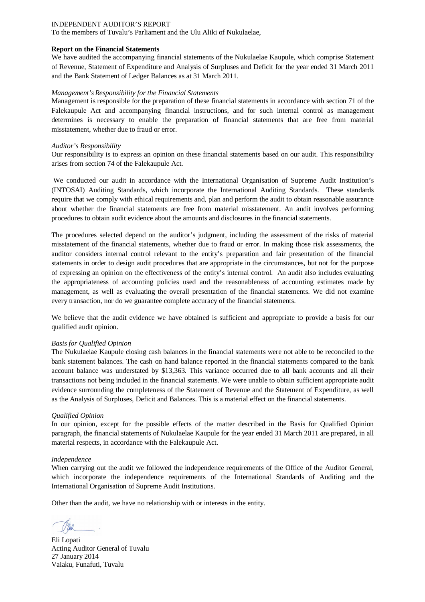To the members of Tuvalu's Parliament and the Ulu Aliki of Nukulaelae,

### **Report on the Financial Statements**

We have audited the accompanying financial statements of the Nukulaelae Kaupule, which comprise Statement of Revenue, Statement of Expenditure and Analysis of Surpluses and Deficit for the year ended 31 March 2011 and the Bank Statement of Ledger Balances as at 31 March 2011.

### *Management's Responsibility for the Financial Statements*

Management is responsible for the preparation of these financial statements in accordance with section 71 of the Falekaupule Act and accompanying financial instructions, and for such internal control as management determines is necessary to enable the preparation of financial statements that are free from material misstatement, whether due to fraud or error.

### *Auditor's Responsibility*

Our responsibility is to express an opinion on these financial statements based on our audit. This responsibility arises from section 74 of the Falekaupule Act.

We conducted our audit in accordance with the International Organisation of Supreme Audit Institution's (INTOSAI) Auditing Standards, which incorporate the International Auditing Standards. These standards require that we comply with ethical requirements and, plan and perform the audit to obtain reasonable assurance about whether the financial statements are free from material misstatement. An audit involves performing procedures to obtain audit evidence about the amounts and disclosures in the financial statements.

The procedures selected depend on the auditor's judgment, including the assessment of the risks of material misstatement of the financial statements, whether due to fraud or error. In making those risk assessments, the auditor considers internal control relevant to the entity's preparation and fair presentation of the financial statements in order to design audit procedures that are appropriate in the circumstances, but not for the purpose of expressing an opinion on the effectiveness of the entity's internal control. An audit also includes evaluating the appropriateness of accounting policies used and the reasonableness of accounting estimates made by management, as well as evaluating the overall presentation of the financial statements. We did not examine every transaction, nor do we guarantee complete accuracy of the financial statements.

We believe that the audit evidence we have obtained is sufficient and appropriate to provide a basis for our qualified audit opinion.

### *Basis for Qualified Opinion*

The Nukulaelae Kaupule closing cash balances in the financial statements were not able to be reconciled to the bank statement balances. The cash on hand balance reported in the financial statements compared to the bank account balance was understated by \$13,363. This variance occurred due to all bank accounts and all their transactions not being included in the financial statements. We were unable to obtain sufficient appropriate audit evidence surrounding the completeness of the Statement of Revenue and the Statement of Expenditure, as well as the Analysis of Surpluses, Deficit and Balances. This is a material effect on the financial statements.

### *Qualified Opinion*

In our opinion, except for the possible effects of the matter described in the Basis for Qualified Opinion paragraph, the financial statements of Nukulaelae Kaupule for the year ended 31 March 2011 are prepared, in all material respects, in accordance with the Falekaupule Act.

### *Independence*

When carrying out the audit we followed the independence requirements of the Office of the Auditor General, which incorporate the independence requirements of the International Standards of Auditing and the International Organisation of Supreme Audit Institutions.

Eli Lopati Acting Auditor General of Tuvalu 27 January 2014 Vaiaku, Funafuti, Tuvalu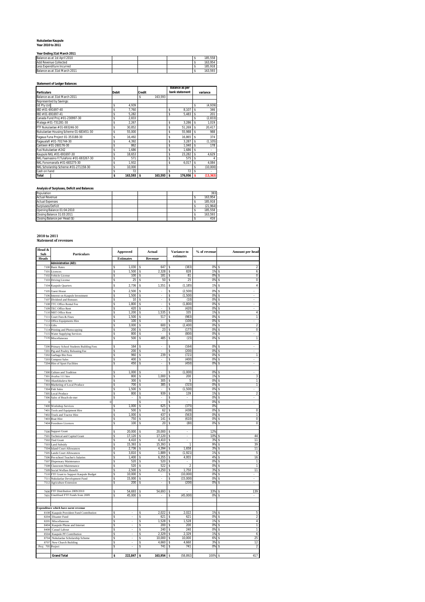### **Nukulaelae Kaupule Year 2010 to 2011**

### **Year Ending 31st March 2011**

| Balance as at 1st April 2010  |  |  | 185.558 |
|-------------------------------|--|--|---------|
| Add Revenue Collected         |  |  | 163.954 |
| Less Expenditure Incurred     |  |  | 185.918 |
| Balance as at 31st March 2011 |  |  | 163.593 |

# **Statement of Ledger Balances**

| <b>Particulars</b>                      | <b>Debit</b> |              | <b>Credit</b> |              | Balance as per<br>bank statement | variance |           |
|-----------------------------------------|--------------|--------------|---------------|--------------|----------------------------------|----------|-----------|
| Balance as at 31st March 2011           |              |              | \$            | 163.593      |                                  |          |           |
| Represented by Savings:                 |              |              |               |              |                                  |          |           |
| <b>GE Ptv Ltd</b>                       | \$           | 4.939        |               |              |                                  | \$       | (4,939)   |
| IBD #01-691697-40                       | \$           | 7.760        |               |              | \$<br>8.107                      | \$       | 346       |
| IBD #01-691697-41                       | \$           | 5.282        |               |              | \$<br>5.483                      | \$       | 201       |
| Canada Fund Proi # 01-230997-30         | \$           | 2.833        |               |              |                                  | \$       | (2, 833)  |
| Malaga # 01-731281-30                   | \$           | 2.267        |               |              | \$<br>3.286                      | \$       | 1,019     |
| FTF Nukulaelae # 01-693246-30           | \$           | 30.852       |               |              | \$<br>51.269                     | \$       | 20,417    |
| Nukulaelae Housing Scheme 01-683451-30  | \$           | 55.000       |               |              | \$<br>55.988                     | \$       | 988       |
| Fagaua Funa Project 01-353188-30        | \$           | 16.492       |               |              | \$<br>16.865                     | \$       | 374       |
| Fagaualafi # 01-701744-30               | \$           | 4.392        |               |              | \$<br>3.287                      | \$       | (1, 105)  |
| Canteen # 01-260176-30                  | \$           | 862          |               |              | \$<br>1.040                      | \$       | 178       |
| Fusi Nukulaelae # 242                   | \$           | 1.686        |               |              | \$<br>1.686                      | \$       | ٠         |
| Kaupule NKL # 01-691697-30              | \$           | 18.653       |               |              | \$<br>23.282                     | \$       | 4.629     |
| NKL Faamasino F/Tulafono # 01-693267-30 | \$           | 571          |               |              | \$<br>575                        | \$       |           |
| NKL Fonomanafa # 01-683275-30           | \$           | 1.932        |               |              | \$<br>6.017                      | \$       | 4.084     |
| NKL Scholarship Scheme # 01-271158-30   | \$           | 10.000       |               |              |                                  | \$       | (10,000)  |
| Cash on hand                            | \$           | 72           |               |              | \$<br>72                         | \$       |           |
| <b>Total</b>                            | \$           | $163.593$ \$ |               | $163,593$ \$ | $176,956$ \$                     |          | (13, 363) |

### **Analysis of Surpluses, Deficit and Balances**

| Population                    |  |  | 393      |
|-------------------------------|--|--|----------|
| <b>Actual Revenue</b>         |  |  | 163.954  |
| <b>Actual Expenses</b>        |  |  | 185.918  |
| Surpluses/Deficit             |  |  | (21.964) |
| Opening Balance 01:04:2010    |  |  | 185.558  |
| Closing Balance 31:03:2011    |  |  | 163.593  |
| Closing Balance per Head (\$) |  |  | 416      |

# **2010 to 2011 Statement of revenues**

| Head &<br>Sub | <b>Particulars</b>                                              | Approved                   | Actual                     | Variance to                  | % of revenue | Amount per head                 |
|---------------|-----------------------------------------------------------------|----------------------------|----------------------------|------------------------------|--------------|---------------------------------|
| <b>Heads</b>  |                                                                 | <b>Estimates</b>           | Revenue                    | estimates                    |              |                                 |
|               | <b>Administration (AD):</b>                                     |                            |                            |                              |              |                                 |
| 7100<br>7101  | <b>Basic Rates</b><br>Licences                                  | 1,030<br>\$<br>1,500<br>\$ | \$<br>647<br>2,328<br>\$   | (383)<br>s<br>828<br>\$      | 0%<br>1%     | \$<br>6                         |
| 7102          | Vehicle License                                                 | 100<br>\$                  | \$<br>181                  | 81<br>\$                     | 0%           | 0<br>\$                         |
| 7103          | Driving License                                                 | Ś<br>25                    | 50<br>\$                   | 25<br>\$                     | 0%           | 0<br>\$                         |
| 7104          | Kaupule Quarters                                                | Ś<br>2,736                 | \$<br>1,551                | \$<br>(1, 185)               | 1%           | $\overline{4}$<br>\$            |
|               | 7105 Guest House                                                | \$<br>2,500                | \$                         | \$<br>(2,500)                | 0%           | \$                              |
| 7106          | Interest on Kaupule Investment                                  | \$<br>1,500                | \$                         | (1,500)<br>\$                | 0%           | \$                              |
| 7107          | Dividend and Bonuses                                            | \$<br>10                   | \$<br>ł.                   | \$<br>(10)                   | 0%           | \$                              |
| 7108          | TTC Office Rental Fee                                           | \$<br>1,800                | \$<br>ł.                   | \$<br>(1,800)                | 0%           | \$                              |
|               | 7109 TEC Office Rent                                            | 420<br>\$                  | \$<br>×.                   | (420)<br>\$                  | 0%           | \$                              |
| 7110          | <b>NBT</b> Office Rent                                          | \$<br>1,200                | 1,535<br>\$                | \$<br>335                    | 1%           | 4<br>\$                         |
| 7111<br>7112  | Court Fees & Fines                                              | \$<br>1,500<br>\$<br>100   | 517<br>\$<br>\$            | (983)<br>\$<br>(100)<br>\$   | 0%<br>0%     | 1<br>\$<br>\$                   |
| 7113          | Office Equipments Hire<br>Gifts                                 | 3,000<br>\$                | 600<br>\$                  | (2, 400)<br>\$               | 0%           | $\overline{\mathbf{2}}$<br>\$   |
| 7114          | Printing and Photocopying                                       | \$<br>200                  | \$<br>23                   | \$<br>(177)                  | 0%           | 0<br>\$                         |
| 7115          | <b>Water Supplying Services</b>                                 | Ś<br>800                   | \$                         | (800)<br>\$                  | 0%           | \$                              |
| 7116          | Miscellaneous                                                   | \$<br>500                  | 485<br>\$                  | (15)<br>\$                   | 0%           | 1<br>\$                         |
|               |                                                                 |                            |                            |                              |              |                                 |
|               | 7200 Primary School Students Building Fees                      | 164<br>\$<br>200<br>\$     | \$<br>٠<br>\$<br>ł.        | (164)<br>\$<br>(200)<br>\$   | 0%<br>0%     | \$<br>Ś<br>ä,                   |
|               | 7201 Pig and Poultry Releasing Fee<br>7202 Garbage Bin Fees     | 960<br>\$                  | 239<br>\$                  | \$<br>(721)                  | 0%           | \$<br>1                         |
|               | 7203 Compost Sales                                              | \$<br>400                  | \$                         | (400)<br>\$                  | 0%           | \$                              |
|               | 7204 Hire of Sport Facilities                                   | \$<br>450                  | \$<br>ä,                   | (450)<br>Ś                   | 0%           | Ś                               |
|               |                                                                 |                            |                            |                              |              |                                 |
|               | 7300 Culture and Tradition                                      | \$<br>1,000                | Ś                          | \$<br>(1,000)                | 0%           | Ś                               |
| 7301          | Avafoa 111 hire                                                 | 800<br>\$                  | 1,000<br>\$                | 200<br>\$                    | 1%           | 3<br>Ś                          |
| 7302<br>7303  | Akaufakalava hire<br>Marketing of Local Produce                 | \$<br>300<br>700<br>\$     | \$<br>305<br>385<br>\$     | \$<br>5<br>(315)<br>\$       | 0%<br>0%     | 1<br>\$<br>$\overline{1}$<br>\$ |
|               | 7304 Fish Sales                                                 | \$<br>1,500                | \$                         | \$<br>(1,500)                | 0%           | \$                              |
|               | 7305 Local Produce                                              | \$<br>800                  | \$<br>939                  | \$<br>139                    | 1%           | $\overline{2}$<br>\$            |
| 7306          | Sales of Beach-de-mer                                           | \$                         | \$                         | \$                           | 0%           | \$                              |
|               |                                                                 |                            | \$                         | Ś                            | 0%           | Ś                               |
| 7400          | <b>Workshop Services</b>                                        | 1,000<br>\$                | 625<br>\$                  | (375)<br>\$                  | 0%           |                                 |
| 7401          | Tools and Equipment Hire                                        | \$<br>500                  | \$<br>62                   | \$<br>(438)                  | 0%           | 0<br>Ś                          |
| 7402<br>7403  | Truck and Tractor Hire                                          | 1,000<br>\$<br>\$<br>750   | 437<br>\$<br>\$<br>141     | \$<br>(563)<br>\$<br>(610)   | 0%<br>0%     | T<br>\$<br>0<br>Ś               |
| 7404          | <b>Boat Hire</b><br>Foreshore Licences                          | 100<br>\$                  | 20<br>\$                   | (80)<br>\$                   | 0%           | 0<br>\$                         |
|               |                                                                 |                            |                            |                              |              |                                 |
| 7500          | Support Grant                                                   | 20,000<br>\$               | 20,000<br>\$               | \$<br>$\cdot$                | 12%          |                                 |
| 7501          | Technical and Capital Grant                                     | \$<br>17,120               | \$<br>17,120               | \$<br>×,                     | 10%          | 44<br>\$                        |
| 7502          | <b>Tied Grant</b>                                               | \$<br>4,410                | \$<br>4,410                | \$<br>÷.                     | 3%           | 11<br>Ś                         |
| 7503          | <b>Land Subsidy</b>                                             | 15,393<br>\$               | 15,393<br>\$               | \$<br>1                      | 9%           | 39<br>\$                        |
| 7504<br>7505  | <b>Island Court Allowances</b><br><b>Lands Court Allowances</b> | 2,736<br>\$<br>\$<br>3,810 | 4,394<br>\$<br>1,889<br>\$ | 1,658<br>\$<br>(1,921)<br>\$ | 3%<br>1%     | 11<br>\$<br>5<br>\$             |
| 7506          | Pre-school Teacher's Salaries                                   | \$<br>1,400                | \$<br>6,355                | \$<br>4,955                  | 4%           | \$<br>16                        |
| 7507          | Dispensary Maintenance                                          | \$<br>520                  | 520<br>\$                  | \$                           | 0%           | \$<br>1                         |
| 7508          | Classroom Maintenance                                           | \$<br>520                  | 522<br>\$                  | $\mathfrak{p}$<br>\$         | 0%           | $\mathbf{1}$<br>\$              |
| 7509          | Social Welfare Benefit                                          | \$<br>2,500                | 4,250<br>\$                | 1,750<br>\$                  | 3%           | 11<br>\$                        |
| 7510          | FTF Grant to Support Kaupule Budget                             | \$<br>10,000               | \$                         | (10,000)<br>\$               | 0%           | \$                              |
| 7511          | Nukulaelae Development Fund                                     | \$<br>15,000               | \$                         | (15.000)<br>\$               | 0%           | \$                              |
| 7512          | <b>Agriculture Extension</b>                                    | 200<br>\$                  | \$                         | Ś<br>(200)                   | 0%           | Ś                               |
| 7600          | FTF Distribution 2009/2010                                      | 54,693<br>\$               | 54,693<br>\$               | \$                           | 33%          | 139<br>\$                       |
| 7601          | Unutilised FTF Funds from 2009                                  | 45,000<br>\$               | \$<br>٠                    | \$<br>(45,000)               | 0%           | Ś                               |
|               |                                                                 |                            |                            |                              |              |                                 |
|               |                                                                 |                            |                            |                              |              |                                 |
|               | Expenditure which have earnt revenue                            |                            |                            |                              |              |                                 |
|               | 8108 Kaupule Provident Fund Contribution                        | \$<br>×,                   | 2,022<br>s                 | 2,022<br>\$                  | 1%           | 5<br>Ś                          |
| 8204<br>8205  | Disaster Fund                                                   | \$<br>Ŝ                    | \$<br>621<br>1,528<br>Ś    | \$<br>621<br>\$<br>1,528     | 0%<br>1%     | \$<br>$\sqrt{2}$<br>4<br>\$     |
| 8404          | Miscellaneous<br>Kaupule Phone and Internet                     | \$                         | \$<br>200                  | \$<br>200                    | 0%           | \$<br>$\mathbf{1}$              |
| 8408          | Casual Labour                                                   | Ś                          | \$<br>240                  | 240<br>\$                    | 0%           | \$<br>1                         |
| 8504          | Kaupule PF Contribution                                         | \$<br>J                    | \$<br>2,329                | \$<br>2,329                  | 1%           | \$<br>6                         |
| 8704          | Nukulaelae Scholarship Scheme                                   | Ś                          | 10,000<br>\$               | 10,000<br>\$                 | 6%           | 25<br>\$                        |
| 8707          | New Church Building                                             | \$<br>×.                   | \$<br>4,660                | 4,660<br>\$                  | 3%           | 12<br>\$                        |
| Proj<br>705   | Project                                                         | \$                         | \$<br>741                  | 741<br>\$                    | 0%           | $\overline{\mathbf{2}}$<br>\$   |
|               |                                                                 |                            |                            |                              |              |                                 |
|               | <b>Grand Total</b>                                              | 222,847<br>\$              | $163,954$ \$<br>\$         | (58, 892)                    | 100%         | 417<br>\$                       |